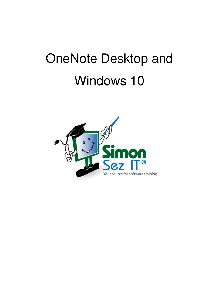# OneNote Desktop and Windows 10

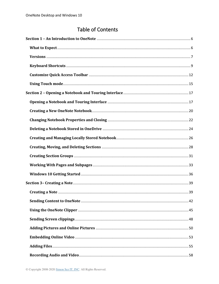## **Table of Contents**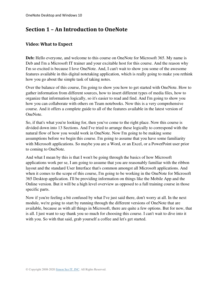### <span id="page-5-0"></span>**Section 1 – An Introduction to OneNote**

#### <span id="page-5-1"></span>**Video: What to Expect**

Deb: Hello everyone, and welcome to this course on OneNote for Microsoft 365. My name is Deb and I'm a Microsoft IT trainer and your excitable host for this course. And the reason why I'm so excited is because I love OneNote. And, I can't wait to show you some of the awesome features available in this digital notetaking application, which is really going to make you rethink how you go about the simple task of taking notes.

Over the balance of this course, I'm going to show you how to get started with OneNote. How to gather information from different sources, how to insert different types of media files, how to organize that information logically, so it's easier to read and find. And I'm going to show you how you can collaborate with others on Team notebooks. Now this is a very comprehensive course. And it offers a complete guide to all of the features available in the latest version of OneNote.

So, if that's what you're looking for, then you've come to the right place. Now this course is divided down into 13 Sections. And I've tried to arrange these logically to correspond with the natural flow of how you would work in OneNote. Now I'm going to be making some assumptions before we begin this course. I'm going to assume that you have some familiarity with Microsoft applications. So maybe you are a Word, or an Excel, or a PowerPoint user prior to coming to OneNote.

And what I mean by this is that I won't be going through the basics of how Microsoft applications work per se, I am going to assume that you are reasonably familiar with the ribbon layout and the standard User Interface that's common amongst all Microsoft applications. And when it comes to the scope of this course, I'm going to be working in the OneNote for Microsoft 365 Desktop application. I'll be providing information on things like the Mobile App and the Online version. But it will be a high level overview as opposed to a full training course in those specific parts.

Now if you're feeling a bit confused by what I've just said there, don't worry at all. In the next module, we're going to start by running through the different versions of OneNote that are available, because as with all things in Microsoft, there are quite a few options. But for now, that is all. I just want to say thank you so much for choosing this course. I can't wait to dive into it with you. So with that said, grab yourself a coffee and let's get started.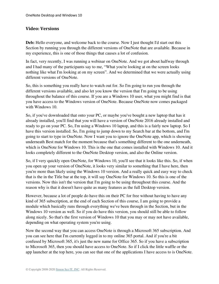#### <span id="page-6-0"></span>**Video: Versions**

**Deb:** Hello everyone, and welcome back to the course. Now I just thought I'd start out this Section by running you through the different versions of OneNote that are available. Because in my experience, this is one of those things that causes a lot of confusion.

In fact, very recently, I was running a webinar on OneNote. And we got about halfway through and I had many of the participants say to me, "What you're looking at on the screen looks nothing like what I'm looking at on my screen". And we determined that we were actually using different versions of OneNote.

So, this is something you really have to watch out for. So I'm going to run you through the different versions available, and also let you know the version that I'm going to be using throughout the balance of this course. If you are a Windows 10 user, what you might find is that you have access to the Windows version of OneNote. Because OneNote now comes packaged with Windows 10.

So, if you've downloaded that onto your PC, or maybe you've bought a new laptop that has it already installed, you'll find that you will have a version of OneNote 2016 already installed and ready to go on your PC. So, I'm using a Windows 10 laptop, and this is a fairly new laptop. So I have this version installed. So, I'm going to jump down to my Search bar at the bottom, and I'm going to start to type in OneNote. Now I want you to ignore the OneNote app, which is showing underneath Best match for the moment because that's something different to the one underneath, which is OneNote for Windows 10. This is the one that comes installed with Windows 10. And it looks completely different to the OneNote Desktop version, and also the Online version.

So, if I very quickly open OneNote, for Windows 10, you'll see that it looks like this. So, if when you open up your version of OneNote, it looks very similar to something that I have here, then you're more than likely using the Windows 10 version. And a really quick and easy way to check that is the in the Title bar at the top, it will say OneNote for Windows 10. So this is one of the versions. Now this isn't the version that I'm going to be using throughout this course. And the reason why is that it doesn't have quite as many features as the full Desktop version.

However, because a lot of people do have this on their PC for free without having to have any kind of 365 subscription, at the end of each Section of this course, I am going to provide a module which basically runs through everything we've been through in the Section, but in the Windows 10 version as well. So if you do have this version, you should still be able to follow along nicely. So that's the first version of Windows 10 that you may or may not have available, depending on what operating system you're using.

Now the second way that you can access OneNote is through a Microsoft 365 subscription. And you can see here that I'm currently logged in to my online 365 portal. And if you're a bit confused by Microsoft 365, it's just the new name for Office 365. So if you have a subscription to Microsoft 365, then you should have access to OneNote. So if I click the little waffle or the app launcher at the top here, you can see that one of the applications I have access to is OneNote.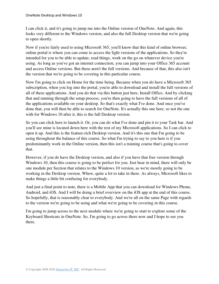I can click it, and it's going to jump me into the Online version of OneNote. And again, this looks very different to the Windows version, and also the full Desktop version that we're going to open shortly.

Now if you're fairly used to using Microsoft 365, you'll know that this kind of online browser, online portal is where you can come to access the light versions of the applications. So they're intended for you to be able to update, read things, work on the go on whatever device you're using. As long as you've got an internet connection, you can jump into your Office 365 account and access Online versions. But these aren't the full versions. And because of that, this also isn't the version that we're going to be covering in this particular course.

Now I'm going to click on Home for the time being. Because when you do have a Microsoft 365 subscription, when you log into the portal, you're able to download and install the full versions of all of these applications. And you do that via this button just here, Install Office. And by clicking that and running through the setup process, you're then going to have the full versions of all of the applications available on your desktop. So that's exactly what I've done. And once you've done that, you will then be able to search for OneNote. It's actually this one here, so not the one with for Windows 10 after it, this is the full Desktop version.

So you can click here to launch it. Or, you can do what I've done and pin it to your Task bar. And you'll see mine is located down here with the rest of my Microsoft applications. So I can click to open it up. And this is the feature-rich Desktop version. And it's this one that I'm going to be using throughout the balance of this course. So what I'm trying to say to you here is if you predominantly work in the Online version, then this isn't a training course that's going to cover that.

However, if you do have the Desktop version, and also if you have that free version through Windows 10, then this course is going to be perfect for you. Just bear in mind, there will only be one module per Section that relates to the Windows 10 version, as we're mostly going to be working in the Desktop version. Whew, quite a lot to take in there. As always, Microsoft likes to make things a little bit confusing for everybody.

And just a final point to note, there is a Mobile App that you can download for Windows Phone, Android, and iOS. And I will be doing a brief overview on the iOS app at the end of this course. So hopefully, that is reasonably clear to everybody. And we're all on the same Page with regards to the version we're going to be using and what we're going to be covering in this course.

I'm going to jump across to the next module where we're going to start to explore some of the Keyboard Shortcuts in OneNote. So, I'm going to go across there now and I hope to see you there.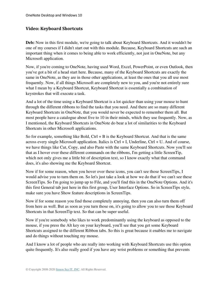#### <span id="page-8-0"></span>**Video: Keyboard Shortcuts**

**Deb:** Now in this first module, we're going to talk about Keyboard Shortcuts. And it wouldn't be one of my courses if I didn't start out with this module. Because, Keyboard Shortcuts are such an important thing when it comes to being able to work efficiently, not just in OneNote, but any Microsoft application.

Now, if you're coming to OneNote, having used Word, Excel, PowerPoint, or even Outlook, then you've got a bit of a head start here. Because, many of the Keyboard Shortcuts are exactly the same in OneNote, as they are in those other applications, at least the ones that you all use most frequently. Now, if all things Microsoft are completely new to you, and you're not entirely sure what I mean by a Keyboard Shortcut, Keyboard Shortcut is essentially a combination of keystrokes that will execute a task.

And a lot of the time using a Keyboard Shortcut is a lot quicker than using your mouse to hunt through the different ribbons to find the tasks that you need. And there are so many different Keyboard Shortcuts in OneNote, that you would never be expected to remember them all. But most people have a catalogue about five to 10 in their minds, which they use frequently. Now, as I mentioned, the Keyboard Shortcuts in OneNote do bear a lot of similarities to the Keyboard Shortcuts in other Microsoft applications.

So for example, something like Bold,  $Ctrl + B$  is the Keyboard Shortcut. And that is the same across every single Microsoft application. Italics is  $Ctrl + I$ , Underline,  $Ctrl + U$ . And of course, we have things like Cut, Copy, and also Paste with the same Keyboard Shortcuts. Now you'll see that as I hover over these different commands on the ribbons, I'm getting a little ScreenTip, which not only gives me a little bit of description text, so I know exactly what that command does, it's also showing me the Keyboard Shortcut.

Now if for some reason, when you hover over these icons, you can't see those ScreenTips, I would advise you to turn them on. So let's just take a look at how we do that if we can't see these ScreenTips. So I'm going to jump up to File, and you'll find this in the OneNote Options. And it's this first General tab just here in this first group, User Interface Options. So in ScreenTips style, make sure you have Show feature descriptions in ScreenTips.

Now if for some reason you find those completely annoying, then you can also turn them off from here as well. But as soon as you turn those on, it's going to allow you to see those Keyboard Shortcuts in that ScreenTip text. So that can be super useful.

Now if you're somebody who likes to work predominantly using the keyboard as opposed to the mouse, if you press the Alt key on your keyboard, you'll see that you get some Keyboard Shortcuts assigned to the different Ribbon tabs. So this is great because it enables me to navigate and do things without touching my mouse.

And I know a lot of people who are really into working with Keyboard Shortcuts use this option quite frequently. It's also really good if you have any wrist problems or something that prevents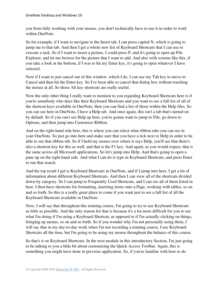you from fully working with your mouse, you don't technically have to use it in order to work within OneNote.

So for example, if I want to navigate to the Insert tab, I can press capital N, which is going to jump me to that tab. And then I get a whole new list of Keyboard Shortcuts that I can use to execute a task. So if I want to insert a picture, I could press P, and it's going to open up File Explorer, and let me browse for the picture that I want to add. And also with screens like this, if you take a look at the bottom, if I was to hit my Enter key, it's going to open whatever I have selected.

Now if I want to just cancel out of this window, which I do, I can use my Tab key to move to Cancel and then hit the Enter key. So I've been able to cancel that dialog box without touching the mouse at all. So those Alt key shortcuts are really useful.

Now the only other thing I really want to mention to you regarding Keyboard Shortcuts here is if you're somebody who does like their Keyboard Shortcuts and you want to see a full list of all of the shortcut keys available in OneNote, then you can find a list of those within the Help files. So you can see here in OneNote, I have a Help tab. And once again, this isn't a tab that's turned on by default. So if you can't see Help up here, you're gonna want to jump to File, go down to Options, and then jump into Customize Ribbon.

And on the right-hand side here, this is where you can select what ribbon tabs you can see in your OneNote. So just go into here and make sure that you have a tick next to Help in order to be able to see that ribbon tab. So if I hold my mouse over where it says Help, you'll see that there's also a shortcut key for this as well, and that is the F1 key. And again, as you would expect, that is the same across all Microsoft applications. So let's jump into Help. And that's going to open a pane up on the right-hand side. And what I can do is type in Keyboard Shortcuts, and press Enter to run that search.

And the top result I get is Keyboard Shortcuts in OneNote, and if I jump into here, I get a lot of information about different Keyboard Shortcuts. And then I can view all of the shortcuts divided down by category. So I can jump to Frequently Used Shortcuts, and I can see all of them listed in here. I then have shortcuts for formatting, inserting items onto a Page, working with tables, so on and so forth. So this is a really great place to come if you want just to see a full list of all the Keyboard Shortcuts available in OneNote.

Now, I will say that throughout this training course, I'm going to try to use Keyboard Shortcuts as little as possible. And the only reason for that is because it's a lot more difficult for you to see what I'm doing if I'm using a Keyboard Shortcut, as opposed to if I'm actually clicking on things, bringing up menus, so on and so forth. So if you wonder why I'm not personally using them, I will say that in my day-to-day work when I'm not recording a training course, I use Keyboard Shortcuts all the time, but I'm going to be using my mouse throughout the balance of this course.

So that's it on Keyboard Shortcuts. In the next module in this introductory Section, I'm just going to be talking to you a little bit about customizing the Quick Access Toolbar. Again, this is something you might have done in previous application. So, if you're familiar with how to do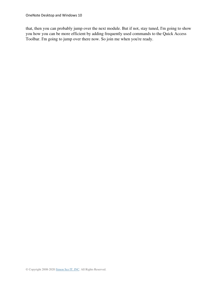that, then you can probably jump over the next module. But if not, stay tuned, I'm going to show you how you can be more efficient by adding frequently used commands to the Quick Access Toolbar. I'm going to jump over there now. So join me when you're ready.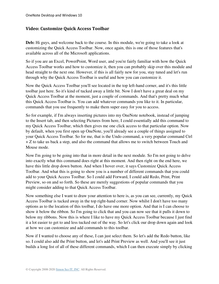#### <span id="page-11-0"></span>**Video: Customize Quick Access Toolbar**

**Deb:** Hi guys, and welcome back to the course. In this module, we're going to take a look at customizing the Quick Access Toolbar. Now, once again, this is one of those features that's available across all of the Microsoft applications.

So if you are an Excel, PowerPoint, Word user, and you're fairly familiar with how the Quick Access Toolbar works and how to customize it, then you can probably skip over this module and head straight to the next one. However, if this is all fairly new for you, stay tuned and let's run through why the Quick Access Toolbar is useful and how you can customize it.

Now the Quick Access Toolbar you'll see located in the top left-hand corner, and it's this little toolbar just here. So it's kind of tucked away a little bit. Now I don't have a great deal on my Quick Access Toolbar at the moment, just a couple of commands. And that's pretty much what this Quick Access Toolbar is. You can add whatever commands you like to it. In particular, commands that you use frequently to make them super easy for you to access.

So for example, if I'm always inserting pictures into my OneNote notebook, instead of jumping to the Insert tab, and then selecting Pictures from here, I could essentially add this command to my Quick Access Toolbar, which then gives me one click access to that particular option. Now by default, when you first open up OneNote, you'll already see a couple of things assigned to your Quick Access Toolbar. So for me, that is the Undo command, a very popular command Ctrl + Z to take us back a step, and also the command that allows me to switch between Touch and Mouse mode.

Now I'm going to be going into that in more detail in the next module. So I'm not going to delve into exactly what this command does right at this moment. And then right on the end here, we have this little drop down button. And when I hover over, it says Customize Quick Access Toolbar. And what this is going to show you is a number of different commands that you could add to your Quick Access Toolbar. So I could add Forward, I could add Redo, Print, Print Preview, so on and so forth. So these are merely suggestions of popular commands that you might consider adding to that Quick Access Toolbar.

Now something else I want to draw your attention to here is, as you can see, currently, my Quick Access Toolbar is tucked away in the top right-hand corner. Now whilst I don't have too many options as to the location of this toolbar, I do have one more option. And that is I can choose to show it below the ribbon. So I'm going to click that and you can now see that it pulls it down to below my ribbons. Now this is where I like to have my Quick Access Toolbar because I just find it a lot easier to get to and less tucked out of the way. So let's click our drop down again and look at how we can customize and add commands to this toolbar.

Now if I wanted to choose any of these, I can just select them. So let's add the Redo button, like so. I could also add the Print button, and let's add Print Preview as well. And you'll see it just builds a long list of all of these different commands, which I can then execute simply by clicking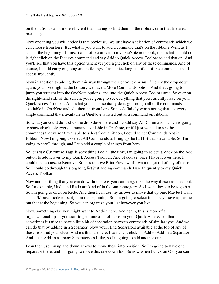on them. So it's a lot more efficient than having to find them in the ribbons or in that file area backstage.

Now one thing you will notice is that obviously, we just have a selection of commands which we can choose from here. But what if you want to add a command that's on the ribbon? Well, as I said at the beginning, if I insert a lot of pictures into my OneNote notebook, then what I could do is right click on the Pictures command and say Add to Quick Access Toolbar to add that on. And you'll see that you have this option whenever you right click on any of these commands. And of course, I could carry on going and build myself up a nice long list of all of the commands that I access frequently.

Now in addition to adding them this way through the right-click menu, if I click the drop down again, you'll see right at the bottom, we have a More Commands option. And that's going to jump you straight into the OneNote options, and into the Quick Access Toolbar area. So over on the right-hand side of the screen, you're going to see everything that you currently have on your Quick Access Toolbar. And what you can essentially do is go through all of the commands available in OneNote and add them in from here. So it's definitely worth noting that not every single command that's available in OneNote is listed out as a command on ribbons.

So what you could do is click the drop down here and I could say All Commands which is going to show absolutely every command available in OneNote, or if I just wanted to see the commands that weren't available to select from a ribbon, I could select Commands Not in Ribbon. Now I'm going to select All Commands to bring up the full list that's available. So I'm going to scroll through, and I can add a couple of things from here.

So let's say Customize Tags is something I do all the time, I'm going to select it, click on the Add button to add it over to my Quick Access Toolbar. And of course, once I have it over here, I could then choose to Remove. So let's remove Print Preview, if I want to get rid of any of these. So I could go through this big long list just adding commands I use frequently to my Quick Access Toolbar.

Now another thing that you can do within here is you can reorganize the way these are listed out. So for example, Undo and Redo are kind of in the same category. So I want these to be together. So I'm going to click on Redo. And then I can use my arrows to move that up one. Maybe I want Touch/Mouse mode to be right at the beginning. So I'm going to select it and say move up just to put that at the beginning. So you can organize your list however you like.

Now, something else you might want to Add-in here. And again, this is more of an organizational tip. If you start to get quite a lot of icons on your Quick Access Toolbar, sometimes it's nice to have a little bit of separation between commands of similar type. And we can do that by adding in a Separator. Now you'll find Separators available at the top of any of these lists that you select. And it's this just here, I can click, click on Add to Add-in a Separator. And I can Add-in as many Separators as I like, so I'm going to add another one.

I can then use my up and down arrows to move these into position. So I'm going to have one Separator there, and I'm going to move this one down too. So now when I click on Ok, you can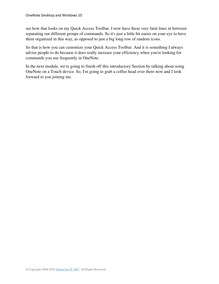see how that looks on my Quick Access Toolbar. I now have these very faint lines in between separating out different groups of commands. So it's just a little bit easier on your eye to have them organized in this way, as opposed to just a big long row of random icons.

So that is how you can customize your Quick Access Toolbar. And it is something I always advise people to do because it does really increase your efficiency when you're looking for commands you use frequently in OneNote.

In the next module, we're going to finish off this introductory Section by talking about using OneNote on a Touch device. So, I'm going to grab a coffee head over there now and I look forward to you joining me.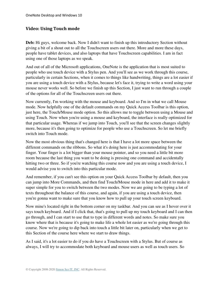#### <span id="page-14-0"></span>**Video: Using Touch mode**

**Deb:** Hi guys, welcome back. Now I didn't want to finish up this introductory Section without giving a bit of a shout out to all the Touchscreen users out there. More and more these days, people have tablet devices, and also laptops that have Touchscreen capabilities. I am in fact using one of those laptops as we speak.

And out of all of the Microsoft applications, OneNote is the application that is most suited to people who use touch device with a Stylus pen. And you'll see as we work through this course, particularly in certain Sections, when it comes to things like handwriting, things are a lot easier if you are using a touch device with a Stylus, because let's face it, trying to write a word using your mouse never works well. So before we finish up this Section, I just want to run through a couple of the options for all of the Touchscreen users out there.

Now currently, I'm working with the mouse and keyboard. And so I'm in what we call Mouse mode. Now helpfully one of the default commands on my Quick Access Toolbar is this option, just here, the Touch/Mouse mode option. So this allows me to toggle between using a Mouse and using Touch. Now when you're using a mouse and keyboard, the interface is really optimized for that particular usage. Whereas if we jump into Touch, you'll see that the screen changes slightly more, because it's then going to optimize for people who use a Touchscreen. So let me briefly switch into Touch mode.

Now the most obvious thing that's changed here is that I have a lot more space between the different commands on the ribbons. So what it's doing here is just accommodating for your finger. Your finger is a lot bigger than your mouse pointer, and so you need a little bit more room because the last thing you want to be doing is pressing one command and accidentally hitting two or three. So if you're watching this course now and you are using a touch device, I would advise you to switch into this particular mode.

And remember, if you can't see this option on your Quick Access Toolbar by default, then you can jump into More Commands, and then find Touch/Mouse mode in here and add it to make it super simple for you to switch between the two modes. Now we are going to be typing a lot of texts throughout the balance of this course, and again, if you are using a touch device, then you're gonna want to make sure that you know how to pull up your touch screen keyboard.

Now mine's located right in the bottom corner on my taskbar. And you can see as I hover over it says touch keyboard. And if I click that, that's going to pull up my touch keyboard and I can then go through, and I can start to use that to type in different words and notes. So make sure you know where that is because it's going to make life a whole lot easier as we're going through this course. Now we're going to dip back into touch a little bit later on, particularly when we get to this Section of the course here where we start to draw things.

As I said, it's a lot easier to do if you do have a Touchscreen with a Stylus. But of course as always, I will try to accommodate both keyboard and mouse users as well as touch users. So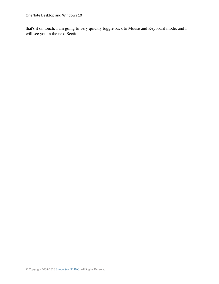that's it on touch. I am going to very quickly toggle back to Mouse and Keyboard mode, and I will see you in the next Section.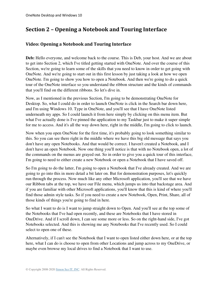## <span id="page-16-0"></span>**Section 2 – Opening a Notebook and Touring Interface**

#### <span id="page-16-1"></span>**Video: Opening a Notebook and Touring Interface**

**Deb:** Hello everyone, and welcome back to the course. This is Deb, your host. And we are about to get into Section 2, which I've titled getting started with OneNote. And over the course of this Section, we're going to learn some of the skills that you need to know in order to get going with OneNote. And we're going to start out in this first lesson by just taking a look at how we open OneNote. I'm going to show you how to open a Notebook. And then we're going to do a quick tour of the OneNote interface so you understand the ribbon structure and the kinds of commands that you'll find on the different ribbons. So let's dive in.

Now, as I mentioned in the previous Section, I'm going to be demonstrating OneNote for Desktop. So, what I could do in order to launch OneNote is click in the Search bar down here, and I'm using Windows 10. Type in OneNote, and you'll see that I have OneNote listed underneath my apps. So I could launch it from here simply by clicking on this menu item. But what I've actually done is I've pinned the application to my Taskbar just to make it super simple for me to access. And it's all the way down here, right in the middle, I'm going to click to launch.

Now when you open OneNote for the first time, it's probably going to look something similar to this. So you can see there right in the middle where we have this big old message that says you don't have any open Notebooks. And that would be correct. I haven't created a Notebook, and I don't have an open Notebook. Now one thing you'll notice is that with no Notebook open, a lot of the commands on the menus are grayed out. So in order to give you a quick tour of this interface, I'm going to need to either create a new Notebook or open a Notebook that I have saved off.

So I'm going to do the latter, I'm going to open a Notebook that I've already created. And we are going to go into this in more detail a bit later on. But for demonstration purposes, let's quickly run through the process. Now much like any other Microsoft application, you'll see that we have our Ribbon tabs at the top, we have our File menu, which jumps us into that backstage area. And if you are familiar with other Microsoft applications, you'll know that this is kind of where you'll find those admin style tasks. So if you need to create a new Notebook, Open, Print, Share, all of those kinds of things you're going to find in here.

So what I want to do is I want to jump straight down to Open. And you'll see at the top some of the Notebooks that I've had open recently, and these are Notebooks that I have stored in OneDrive. And if I scroll down, I can see some more or less. So on the right-hand side, I've got Notebooks selected. And this is showing me any Notebooks that I've recently used. So I could select to open one of these.

Alternatively, if I can't see the Notebook that I want to open listed either down here, or at the top here, what I can do is choose to open from other Locations and jump across to my OneDrive, or maybe even browse my local drives to find a Notebook that I want to use.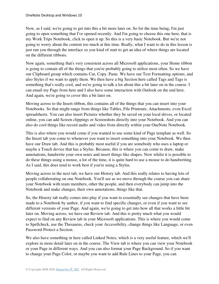Now, as I said, we're going to get into this a bit more later on. So for the time being, I'm just going to open something that I've opened recently. And I'm going to choose this one here, that is my Work Trips Notebook, click to open it up. So this is a very basic Notebook. But we're not going to worry about the content too much at this time. Really, what I want to do in this lesson is just run you through the interface so you kind of start to get an idea of where things are located on the different ribbons.

Now again, something that's very consistent across all Microsoft applications, your Home ribbon is going to contain all of the things that you're probably going to utilize most often. So we have our Clipboard group which contains Cut, Copy, Paste. We have our Text Formatting options, and also Styles if we want to apply them. We then have a big Section here called Tags and Tags is something that's really cool, and we're going to talk a lot about this a bit later on in the course. I can email my Page from here and I also have some interaction with Outlook on the end here. And again, we're going to cover this a bit later on.

Moving across to the Insert ribbon, this contains all of the things that you can insert into your Notebooks. So that might range from things like Tables, File Printouts, Attachments, even Excel spreadsheets. You can also insert Pictures whether they be saved on your local drives, or located online, you can add Screen clippings or Screenshots directly into your Notebook. And you can also do cool things like record audio and video from directly within your OneNote Notebook.

This is also where you would come if you wanted to use some kind of Page template as well. So the Insert tab you come to whenever you want to insert something into your Notebook. We then have our Draw tab. And this is probably most useful if you are somebody who uses a laptop or maybe a Touch device that has a Stylus. Because, this is where you can come to draw, make annotations, handwrite your own notes and insert things like shapes. Now whilst it is possible to do these things using a mouse, a lot of the time, it is quite hard to use a mouse to do handwriting. As I said, this does tend to work best if you're using a Stylus.

Moving across to the next tab, we have our History tab. And this really relates to having lots of people collaborating on one Notebook. You'll see as we move through the course you can share your Notebook with team members, other the people, and then everybody can jump into the Notebook and make changes, their own annotations, things like that.

So, the History tab really comes into play if you want to essentially see changes that have been made to a Notebook by author, if you want to find specific changes, or even if you want to see different versions of your Page. And again, we're going to get into how all that works a little bit later on. Moving across, we have our Review tab. And this is pretty much what you would expect to find on any Review tab in your Microsoft applications. This is where you would come to Spellcheck, use the Thesaurus, check your Accessibility, change things like Language, or even Password Protect a Section.

We also have something in here called Linked Notes, which is a very useful feature, which we'll explore in more detail later on in the course. The View tab is where you can view your Notebook or your Page in different ways. And you can also format your Page Background. So if you want to change your Page Color, or maybe you want to add Rule Lines to your Page, you can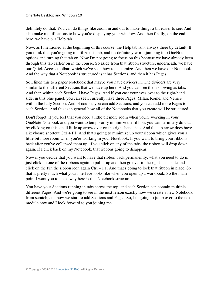definitely do that. You can do things like zoom in and out to make things a bit easier to see. And also make modifications to how you're displaying your window. And then finally, on the end here, we have our Help tab.

Now, as I mentioned at the beginning of this course, the Help tab isn't always there by default. If you think that you're going to utilize this tab, and it's definitely worth jumping into OneNote options and turning that tab on. Now I'm not going to focus on this because we have already been through this tab earlier on in the course. So aside from that ribbon structure, underneath, we have our Quick Access toolbar, which we've seen how to customize. And then we have our Notebook. And the way that a Notebook is structured is it has Sections, and then it has Pages.

So I liken this to a paper Notebook that maybe you have dividers in. The dividers are very similar to the different Sections that we have up here. And you can see them showing as tabs. And then within each Section, I have Pages. And if you cast your eyes over to the right-hand side, in this blue panel, you can see I currently have three Pages; Milan, Rome, and Venice within the Italy Section. And of course, you can add Sections, and you can add more Pages to each Section. And this is in general how all of the Notebooks that you create will be structured.

Don't forget, if you feel that you need a little bit more room when you're working in your OneNote Notebook and you want to temporarily minimize the ribbon, you can definitely do that by clicking on this small little up arrow over on the right-hand side. And this up arrow does have a keyboard shortcut Ctrl + F1. And that's going to minimize up your ribbon which gives you a little bit more room when you're working in your Notebook. If you want to bring your ribbons back after you've collapsed them up, if you click on any of the tabs, the ribbon will drop down again. If I click back on my Notebook, that ribbons going to disappear.

Now if you decide that you want to have that ribbon back permanently, what you need to do is just click on one of the ribbons again to pull it up and then go over to the right-hand side and click on the Pin the ribbon icon again Ctrl  $+ F1$ . And that's going to lock that ribbon in place. So that is pretty much what your interface looks like when you open up a workbook. So the main point I want you to take away here is this Notebook structure.

You have your Sections running in tabs across the top, and each Section can contain multiple different Pages. And we're going to see in the next lesson exactly how we create a new Notebook from scratch, and how we start to add Sections and Pages. So, I'm going to jump over to the next module now and I look forward to you joining me.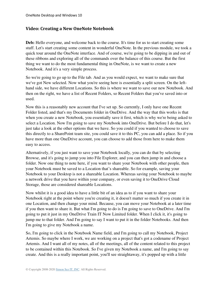#### <span id="page-19-0"></span>**Video: Creating a New OneNote Notebook**

**Deb:** Hello everyone, and welcome back to the course. It's time for us to start creating some stuff. Let's start creating some content in wonderful OneNote. In the previous module, we took a quick tour around the OneNote interface. And of course, we're going to be dipping in and out of these ribbons and exploring all of the commands over the balance of this course. But the first thing we want to do the most fundamental thing in OneNote, is we want to create a new Notebook. And it's a very simple process.

So we're going to go up to the File tab. And as you would expect, we want to make sure that we've got New selected. Now what you're seeing here is essentially a split screen. On the lefthand side, we have different Locations. So this is where we want to save our new Notebook. And then on the right, we have a list of Recent Folders, so Recent Folders that you've saved into or used.

Now this is a reasonably new account that I've set up. So currently, I only have one Recent Folder listed, and that's my Documents folder in OneDrive. And the way that this works is that when you create a new Notebook, you essentially save it first, which is why we're being asked to select a Location. Now I'm going to save my Notebook into OneDrive. But before I do that, let's just take a look at the other options that we have. So you could if you wanted to choose to save this directly to a SharePoint team site, you could save it to this PC, you can add a place. So if you have more than one OneDrive account, you can choose to add those from here to make them easy to access.

Alternatively, if you just want to save your Notebook locally, you can do that by selecting Browse, and it's going to jump you into File Explorer, and you can then jump in and choose a folder. Now one thing to note here, if you want to share your Notebook with other people, then your Notebook must be saved to a Location that's shareable. So for example, saving your Notebook to your Desktop is not a shareable Location. Whereas saving your Notebook to maybe a network drive that you have within your company, or even saving it to OneDrive Cloud Storage, those are considered shareable Locations.

Now whilst it is a good idea to have a little bit of an idea as to if you want to share your Notebook right at the point where you're creating it, it doesn't matter so much if you create it in one Location, and then change your mind. Because, you can move your Notebook at a later time if you then want to share it. But what I'm going to do is I'm going to save to OneDrive. And I'm going to put it just in my OneDrive Train IT Now Limited folder. When I click it, it's going to jump me to that folder. And I'm going to say I want to put it in the folder Notebooks. And then I'm going to give my Notebook a name.

So, I'm going to click in the Notebook Name field, and I'm going to call my Notebook, Project Artemis. So maybe where I work, we are working on a project that's got a codename of Project Artemis. And I want all of my notes, all of the meetings, all of the content related to this project to be contained within this Notebook. So I've given my Notebook a name, and I'm going to say create. And this is a really important point, you'll see straightaway, it's popped up with a little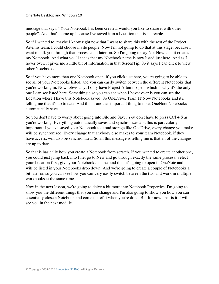message that says; "Your Notebook has been created, would you like to share it with other people". And that's come up because I've saved it in a Location that is shareable.

So if I wanted to, maybe I know right now that I want to share this with the rest of the Project Artemis team, I could choose invite people. Now I'm not going to do that at this stage, because I want to talk you through that process a bit later on. So I'm going to say Not Now, and it creates my Notebook. And what you'll see is that my Notebook name is now listed just here. And as I hover over, it gives me a little bit of information in that ScreenTip. So it says I can click to view other Notebooks.

So if you have more than one Notebook open, if you click just here, you're going to be able to see all of your Notebooks listed, and you can easily switch between the different Notebooks that you're working in. Now, obviously, I only have Project Artemis open, which is why it's the only one I can see listed here. Something else you can see when I hover over is you can see the Location where I have this Notebook saved. So OneDrive, Train IT Now Notebooks and it's telling me that it's up to date. And this is another important thing to note. OneNote Notebooks automatically save.

So you don't have to worry about going into File and Save. You don't have to press  $Ctrl + S$  as you're working. Everything automatically saves and synchronizes and this is particularly important if you've saved your Notebook to cloud storage like OneDrive, every change you make will be synchronized. Every change that anybody else makes to your team Notebook, if they have access, will also be synchronized. So all this message is telling me is that all of the changes are up to date.

So that is basically how you create a Notebook from scratch. If you wanted to create another one, you could just jump back into File, go to New and go through exactly the same process. Select your Location first, give your Notebook a name, and then it's going to open in OneNote and it will be listed in your Notebooks drop down. And we're going to create a couple of Notebooks a bit later on so you can see how you can very easily switch between the two and work in multiple workbooks at the same time.

Now in the next lesson, we're going to delve a bit more into Notebook Properties. I'm going to show you the different things that you can change and I'm also going to show you how you can essentially close a Notebook and come out of it when you're done. But for now, that is it. I will see you in the next module.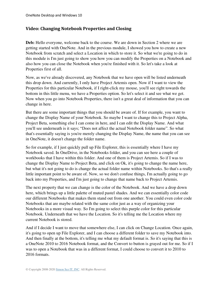#### <span id="page-21-0"></span>**Video: Changing Notebook Properties and Closing**

**Deb:** Hello everyone, welcome back to the course. We are down in Section 2 where we are getting started with OneNote. And in the previous module, I showed you how to create a new Notebook from scratch and select a Location in which to store it. So what we're going to do in this module is I'm just going to show you how you can modify the Properties on a Notebook and also how you can close the Notebook when you're finished with it. So let's take a look at Properties first of all.

Now, as we've already discovered, any Notebook that we have open will be listed underneath this drop down. And currently, I only have Project Artemis open. Now if I want to view the Properties for this particular Notebook, if I right-click my mouse, you'll see right towards the bottom in this little menu, we have a Properties option. So let's select it and see what we get. Now when you go into Notebook Properties, there isn't a great deal of information that you can change in here.

But there are some important things that you should be aware of. If for example, you want to change the Display Name of your Notebook. So maybe I want to change this to Project Alpha, Project Beta, something else I can come in here, and I can edit the Display Name. And what you'll see underneath is it says; "Does not affect the actual Notebook folder name". So what that's essentially saying is you're merely changing the Display Name, the name that you can see in OneNote, it doesn't change the folder name.

So for example, if I just quickly pull up File Explorer, this is essentially where I have my Notebook saved. In OneDrive, in the Notebooks folder, and you can see here a couple of workbooks that I have within this folder. And one of them is Project Artemis. So if I was to change the Display Name to Project Beta, and click on Ok, it's going to change the name here, but what it's not going to do is change the actual folder name within Notebooks. So that's a really little important point to be aware of. Now, so we don't confuse things, I'm actually going to go back into my Properties, and I'm just going to change that name back to Project Artemis.

The next property that we can change is the color of the Notebook. And we have a drop down here, which brings up a little palette of muted pastel shades. And we can essentially color code our different Notebooks that makes them stand out from one another. You could even color code Notebooks that are maybe related with the same color just as a way of organizing your Notebooks in a more visual way. So I'm going to select this purple color for this particular Notebook. Underneath that we have the Location. So it's telling me the Location where my current Notebook is stored.

And if I decide I want to move that somewhere else, I can click on Change Location. Once again, it's going to open up File Explorer, and I can choose a different folder to save my Notebook into. And then finally at the bottom, it's telling me what my default format is. So it's saying that this is a OneNote 2010 to 2016 Notebook format, and the Convert to button is grayed out for me. So if I was to open a Notebook that was in a different format, I could choose to convert it to 2010 to 2016 formats.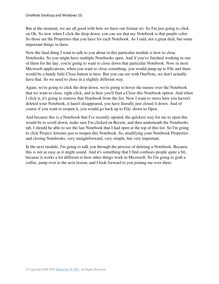But at the moment, we are all good with how we have our format set. So I'm just going to click on Ok. So now when I click the drop down, you can see that my Notebook is that purple color. So those are the Properties that you have for each Notebook. As I said, not a great deal, but some important things in there.

Now the final thing I want to talk to you about in this particular module is how to close Notebooks. So you might have multiple Notebooks open. And if you've finished working in one of them for the day, you're going to want to close down that particular Notebook. Now in most Microsoft applications, when you want to close something, you would jump up to File and there would be a handy little Close button in here. But you can see with OneNote, we don't actually have that. So we need to close in a slightly different way.

Again, we're going to click the drop down, we're going to hover the mouse over the Notebook that we want to close, right-click, and in here you'll find a Close this Notebook option. And when I click it, it's going to remove that Notebook from the list. Now I want to stress here you haven't deleted your Notebook, it hasn't disappeared, you have literally just closed it down. And of course if you want to reopen it, you would go back up to File, down to Open.

And because this is a Notebook that I've recently opened, the quickest way for me to open this would be to scroll down, make sure I'm clicked on Recent, and then underneath the Notebooks tab, I should be able to see the last Notebook that I had open at the top of this list. So I'm going to click Project Artemis just to reopen this Notebook. So, modifying your Notebook Properties and closing Notebooks, very straightforward, very simple, but very important.

In the next module, I'm going to talk you through the process of deleting a Notebook. Because this is not as easy as it might sound. And it's something that I find confuses people quite a bit, because it works a lot different to how other things work in Microsoft. So I'm going to grab a coffee, jump over to the next lesson, and I look forward to you joining me over there.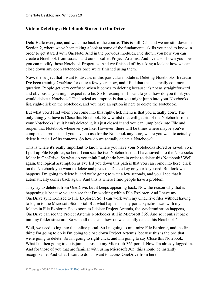#### <span id="page-23-0"></span>**Video: Deleting a Notebook Stored in OneDrive**

**Deb:** Hello everyone, and welcome back to the course. This is still Deb, and we are still down in Section 2, where we've been taking a look at some of the fundamental skills you need to know in order to get started with OneNote. And in the previous modules, I've shown you how you can create a Notebook from scratch and ours is called Project Artemis. And I've also shown you how you can modify those Notebook Properties. And we finished off by taking a look at how we can close down any open Notebooks once we're finished using them.

Now, the subject that I want to discuss in this particular module is Deleting Notebooks. Because I've been training OneNote for quite a few years now, and I find that this is a really common question. People get very confused when it comes to deleting because it's not as straightforward and obvious as you might expect it to be. So for example, if I said to you, how do you think you would delete a Notebook? The logical assumption is that you might jump into your Notebooks list, right-click on the Notebook, and you have an option in here to delete the Notebook.

But what you'll find when you come into this right-click menu is that you actually don't. The only thing you have is Close this Notebook. Now whilst that will get rid of the Notebook from your Notebooks list, it hasn't deleted it, it's just closed it and you can jump back into File and reopen that Notebook whenever you like. However, there will be times where maybe you've completed a project and you have no use for the Notebook anymore, where you want to actually delete it and all of its contents. So how do we actually delete a Notebook?

This is where it's really important to know where you have your Notebooks stored or saved. So if I pull up File Explorer, so here, I can see the two Notebooks that I have saved into the Notebooks folder in OneDrive. So what do you think I might do here in order to delete this Notebook? Well, again, the logical assumption as I've led you down this path is that you can come into here, click on the Notebook you want to delete and press the Delete key on your keyboard. But look what happens. I'm going to delete it, and we're going to wait a few seconds, and you'll see that it automatically comes back again. And this is where I find people have a problem.

They try to delete it from OneDrive, but it keeps appearing back. Now the reason why that is happening is because you can see that I'm working within File Explorer. And I have my OneDrive synchronized to File Explorer. So, I can work with my OneDrive files without having to log in to the Microsoft 365 portal. But what happens is my portal synchronizes with my folders in File Explorer. So as soon as I delete Project Artemis, the synchronization happens, OneDrive can see the Project Artemis Notebooks still in Microsoft 365. And so it pulls it back into my folder structure. So with all that said, how do we actually delete this Notebook?

Well, we need to log into the online portal. So I'm going to minimize File Explorer, and the first thing I'm going to do is I'm going to close down Project Artemis, because this is the one that we're going to delete. So I'm going to right-click, and I'm going to say Close this Notebook. What I'm then going to do is jump across to my Microsoft 365 portal. Now I'm already logged in. And for those of you that are familiar with using Microsoft 365, this should be instantly recognizable. And what I want to do is I want to access OneDrive from here.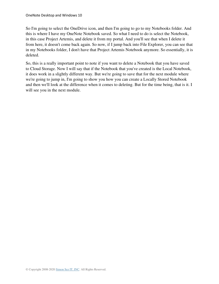So I'm going to select the OneDrive icon, and then I'm going to go to my Notebooks folder. And this is where I have my OneNote Notebook saved. So what I need to do is select the Notebook, in this case Project Artemis, and delete it from my portal. And you'll see that when I delete it from here, it doesn't come back again. So now, if I jump back into File Explorer, you can see that in my Notebooks folder, I don't have that Project Artemis Notebook anymore. So essentially, it is deleted.

So, this is a really important point to note if you want to delete a Notebook that you have saved to Cloud Storage. Now I will say that if the Notebook that you've created is the Local Notebook, it does work in a slightly different way. But we're going to save that for the next module where we're going to jump in, I'm going to show you how you can create a Locally Stored Notebook and then we'll look at the difference when it comes to deleting. But for the time being, that is it. I will see you in the next module.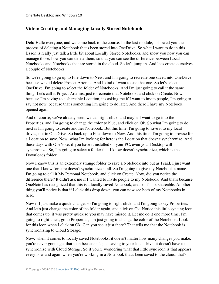#### <span id="page-25-0"></span>**Video: Creating and Managing Locally Stored Notebook**

**Deb:** Hello everyone, and welcome back to the course. In the last module, I showed you the process of deleting a Notebook that's been stored into OneDrive. So what I want to do in this lesson is really just talk a little bit about Locally Stored Notebooks, and show you how you can manage those, how you can delete them, so that you can see the difference between Local Notebooks and Notebooks that are stored in the cloud. So let's jump in. And let's create ourselves a couple of Notebooks.

So we're going to go up to File down to New, and I'm going to recreate one saved into OneDrive because we did delete Project Artemis. And I kind of want to use that one. So let's select OneDrive. I'm going to select the folder of Notebooks. And I'm just going to call it the same thing. Let's call it Project Artemis, just to recreate that Notebook, and click on Create. Now, because I'm saving to a shareable Location, it's asking me if I want to invite people, I'm going to say not now, because that's something I'm going to do later. And there I have my Notebook opened again.

And of course, we've already seen, we can right-click, and maybe I want to go into the Properties, and I'm going to change the color to blue, and click on Ok. So what I'm going to do next is I'm going to create another Notebook. But this time, I'm going to save it to my local drives, not in OneDrive. So back up to File, down to New. And this time, I'm going to browse for a Location to save. Now, what I'm looking for here is the Location that doesn't synchronize. And these days with OneNote, if you have it installed on your PC, even your Desktop will synchronize. So, I'm going to select a folder that I know doesn't synchronize, which is the Downloads folder.

Now I know this is an extremely strange folder to save a Notebook into but as I said, I just want one that I know for sure doesn't synchronize at all. So I'm going to give my Notebook a name. I'm going to call it My Personal Notebook, and click on Create. Now, did you notice the difference there? It didn't ask me if I wanted to invite people to my Notebook. And that's because OneNote has recognized that this is a locally saved Notebook, and so it's not shareable. Another thing you'll notice is that if I click this drop down, you can now see both of my Notebooks in here.

Now if I just make a quick change, so I'm going to right-click, and I'm going to say Properties. And let's just change the color of the folder again, and click on Ok. Notice this little syncing icon that comes up, it was pretty quick so you may have missed it. Let me do it one more time. I'm going to right-click, go to Properties, I'm just going to change the color of the Notebook. Look for this icon when I click on Ok. Can you see it just there? That tells me that the Notebook is synchronizing to Cloud Storage.

Now, when it comes to locally saved Notebooks, it doesn't matter how many changes you make, you're never gonna get that icon because it's just saving to your local drive, it doesn't have to synchronize with Cloud Storage. So if you're wondering what that little sync icon is that appears every now and again when you're working in a Notebook that's been saved to the cloud, that's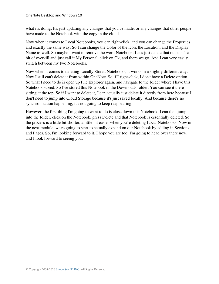what it's doing. It's just updating any changes that you've made, or any changes that other people have made to the Notebook with the copy in the cloud.

Now when it comes to Local Notebooks, you can right-click, and you can change the Properties and exactly the same way. So I can change the Color of the icon, the Location, and the Display Name as well. So maybe I want to remove the word Notebook. Let's just delete that out as it's a bit of overkill and just call it My Personal, click on Ok, and there we go. And I can very easily switch between my two Notebooks.

Now when it comes to deleting Locally Stored Notebooks, it works in a slightly different way. Now I still can't delete it from within OneNote. So if I right-click, I don't have a Delete option. So what I need to do is open up File Explorer again, and navigate to the folder where I have this Notebook stored. So I've stored this Notebook in the Downloads folder. You can see it there sitting at the top. So if I want to delete it, I can actually just delete it directly from here because I don't need to jump into Cloud Storage because it's just saved locally. And because there's no synchronization happening, it's not going to keep reappearing.

However, the first thing I'm going to want to do is close down this Notebook. I can then jump into the folder, click on the Notebook, press Delete and that Notebook is essentially deleted. So the process is a little bit shorter, a little bit easier when you're deleting Local Notebooks. Now in the next module, we're going to start to actually expand on our Notebook by adding in Sections and Pages. So, I'm looking forward to it. I hope you are too. I'm going to head over there now, and I look forward to seeing you.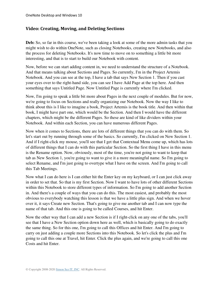#### <span id="page-27-0"></span>**Video: Creating, Moving, and Deleting Sections**

**Deb:** So, so far in this course, we've been taking a look at some of the more admin tasks that you might wish to do within OneNote, such as closing Notebooks, creating new Notebooks, and also the process for deleting Notebooks. It's now time to move on to something a little bit more interesting, and that is to start to build our Notebook with content.

Now, before we can start adding content in, we need to understand the structure of a Notebook. And that means talking about Sections and Pages. So currently, I'm in the Project Artemis Notebook. And you can see at the top, I have a tab that says New Section 1. Then if you cast your eyes over to the right-hand side, you can see I have Add Page at the top here. And then something that says Untitled Page. Now Untitled Page is currently where I'm clicked.

Now, I'm going to speak a little bit more about Pages in the next couple of modules. But for now, we're going to focus on Sections and really organizing our Notebook. Now the way I like to think about this is I like to imagine a book, Project Artemis is the book title. And then within that book, I might have part one, which would be the Section. And then I would have the different chapters, which might be the different Pages. So these are kind of like dividers within your Notebook. And within each Section, you can have numerous different Pages.

Now when it comes to Sections, there are lots of different things that you can do with them. So let's start out by running through some of the basics. So currently, I'm clicked on New Section 1. And if I right-click my mouse, you'll see that I get that Contextual Menu come up, which has lots of different things that I can do with this particular Section. So the first thing I have in this menu is the Rename option. Now, obviously, most of the time, you're not going to want to keep that tab as New Section 1, you're going to want to give it a more meaningful name. So I'm going to select Rename, and I'm just going to overtype what I have on the screen. And I'm going to call this Tab Meetings.

Now what I can do here is I can either hit the Enter key on my keyboard, or I can just click away in order to set that. So that is my first Section. Now I want to have lots of other different Sections within this Notebook to store different types of information. So I'm going to add another Section in. And there's a couple of ways that you can do this. The most easiest, and probably the most obvious to everybody watching this lesson is that we have a little plus sign. And when we hover over it, it says Create new Section. That's going to give me another tab and I can now type the name of that tab. And this one is going to be called Courses, and hit Enter.

Now the other way that I can add a new Section is if I right-click on any one of the tabs, you'll see that I have a New Section option down here as well, which is basically going to do exactly the same thing. So for this one, I'm going to call this Offices and hit Enter. And I'm going to carry on just adding a couple more Sections into this Notebook. So let's click the plus and I'm going to call this one at Travel, hit Enter. Click the plus again, and we're going to call this one Costs and hit Enter.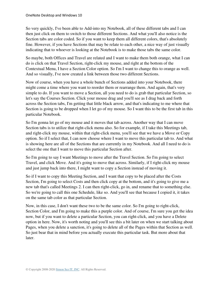So very quickly, I've been able to Add-into my Notebook, all of these different tabs and I can then just click on them to switch to those different Sections. And what you'll also notice is the Section tabs are color coded. So if you want to keep them all different colors, that's absolutely fine. However, if you have Sections that may be relate to each other, a nice way of just visually indicating that to whoever is looking at the Notebook is to make those tabs the same color.

So maybe, both Offices and Travel are related and I want to make them both orange, what I can do is click on that Travel Section, right-click my mouse, and right at the bottom of the Contextual Menu, I have a Section Color option. So I'm I want to change this to orange as well. And so visually, I've now created a link between those two different Sections.

Now of course, when you have a whole bunch of Sections added into your Notebook, there might come a time where you want to reorder them or rearrange them. And again, that's very simple to do. If you want to move a Section, all you need to do is grab that particular Section, so let's say the Courses Section. Click your mouse drag and you'll see as I drag back and forth across the Section tabs, I'm getting that little black arrow, and that's indicating to me where that Section is going to be dropped when I let go of my mouse. So I want this to be the first tab in this particular Notebook.

So I'm gonna let go of my mouse and it moves that tab across. Another way that I can move Section tabs is to utilize that right-click menu also. So for example, if I take this Meetings tab, and right-click my mouse, within that right-click menu, you'll see that we have a Move or Copy option. So if I select that, I can now choose where I want to move this particular tab to. And what is showing here are all of the Sections that are currently in my Notebook. And all I need to do is select the one that I want to move this particular Section after.

So I'm going to say I want Meetings to move after the Travel Section. So I'm going to select Travel, and click Move. And it's going to move that across. Similarly, if I right-click my mouse and just jump back into there, I might want to copy a Section instead of moving it.

So if I want to copy this Meeting Section, and I want that copy to be placed after the Costs Section, I'm going to select Costs and then click copy at the bottom, and it's going to give me a new tab that's called Meetings 2. I can then right-click, go in, and rename that to something else. So we're going to call this one Schedule, like so. And you'll see that because I copied it, it takes on the same tab color as that particular Section.

Now, in this case, I don't want these two to be the same color. So I'm going to right-click, Section Color, and I'm going to make this a purple color. And of course, I'm sure you get the idea now, but if you want to delete a particular Section, you can right-click, and you have a Delete option in here. Now, it's worth noting and you'll see this a bit later on when we start talking about Pages, when you delete a sanction, it's going to delete all of the Pages within that Section as well. So just bear that in mind before you actually execute this particular task. But more about that later.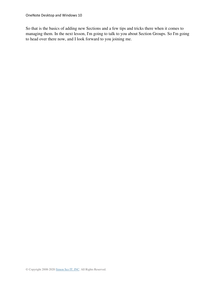So that is the basics of adding new Sections and a few tips and tricks there when it comes to managing them. In the next lesson, I'm going to talk to you about Section Groups. So I'm going to head over there now, and I look forward to you joining me.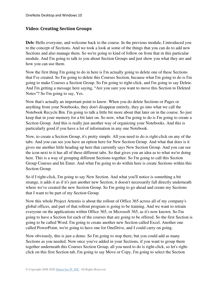#### <span id="page-30-0"></span>**Video: Creating Section Groups**

**Deb:** Hello everyone, and welcome back to the course. In the previous module, I introduced you to the concept of Sections. And we took a look at some of the things that you can do to add new Sections and also manage them. So we're going to kind of follow on from that in this particular module. And I'm going to talk to you about Section Groups and just show you what they are and how you can use them.

Now the first thing I'm going to do in here is I'm actually going to delete one of these Sections that I've created. So I'm going to delete this Courses Section, because what I'm going to do is I'm going to make Courses a Section Group. So I'm going to right-click, and I'm going to say Delete. And I'm getting a message here saying, "Are you sure you want to move this Section to Deleted Notes"? So I'm going to say, Yes.

Now that's actually an important point to know. When you do delete Sections or Pages or anything from your Notebooks, they don't disappear entirely, they go into what we call the Notebook Recycle Bin. I'm going to talk a little bit more about that later on in the course. So just keep that in your memory for a bit later on. So now, what I'm going to do is I'm going to create a Section Group. And this is really just another way of organizing your Notebooks. And this is particularly good if you have a lot of information in any one Notebook.

Now, to create a Section Group, it's pretty simple. All you need to do is right-click on any of the tabs. And you can see you have an option here for New Section Group. And what that does is it gives me another little heading up here that currently says New Section Group. And you can see the icon next to it has all of these different tabs. So that gives you an idea as to what we're doing here. This is a way of grouping different Sections together. So I'm going to call this Section Group Courses and hit Enter. And what I'm going to do within here is create Sections within this Section Group.

So if I right-click, I'm going to say New Section. And what you'll notice is something a bit strange, it adds it as if it's just another new Section, it doesn't necessarily fall directly underneath where we've created the new Section Group. So I'm going to go ahead and create my Sections that I want to be part of my Section Group.

Now this whole Project Artemis is about the rollout of Office 365 across all of my company's global offices, and part of that rollout program is going to be training. And we want to retrain everyone on the applications within Office 365, or Microsoft 365, as it's now known. So I'm going to have a Section for each of the courses that are going to be offered. So the first Section is going to be called Word. I'm going to create another new Section called Excel. Another one called PowerPoint, we're going to have one for OneDrive, and I could carry on going.

Now obviously, this is just a demo. So I'm going to stop there, but you could add as many Sections as you needed. Now once you've added in your Sections, if you want to group them together underneath this Courses Section Group, all you need to do is right-click, so let's rightclick on this first Section tab, I'm going to say Move or Copy, I'm going to select the Section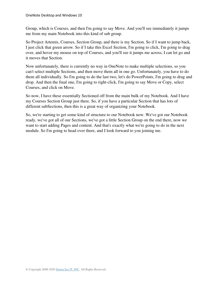Group, which is Courses, and then I'm going to say Move. And you'll see immediately it jumps me from my main Notebook into this kind of sub group.

So Project Artemis, Courses, Section Group, and there is my Section. So if I want to jump back, I just click that green arrow. So if I take this Excel Section, I'm going to click, I'm going to drag over, and hover my mouse on top of Courses, and you'll see it jumps me across, I can let go and it moves that Section.

Now unfortunately, there is currently no way in OneNote to make multiple selections, so you can't select multiple Sections, and then move them all in one go. Unfortunately, you have to do them all individually. So I'm going to do the last two, let's do PowerPoints, I'm going to drag and drop. And then the final one, I'm going to right-click, I'm going to say Move or Copy, select Courses, and click on Move.

So now, I have these essentially Sectioned off from the main bulk of my Notebook. And I have my Courses Section Group just there. So, if you have a particular Section that has lots of different subSections, then this is a great way of organizing your Notebook.

So, we're starting to get some kind of structure to our Notebook now. We've got our Notebook ready, we've got all of our Sections, we've got a little Section Group on the end there, now we want to start adding Pages and content. And that's exactly what we're going to do in the next module. So I'm going to head over there, and I look forward to you joining me.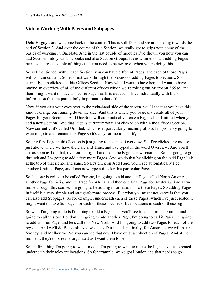#### <span id="page-32-0"></span>**Video: Working With Pages and Subpages**

**Deb:** Hi guys, and welcome back to the course. This is still Deb, and we are heading towards the end of Section 2. And over the course of this Section, we really got to grips with some of the basics of working in OneNote. And in the last couple of modules I've shown you how you can add Sections into your Notebooks and also Section Groups. It's now time to start adding Pages because there's a couple of things that you need to be aware of when you're doing this.

So as I mentioned, within each Section, you can have different Pages, and each of those Pages will contain content. So let's first walk through the process of adding Pages to Sections. So currently, I'm clicked on this Offices Section. Now what I want to have here is I want to have maybe an overview of all of the different offices which we're rolling out Microsoft 365 to, and then I might want to have a specific Page that lists out each office individually with bits of information that are particularly important to that office.

Now, if you cast your eyes over to the right-hand side of the screen, you'll see that you have this kind of orange bar running down the side. And this is where you basically create all of your Pages for your Sections. And OneNote will automatically create a Page called Untitled when you add a new Section. And that Page is currently what I'm clicked on within the Offices Section. Now currently, it's called Untitled, which isn't particularly meaningful. So, I'm probably going to want to go in and rename this Page so it's easy for me to identify.

So, my first Page in this Section is just going to be called Overview. So, I've clicked my mouse just above where we have the Date and Time, and I've typed in the word Overview. And you'll see as soon as I do that, over on the right-hand side, the Page is now renamed. So I'm going to go through and I'm going to add a few more Pages. And we do that by clicking on the Add Page link at the top of that right-hand pane. So let's click on Add Page, you'll see automatically I get another Untitled Page, and I can now type a title for this particular Page.

So this one is going to be called Europe, I'm going to add another Page called North America, another Page for Asia, another Page for Africa, and then one final Page for Australia. And as we move through this course, I'm going to be adding information onto these Pages. So adding Pages in itself is a very simple and straightforward process. But what you might not know is that you can also add Subpages. So for example, underneath each of these Pages, which I've just created, I might want to have Subpages for each of these specific office locations in each of these regions.

So what I'm going to do is I'm going to add a Page, and you'll see it adds it to the bottom, and I'm going to call this one London. I'm going to add another Page, I'm going to call it Paris, I'm going to add another Page, and let's call this New York. And I'm going to add two Pages for each of the regions. And we'll do Bangkok. And we'll say Durban. Then finally, for Australia, we will have Sydney, and Melbourne. So you can see that now I have quite a collection of Pages. And at the moment, they're not really organized as I want them to be.

So the first thing I'm going to want to do is I'm going to want to move the Pages I've just created underneath their relevant locations. So for example, we've got London and that needs to go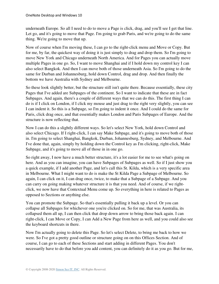underneath Europe. So all I need to do to move a Page is click, drag, and you'll see I get that line. Let go, and it's going to move that Page. I'm going to grab Paris, and we're going to do the same thing. We're going to move that up.

Now of course when I'm moving these, I can go to the right-click menu and Move or Copy. But for me, by far, the quickest way of doing it is just simply to drag and drop them. So I'm going to move New York and Chicago underneath North America. And for Pages you can actually move multiple Pages in one go. So, I want to move Shanghai and if I hold down my control key I can also select Bangkok. And then I can move both of those underneath Asia. So I'm going to do the same for Durban and Johannesburg, hold down Control, drag and drop. And then finally the bottom we have Australia with Sydney and Melbourne.

So these look slightly better, but the structure still isn't quite there. Because essentially, these city Pages that I've added are Subpages of the continent. So I want to indicate that these are in fact Subpages. And again, there's a couple of different ways that we can do this. The first thing I can do is if I click on London, if I click my mouse and just drag to the right very slightly, you can see I can indent it. So this is a Subpage, so I'm going to indent it once. And I could do the same for Paris, click drag once, and that essentially makes London and Paris Subpages of Europe. And the structure is now reflecting that.

Now I can do this a slightly different ways. So let's select New York, hold down Control and also select Chicago. If I right-click, I can say Make Subpage, and it's going to move both of those in. I'm going to select Shanghai, Bangkok, Durban, Johannesburg, Sydney, and Melbourne. And I've done that, again, simply by holding down the Control key as I'm clicking, right-click, Make Subpage, and it's going to move all of those in in one go.

So right away, I now have a much better structure, it's a lot easier for me to see what's going on here. And as you can imagine, you can have Subpages of Subpages as well. So if I just show you a quick example, if I add another Page, and let's call this St. Kilda, which is a very specific area in Melbourne. What I might want to do is make the St Kilda Page a Subpage of Melbourne. So again, I can click on it, I can drag once, twice, to make that a Subpage of a Subpage. And you can carry on going making whatever structure it is that you need. And of course, if we rightclick, we now have that Contextual Menu come up. So everything in here is related to Pages as opposed to Sections or anything else.

You can promote the Subpage. So that's essentially pulling it back up a level. Or you can collapse all Subpages for whichever one you're clicked on. So for me, that was Australia, its collapsed them all up, I can then click that drop down arrow to bring those back again. I can right-click, I can Move or Copy, I can Add a New Page from here as well, and you could also see the keyboard shortcuts in there.

Now I'm actually going to delete this Page. So let's select Delete, to bring me back to how we were. So I've got a pretty good outline or structure going on on this Offices Section. And of course, I can go to each of these Sections and start adding in different Pages. You don't necessarily have to do that before you add content, you can definitely do it as you go. But for me,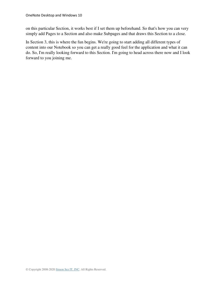on this particular Section, it works best if I set them up beforehand. So that's how you can very simply add Pages to a Section and also make Subpages and that draws this Section to a close.

In Section 3, this is where the fun begins. We're going to start adding all different types of content into our Notebook so you can get a really good feel for the application and what it can do. So, I'm really looking forward to this Section. I'm going to head across there now and I look forward to you joining me.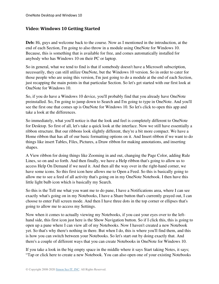#### <span id="page-35-0"></span>**Video: Windows 10 Getting Started**

**Deb:** Hi, guys and welcome back to the course. Now as I mentioned in the introduction, at the end of each Section, I'm going to also throw in a module using OneNote for Windows 10. Because, this is something that is available for free, and comes automatically installed for anybody who has Windows 10 on their PC or laptop.

So in general, what we tend to find is that if somebody doesn't have a Microsoft subscription, necessarily, they can still utilize OneNote, but the Windows 10 version. So in order to cater for those people who are using this version, I'm just going to do a module at the end of each Section, just recapping the main points in that particular Section. So let's get started with our first look at OneNote for Windows 10.

So, if you do have a Windows 10 device, you'll probably find that you already have OneNote preinstalled. So, I'm going to jump down to Search and I'm going to type in OneNote. And you'll see the first one that comes up is OneNote for Windows 10. So let's click to open this app and take a look at the differences.

So immediately, what you'll notice is that the look and feel is completely different to OneNote for Desktop. So first of all, let's take a quick look at the interface. Now we still have essentially a ribbon structure. But our ribbons look slightly different, they're a bit more compact. We have a Home ribbon that has all of our basic formatting options on it. And Insert ribbon if we want to do things like insert Tables, Files, Pictures, a Draw ribbon for making annotations, and inserting shapes.

A View ribbon for doing things like Zooming in and out, changing the Page Color, adding Rule Lines, so on and so forth. And then finally, we have a Help ribbon that's going to allow us to access Help On Demand if we need it. And then all the way over in the right-hand corner, we have some icons. So this first icon here allows me to Open a Feed. So this is basically going to allow me to see a feed of all activity that's going on in my OneNote Notebook. I then have this little light bulb icon which is basically my Search.

So this is the Tell me what you want me to do pane, I have a Notifications area, where I can see exactly what's going on in my Notebooks, I have a Share button that's currently grayed out, I can choose to enter Full screen mode. And then I have three dots in the top corner or ellipses that's going to allow me to access my Settings.

Now when it comes to actually viewing my Notebooks, if you cast your eyes over to the lefthand side, this first icon just here is the Show Navigation button. So if I click this, this is going to open up a pane where I can view all of my Notebooks. Now I haven't created a new Notebook yet. So that's why there's nothing in there. But when I do, this is where you'll find them, and this is how you can switch between your Notebooks. So let's start out by doing exactly that. And there's a couple of different ways that you can create Notebooks in OneNote for Windows 10.

If you take a look in the big empty space in the middle where it says Start taking Notes, it says; "Tap or click here to create a new Notebook. You can also open one of your existing Notebooks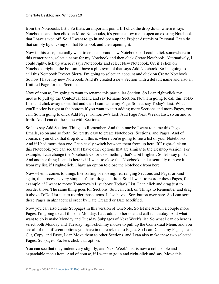from the Notebooks list". So that's an important point. If I click the drop down where it says Notebooks and then click on More Notebooks, it's gonna allow me to open an existing Notebook that I have saved off. So if I want to go in and open up the Project Artemis or Personal, I can do that simply by clicking on that Notebook and then opening it.

Now in this case, I actually want to create a brand new Notebook so I could click somewhere in this center pane, select a name for my Notebook and then click Create Notebook. Alternatively, I could right-click up where it says Notebooks and select New Notebook. Or, if I click on Notebooks right at the bottom, I have a plus symbol that says Add Notebook. So I'm going to call this Notebook Project Sierra. I'm going to select an account and click on Create Notebook. So now I have my new Notebook. And it's created a new Section with a default name and also an Untitled Page for that Section.

Now of course, I'm going to want to rename this particular Section. So I can right-click my mouse to pull up the Contextual Menu and say Rename Section. Now I'm going to call this ToDo List, and click away to set that and then I can name my Page. So let's say Today's List. What you'll notice is right at the bottom if you want to start adding more Sections and more Pages, you can. So I'm going to click Add Page, Tomorrow's List. Add Page Next Week's List, so on and so forth. And I can do the same with Sections.

So let's say Add Section, Things to Remember. And then maybe I want to name this Page Emails, so on and so forth. So, pretty easy to create Notebooks, Sections, and Pages. And of course, if you click that drop down, this is where you're going to see a list of your Notebooks. And if I had more than one, I can easily switch between them from up here. If I right-click on this Notebook, you can see that I have other options that are similar to the Desktop version. For example, I can change the Notebook Color to something that's a bit brighter. So let's say pink. And another thing I can do here is if I want to close this Notebook, and essentially remove it from my list, if I right-click, I have an option to close the Notebook from here.

Now when it comes to things like sorting or moving, rearranging Sections and Pages around again, the process is very simple, it's just drag and drop. So if I want to reorder these Pages, for example, if I want to move Tomorrow's List above Today's List, I can click and drag just to reorder those. The same thing goes for Sections. So I can click on Things to Remember and drag it above ToDo List just to reorder those items. I also have a Sort button over here. So I can sort these Pages in alphabetical order by Date Created or Date Modified.

Now you can also create Subpages in this version of OneNote. So let me Add-in a couple more Pages, I'm going to call this one Monday. Let's add another one and call it Tuesday. And what I want to do is make Monday and Tuesday Subpages of Next Week's list. So what I can do here is select both Monday and Tuesday, right-click my mouse to pull up the Contextual Menu, and you see all of the different options you have in there related to Pages. So I can Delete my Pages, I can Cut, Copy, and Paste, I can Move them to other Sections, and I can also make these two selected Pages, Subpages. So, let's click that option.

You can see that they indent very slightly, and Next Week's list is now a collapsible and expandable menu item. And of course, if I want to go in and right-click and say, Move this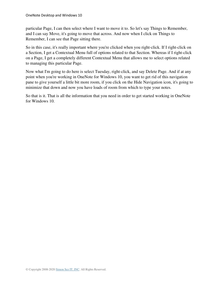particular Page, I can then select where I want to move it to. So let's say Things to Remember, and I can say Move, it's going to move that across. And now when I click on Things to Remember, I can see that Page sitting there.

So in this case, it's really important where you're clicked when you right-click. If I right-click on a Section, I get a Contextual Menu full of options related to that Section. Whereas if I right-click on a Page, I get a completely different Contextual Menu that allows me to select options related to managing this particular Page.

Now what I'm going to do here is select Tuesday, right-click, and say Delete Page. And if at any point when you're working in OneNote for Windows 10, you want to get rid of this navigation pane to give yourself a little bit more room, if you click on the Hide Navigation icon, it's going to minimize that down and now you have loads of room from which to type your notes.

So that is it. That is all the information that you need in order to get started working in OneNote for Windows 10.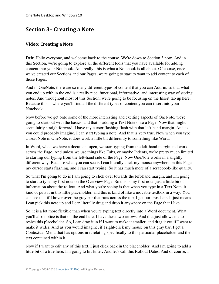# **Section 3– Creating a Note**

#### **Video: Creating a Note**

**Deb:** Hello everyone, and welcome back to the course. We're down to Section 3 now. And in this Section, we're going to explore all the different tools that you have available for adding content into your Notebook. And really, this is what a Notebook is all about. Of course, once we've created our Sections and our Pages, we're going to start to want to add content to each of those Pages.

And in OneNote, there are so many different types of content that you can Add-in, so that what you end up with in the end is a really nice, functional, informative, and interesting way of storing notes. And throughout most of this Section, we're going to be focusing on the Insert tab up here. Because this is where you'll find all the different types of content you can insert into your Notebook.

Now before we get onto some of the more interesting and exciting aspects of OneNote, we're going to start out with the basics, and that is adding a Text Note onto a Page. Now that might seem fairly straightforward, I have my cursor flashing flush with that left-hand margin. And as you could probably imagine, I can start typing a note. And that is very true. Now when you type a Text Note in OneNote, it does work a little bit differently to something like Word.

In Word, when we have a document open, we start typing from the left-hand margin and work across the Page. And unless we use things like Tabs, or maybe Indents, we're pretty much limited to starting our typing from the left-hand side of the Page. Now OneNote works in a slightly different way. Because what you can see is I can literally click my mouse anywhere on this Page, my cursor starts flashing, and I can start typing. So it has much more of a scrapbook-like quality.

So what I'm going to do is I am going to click over towards the left-hand margin, and I'm going to start to type my first note on the Overview Page. So this is my first note, just a little bit of information about the rollout. And what you're seeing is that when you type in a Text Note, it kind of puts it in this little placeholder, and this is kind of like a movable textbox in a way. You can see that if I hover over the gray bar that runs across the top, I get our crosshair. It just means I can pick this note up and I can literally drag and drop it anywhere on the Page that I like.

So, it is a lot more flexible than when you're typing text directly into a Word document. What you'll also notice is that on the end here, I have these two arrows. And that just allows me to resize this placeholder. So, I can drag it in if I want to make it smaller, and drag it out if I want to make it wider. And as you would imagine, if I right-click my mouse on this gray bar, I get a Contextual Menu that has options in it relating specifically to this particular placeholder and the text contained within it.

Now if I want to edit any of this text, I just click back in the placeholder. And I'm going to add a little bit of a title here, I'm going to hit Enter. And let's call this Rollout Dates. And of course, I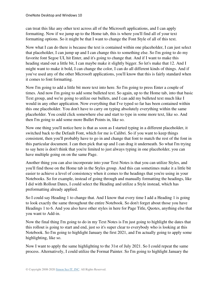can treat this like any other text across all of the Microsoft applications, and I can apply formatting. Now if we jump up to the Home tab, this is where you'll find all of your text formatting options. So it might be that I want to change the Font Style of all of this text.

Now what I can do there is because the text is contained within one placeholder, I can just select that placeholder, I can jump up and I can change this to something else. So I'm going to do my favorite font Segoe UI, hit Enter, and it's going to change that. And if I want to make this heading stand out a little bit, I can maybe make it slightly bigger. So let's make that 12. And I might want to make it bold, I can change the color, I can do all different kinds of things. And if you've used any of the other Microsoft applications, you'll know that this is fairly standard when it comes to font formatting.

Now I'm going to add a little bit more text into here. So I'm going to press Enter a couple of times. And now I'm going to add some bulleted text. So again, up to the Home tab, into that basic Text group, and we're going to utilize our bullets, and I can add my bulleted text much like I would in any other application. Now everything that I've typed so far has been contained within this one placeholder. You don't have to carry on typing absolutely everything within the same placeholder. You could click somewhere else and start to type in some more text, like so. And then I'm going to add some more Bullet Points in, like so.

Now one thing you'll notice here is that as soon as I started typing in a different placeholder, it switched back to the Default Font, which for me is Calibri. So if you want to keep things consistent, then you'll probably have to go in and change that font to match the rest of the font in this particular document. I can then pick that up and I can drag it underneath. So what I'm trying to say here is don't think that you're limited to just always typing in one placeholder, you can have multiple going on on the same Page.

Another thing you can also incorporate into your Text Notes is that you can utilize Styles, and you'll find those on the Home tab in the Styles group. And this can sometimes make it a little bit easier to achieve a level of consistency when it comes to the headings that you're using in your Notebooks. So for example, instead of going through and manually formatting the headings, like I did with Rollout Dates, I could select the Heading and utilize a Style instead, which has preformatting already applied.

So I could say Heading 1 to change that. And I know that every time I add a Heading 1 is going to look exactly the same throughout the entire Notebook. So don't forget about those you have Headings 1 to 6. And you also have other styles in here for Page Title, Quotes, anything else that you want to Add-in.

Now the final thing I'm going to do in my Text Notes is I'm just going to highlight the dates that this rollout is going to start and end, just so it's super clear to everybody who is looking at this Notebook. So I'm going to highlight January the first 2021, and I'm actually going to apply some highlighting, like so.

Now I want to apply the same highlighting to the 31st of July 2021. So I could repeat the same process. Alternatively, I could utilize the Format Painter. So I'm going to highlight January the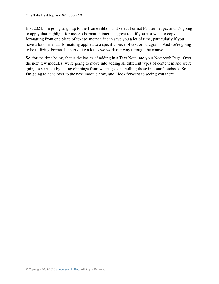first 2021, I'm going to go up to the Home ribbon and select Format Painter, let go, and it's going to apply that highlight for me. So Format Painter is a great tool if you just want to copy formatting from one piece of text to another, it can save you a lot of time, particularly if you have a lot of manual formatting applied to a specific piece of text or paragraph. And we're going to be utilizing Format Painter quite a lot as we work our way through the course.

So, for the time being, that is the basics of adding in a Text Note into your Notebook Page. Over the next few modules, we're going to move into adding all different types of content in and we're going to start out by taking clippings from webpages and pulling those into our Notebook. So, I'm going to head over to the next module now, and I look forward to seeing you there.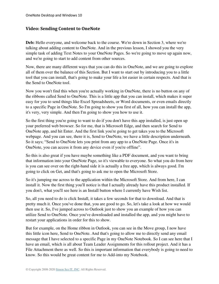## **Video: Sending Content to OneNote**

**Deb:** Hello everyone, and welcome back to the course. We're down in Section 3, where we're talking about adding content to OneNote. And in the previous lesson, I showed you the very simple task of adding Text Notes to your OneNote Pages. So we're going to move up again now, and we're going to start to add content from other sources.

Now, there are many different ways that you can do this in OneNote, and we are going to explore all of them over the balance of this Section. But I want to start out by introducing you to a little tool that you can install, that's going to make your life a lot easier in certain respects. And that is the Send to OneNote tool.

Now you won't find this when you're actually working in OneNote, there is no button on any of the ribbons called Send to OneNote. This is a little app that you can install, which makes it super easy for you to send things like Excel Spreadsheets, or Word documents, or even emails directly to a specific Page in OneNote. So I'm going to show you first of all, how you can install the app, it's very, very simple. And then I'm going to show you how to use it.

So the first thing you're going to want to do if you don't have this app installed, is just open up your preferred web browser. So for me, that is Microsoft Edge, and then search for Send to OneNote app, and hit Enter. And the first link you're going to get takes you to the Microsoft webpage. And you can see, there it is, Send to OneNote, we have a little description underneath. So it says; "Send to OneNote lets you print from any app to a OneNote Page. Once it's in OneNote, you can access it from any device even if you're offline".

So this is also great if you have maybe something like a PDF document, and you want to bring that information into your OneNote Page, so it's viewable to everyone. So what you do from here is you can see over on the right-hand side it is actually a free app, which is always good. I'm going to click on Get, and that's going to ask me to open the Microsoft Store.

So it's jumping me across to the application within the Microsoft Store. And from here, I can install it. Now the first thing you'll notice is that I actually already have this product installed. If you don't, what you'll see here is an Install button where I currently have Wish list.

So, all you need to do is click Install, it takes a few seconds for that to download. And that is pretty much it. Once you've done that, you are good to go. So, let's take a look at how we would then use it. So, I've jumped across to Outlook just to show you an example of how you can utilize Send to OneNote. Once you've downloaded and installed the app, and you might have to restart your applications in order for this to show.

But for example, on the Home ribbon in Outlook, you can see in the Move group, I now have this little icon here, Send to OneNote. And that's going to allow me to directly send any email message that I have selected to a specific Page in my OneNote Notebook. So I can see here that I have an email, which is all about Team Leader Assignments for this rollout project. And it has a File Attachment there as well. So this is important information that everybody is going to need to know. So this would be great content for me to Add-into my Notebook.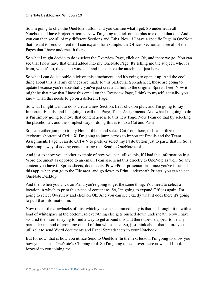So I'm going to click the OneNote button, and you can see what I get. So underneath all Notebooks, I have Project Artemis. Now I'm going to click on the plus to expand that out. And you can then see all of my different Sections and Tabs. Now if I have a specific Page in OneNote that I want to send content to, I can expand for example, the Offices Section and see all of the Pages that I have underneath there.

So what I might decide to do is select the Overview Page, click on Ok, and there we go. You can see that I now have that email added into my OneNote Page. It's telling me the subject, who it's from, who it's to, the date it was sent, and I also have the attachment just here.

So what I can do is double-click on this attachment, and it's going to open it up. And the cool thing about this is if any changes are made to this particular Spreadsheet, those are going to update because you're essentially you've just created a link to the original Spreadsheet. Now it might be that now that I have this email on the Overview Page, I think to myself, actually, you know what, this needs to go on a different Page.

So what I might want to do is create a new Section. Let's click on plus, and I'm going to say Important Emails, and I'm going to call this Page, Team Assignments. And what I'm going to do is I'm simply going to move that content across to this new Page. Now I can do that by selecting the placeholder, and the simplest way of doing this is to do a Cut and Paste.

So I can either jump up to my Home ribbon and select Cut from there, or I can utilize the keyboard shortcut of  $Ctrl + X$ . I'm going to jump across to Important Emails and the Team Assignments Page, I can do Ctrl  $+$  V to paste or select my Paste button just to paste that in. So, a nice simple way of adding content using that Send to OneNote tool.

And just to show you another example of how you can utilize this, if I had this information in a Word document as opposed to an email, I can also send this directly to OneNote as well. So any content you have in Spreadsheets, documents, PowerPoint presentations, once you've installed this app, when you go to the File area, and go down to Print, underneath Printer, you can select OneNote Desktop.

And then when you click on Print, you're going to get the same thing. You need to select a location in which to print this piece of content to. So, I'm going to expand Offices again, I'm going to select Overview and click on Ok. And you can see exactly what it does there it's going to pull that information in.

Now one of the drawbacks of this, which you can see immediately is that it's brought it in with a load of whitespace at the bottom, so everything else gets pushed down underneath. Now I have scoured the internet trying to find a way to get around this and there doesn't appear to be any particular method of cropping out all of that whitespace. So, just think about that before you utilize it to send Word documents and Excel Spreadsheets to your Notebook.

But for now, that is how you utilize Send to OneNote. In the next lesson, I'm going to show you how you can use OneNote's Clipping tool. So I'm going to head over there now, and I look forward to you joining me.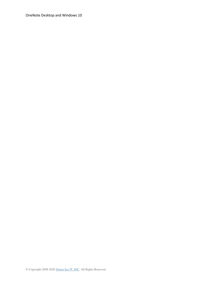OneNote Desktop and Windows 10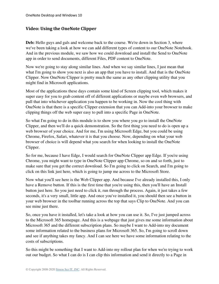## **Video: Using the OneNote Clipper**

**Deb:** Hello guys and gals and welcome back to the course. We're down in Section 3, where we've been taking a look at how we can add different types of content to our OneNote Notebook. And in the previous module, we saw how we could download and install the Send to OneNote app in order to send documents, different Files, PDF content to OneNote.

Now we're going to stay along similar lines. And when we say similar lines, I just mean that what I'm going to show you next is also an app that you have to install. And that is the OneNote Clipper. Now OneNote Clipper is pretty much the same as any other clipping utility that you might find in Microsoft applications.

Most of the applications these days contain some kind of Screen clipping tool, which makes it super easy for you to grab content off of different applications or maybe even web browsers, and pull that into whichever application you happen to be working in. Now the cool thing with OneNote is that there is a specific Clipper extension that you can Add-into your browser to make clipping things off the web super easy to pull into a specific Page in OneNote.

So what I'm going to do in this module is to show you where you go to install the OneNote Clipper, and then we'll do a quick demonstration. So the first thing you need to do is open up a web browser of your choice. And for me, I'm using Microsoft Edge, but you could be using Chrome, Firefox, Safari, whatever it is that you choose. Now, depending on what your web browser of choice is will depend what you search for when looking to install the OneNote Clipper.

So for me, because I have Edge, I would search for OneNote Clipper app Edge. If you're using Chrome, you might want to type in OneNote Clipper app Chrome, so on and so forth, just to make sure that you get the correct download. So I'm going to click on Search, and I'm going to click on this link just here, which is going to jump me across to the Microsoft Store.

Now what you'll see here is the Web Clipper app. And because I've already installed this, I only have a Remove button. If this is the first time that you're using this, then you'll have an Install button just here. So you just need to click it, run through the process. Again, it just takes a few seconds, it's a very small, little app. And once you've installed it, you should then see a button in your web browser in the toolbar running across the top that says Clip to OneNote. And you can see mine just there.

So, once you have it installed, let's take a look at how you can use it. So, I've just jumped across to the Microsoft 365 homepage. And this is a webpage that just gives me some information about Microsoft 365 and the different subscription plans. So maybe I want to Add-into my document some information related to the business plans for Microsoft 365. So, I'm going to scroll down and see if anything takes my fancy. And I can see here we have some information relating to the costs of subscriptions.

So this might be something that I want to Add-into my rollout plan for when we're trying to work out our budget. So what I can do is I can clip this information and send it directly to a Page in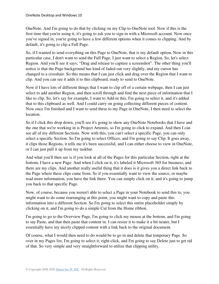OneNote. And I'm going to do that by clicking on my Clip to OneNote tool. Now if this is the first time that you're using it, it's going to ask you to sign in with a Microsoft account. Now once you've signed in, you're going to have a few different options when it comes to clipping. And by default, it's going to clip a Full Page.

So, if I wanted to send everything on this Page to OneNote, that is my default option. Now in this particular case, I don't want to send the Full Page, I just want to select a Region. So, let's select Region. And you'll see it says; "Drag and release to capture a screenshot". The other thing you'll notice is that the Page background has kind of faded out very slightly, and my cursor has changed to a crosshair. So this means that I can just click and drag over the Region that I want to clip. And you can see it adds it to this clipboard, ready to send to OneNote.

Now if I have lots of different things that I want to clip off of a certain webpage, then I can just select to add another Region, and then scroll through and find the next piece of information that I like to clip. So, let's say for example, I want to Add-in this, I'm going to select it, and it's added that to this clipboard as well. And I could carry on going collecting different pieces of content. Now once I'm finished and I want to send these to my Page in OneNote, I then need to select the location.

So if I click this drop down, you'll see it's going to show any OneNote Notebooks that I have and the one that we're working in is Project Artemis, so I'm going to click to expand. And then I can see all of my different Sections. Now with this, you can't select a specific Page, you can only select a specific Section. So I'm going to select Offices, and I'm going to say Clip. It goes away, it clips those Regions, it tells me it's been successful, and I can either choose to view in OneNote, or I can just pull it up from my taskbar.

And what you'll then see is if you look at all of the Pages for this particular Section, right at the bottom, I have a new Page. And when I click on it, it's labeled it Microsoft 365 for business, and there are my clips. And another really useful thing that it does is it gives you a direct link back to the Page where these clips came from. So if you essentially want to view the source, or maybe read more information, you have the link there. You can simply click on it, and it's going to jump you back to that specific Page.

Now, of course, because you weren't able to select a Page in your Notebook to send this to, you might want to do some rearranging at this point, you might want to copy and paste this information into a different Section. So I'm going to select this entire placeholder simply by clicking on it, and I'm going to do a simple Cut from the Home ribbon.

I'm going to go to the Overview Page, I'm going to click my mouse at the bottom, and I'm going to say Paste, and that then paste that content in. I can resize it to make it a bit neater, but I essentially have my nicely clipped content with a link back to the original document.

Of course, what I would then need to do would be to go in and delete that temporary Page. So over in my Pages list, I'm going to select it, right-click, and I'm going to say Delete just to get rid of that. So very simple and very straightforward to utilize that clipping utility.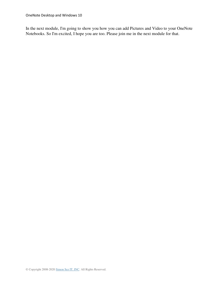In the next module, I'm going to show you how you can add Pictures and Video to your OneNote Notebooks. So I'm excited, I hope you are too. Please join me in the next module for that.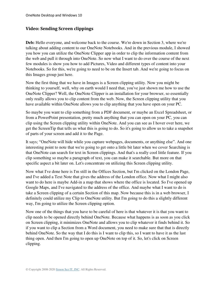### **Video: Sending Screen clippings**

Deb: Hello everyone, and welcome back to the course. We're down in Section 3, where we're talking about adding content to our OneNote Notebooks. And in the previous module, I showed you how you can utilize the OneNote Clipper app in order to clip the information content from the web and pull it through into OneNote. So now what I want to do over the course of the next few modules is show you how to add Pictures, Video and different types of content into your Notebooks. So for this, we're going to need to be on the Insert tab. And we're going to focus on this Images group just here.

Now the first thing that we have in Images is a Screen clipping utility. Now you might be thinking to yourself, well, why on earth would I need that, you've just shown me how to use the OneNote Clipper? Well, the OneNote Clipper is an installation for your browser, so essentially only really allows you to clip content from the web. Now, the Screen clipping utility that you have available within OneNote allows you to clip anything that you have open on your PC.

So maybe you want to clip something from a PDF document, or maybe an Excel Spreadsheet, or from a PowerPoint presentation, pretty much anything that you can open on your PC, you can clip using the Screen clipping utility within OneNote. And you can see as I hover over here, we get the ScreenTip that tells us what this is going to do. So it's going to allow us to take a snapshot of parts of your screen and add it to the Page.

It says; "OneNote will hide while you capture webpages, documents, or anything else". And one interesting point to note that we're going to get onto a little bit later when we cover Searching is that OneNote can search for text in Screen clippings. And that's a really cool little feature. If you clip something so maybe a paragraph of text, you can make it searchable. But more on that specific aspect a bit later on. Let's concentrate on utilizing this Screen clipping utility.

Now what I've done here is I'm still in the Offices Section, but I'm clicked on the London Page, and I've added a Text Note that gives the address of the London office. Now what I might also want to do here is maybe Add-in a map that shows where the office is located. So I've opened up Google Maps, and I've navigated to the address of the office. And maybe what I want to do is take a Screen clipping of a certain Section of this map. Now because this is in a web browser, I definitely could utilize my Clip to OneNote utility. But I'm going to do this a slightly different way, I'm going to utilize the Screen clipping option.

Now one of the things that you have to be careful of here is that whatever it is that you want to clip needs to be opened directly behind OneNote. Because what happens is as soon as you click on Screen clipping, it minimizes OneNote and allows you to clip whatever it finds behind it. So if you want to clip a Section from a Word document, you need to make sure that that is directly behind OneNote. So the way that I do this is I want to clip this, so I want to have it as the last thing open. And then I'm going to open up OneNote on top of it. So, let's click on Screen clipping.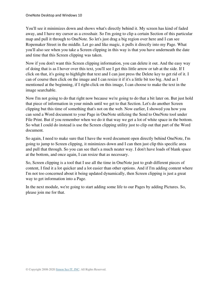You'll see it minimizes down and shows what's directly behind it. My screen has kind of faded away, and I have my cursor as a crosshair. So I'm going to clip a certain Section of this particular map and pull it through to OneNote. So let's just drag a big region over here and I can see Ropemaker Street in the middle. Let go and like magic, it pulls it directly into my Page. What you'll also see when you take a Screen clipping in this way is that you have underneath the date and time that this Screen clipping was taken.

Now if you don't want this Screen clipping information, you can delete it out. And the easy way of doing that is as I hover over this text, you'll see I get this little arrow or tab at the side. If I click on that, it's going to highlight that text and I can just press the Delete key to get rid of it. I can of course then click on the image and I can resize it if it's a little bit too big. And as I mentioned at the beginning, if I right-click on this image, I can choose to make the text in the image searchable.

Now I'm not going to do that right now because we're going to do that a bit later on. But just hold that piece of information in your minds until we get to that Section. Let's do another Screen clipping but this time of something that's not on the web. Now earlier, I showed you how you can send a Word document to your Page in OneNote utilizing the Send to OneNote tool under File Print. But if you remember when we do it that way we get a lot of white space in the bottom. So what I could do instead is use the Screen clipping utility just to clip out that part of the Word document.

So again, I need to make sure that I have the word document open directly behind OneNote, I'm going to jump to Screen clipping, it minimizes down and I can then just clip this specific area and pull that through. So you can see that's a much neater way. I don't have loads of blank space at the bottom, and once again, I can resize that as necessary.

So, Screen clipping is a tool that I use all the time in OneNote just to grab different pieces of content, I find it a lot quicker and a lot easier than other options. And if I'm adding content where I'm not too concerned about it being updated dynamically, then Screen clipping is just a great way to get information into a Page.

In the next module, we're going to start adding some life to our Pages by adding Pictures. So, please join me for that.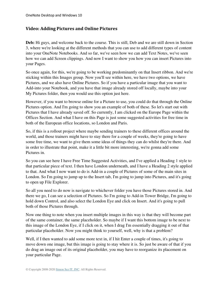## **Video: Adding Pictures and Online Pictures**

Deb: Hi guys, and welcome back to the course. This is still, Deb and we are still down in Section 3, where we're looking at the different methods that you can use to add different types of content into your OneNote Notebooks. And so far, we've seen how we can add Text Notes, we've seen how we can add Screen clippings. And now I want to show you how you can insert Pictures into your Pages.

So once again, for this, we're going to be working predominantly on that Insert ribbon. And we're sticking within this Images group. Now you'll see within here, we have two options, we have Pictures, and we also have Online Pictures. So if you have a particular image that you want to Add-into your Notebook, and you have that image already stored off locally, maybe into your My Pictures folder, then you would use this option just here.

However, if you want to browse online for a Picture to use, you could do that through the Online Pictures option. And I'm going to show you an example of both of these. So let's start out with Pictures that I have already saved off. So currently, I am clicked on the Europe Page within the Offices Section. And what I have on this Page is just some suggested activities for free time in both of the European office locations, so London and Paris.

So, if this is a rollout project where maybe sending trainers to these different offices around the world, and those trainers might have to stay there for a couple of weeks, they're going to have some free time, we want to give them some ideas of things they can do whilst they're there. And in order to illustrate that point, make it a little bit more interesting, we're gonna add some Pictures in.

So you can see here I have Free Time Suggested Activities, and I've applied a Heading 1 style to that particular piece of text. I then have London underneath, and I have a Heading 2 style applied to that. And what I now want to do is Add-in a couple of Pictures of some of the main sites in London. So I'm going to jump up to the Insert tab, I'm going to jump into Pictures, and it's going to open up File Explorer.

So all you need to do now is navigate to whichever folder you have those Pictures stored in. And there we go, I can see a selection of Pictures. So I'm going to Add-in Tower Bridge, I'm going to hold down Control, and also select the London Eye and click on Insert. And it's going to pull both of those Pictures through.

Now one thing to note when you insert multiple images in this way is that they will become part of the same container, the same placeholder. So maybe if I want this bottom image to be next to this image of the London Eye, if I click on it, when I drag I'm essentially dragging it out of that particular placeholder. Now you might think to yourself, well, why is that a problem?

Well, if I then wanted to add some more text in, if I hit Enter a couple of times, it's going to move down one image, but this image is going to stay where it is. So just be aware of that if you do drag an image out of its original placeholder, you may have to reorganize its placement on your particular Page.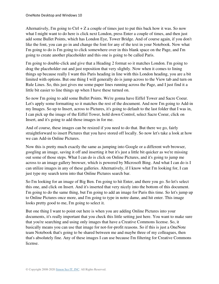Alternatively, I'm going to Ctrl  $+ Z$  a couple of times just to put this back how it was. So now what I might want to do here is click next London, press Enter a couple of times, and then just add some Bullet Points, which has London Eye, Tower Bridge. And of course again, if you don't like the font, you can go in and change the font for any of the text in your Notebook. Now what I'm going to do is I'm going to click somewhere over in this blank space on the Page, and I'm going to create another placeholder and this one is going to be called Paris.

I'm going to double-click and give that a Heading 2 format so it matches London. I'm going to drag the placeholder out and just reposition that very slightly. Now when it comes to lining things up because really I want this Paris heading in line with this London heading, you are a bit limited with options. But one thing I will generally do is jump across to the View tab and turn on Rule Lines. So, this just gives me some paper lines running across the Page, and I just find it a little bit easier to line things up when I have these turned on.

So now I'm going to add some Bullet Points. We're gonna have Eiffel Tower and Sacre Coeur. Let's apply some formatting so it matches the rest of the document. And now I'm going to Add-in my Images. So up to Insert, across to Pictures, it's going to default to the last folder that I was in, I can pick up the image of the Eiffel Tower, hold down Control, select Sacre Coeur, click on Insert, and it's going to add those images in for me.

And of course, these images can be resized if you need to do that. But there we go, fairly straightforward to insert Pictures that you have stored off locally. So now let's take a look at how we can Add-in Online Pictures.

Now this is pretty much exactly the same as jumping into Google or a different web browser, googling an image, saving it off and inserting it but it's just a little bit quicker as we're missing out some of those steps. What I can do is click on Online Pictures, and it's going to jump me across to an image gallery browser, which is powered by Microsoft Bing. And what I can do is I can utilize images in any of these galleries. Alternatively, if I know what I'm looking for, I can just type my search term into that Online Pictures search bar.

So I'm looking for an image of Big Ben. I'm going to hit Enter, and there you go. So let's select this one, and click on Insert. And it's inserted that very nicely into the bottom of this document. I'm going to do the same thing, but I'm going to add an image for Paris this time. So let's jump up to Online Pictures once more, and I'm going to type in notre dame, and hit enter. This image looks pretty good to me, I'm going to select it.

But one thing I want to point out here is when you are adding Online Pictures into your documents, it's really important that you check this little setting just here. You want to make sure that you're searching and using only images that have a Creative Commons license. So, it basically means you can use that image for not-for-profit reasons. So if this is just a OneNote team Notebook that's going to be shared between me and maybe three of my colleagues, then that's absolutely fine. Any of these images I can use because I'm filtering for Creative Commons license.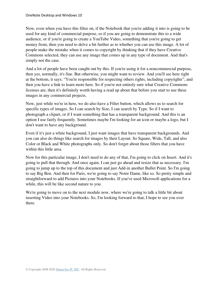Now, even when you have this filter on, if the Notebook that you're adding it into is going to be used for any kind of commercial purpose, so if you are going to demonstrate this to a wide audience, or if you're going to create a YouTube Video, something that you're going to get money from, then you need to delve a bit further as to whether you can use this image. A lot of people make the mistake when it comes to copyright by thinking that if they have Creative Commons selected, they can use any image that comes up in any type of document. And that's simply not the case.

And a lot of people have been caught out by this. If you're using it for a noncommercial purpose, then yes, normally, it's fine. But otherwise, you might want to review. And you'll see here right at the bottom, it says; "You're responsible for respecting others rights, including copyrights", and then you have a link to learn more here. So if you're not entirely sure what Creative Commons licenses are, then it's definitely worth having a read up about that before you start to use these images in any commercial projects.

Now, just while we're in here, we do also have a Filter button, which allows us to search for specific types of images. So I can search by Size, I can search by Type. So if I want to photograph a clipart, or if I want something that has a transparent background. And this is an option I use fairly frequently. Sometimes maybe I'm looking for an icon or maybe a logo, but I don't want to have any background.

Even if it's just a white background, I just want images that have transparent backgrounds. And you can also do things like search for images by their Layout. So Square, Wide, Tall, and also Color or Black and White photographs only. So don't forget about those filters that you have within this little area.

Now for this particular image, I don't need to do any of that, I'm going to click on Insert. And it's going to pull that through. And once again, I can just go ahead and resize that as necessary. I'm going to jump up to the top of this document and just Add-in another Bullet Point. So I'm going to say Big Ben. And then for Paris, we're going to say Notre Dame, like so. So pretty simple and straightforward to add Pictures into your Notebooks. If you've used Microsoft applications for a while, this will be like second nature to you.

We're going to move on to the next module now, where we're going to talk a little bit about inserting Video into your Notebooks. So, I'm looking forward to that, I hope to see you over there.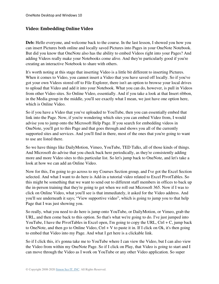#### **Video: Embedding Online Video**

**Deb:** Hello everyone, and welcome back to the course. In the last lesson, I showed you how you can insert Pictures both online and locally saved Pictures into Pages in your OneNote Notebook. But did you know that OneNote also has the ability to embed Videos right into your Pages? And adding Videos really make your Notebooks come alive. And they're particularly good if you're creating an interactive Notebook to share with others.

It's worth noting at this stage that inserting Video is a little bit different to inserting Pictures. When it comes to Video, you cannot insert a Video that you have saved off locally. So if you've got your own Videos stored off to File Explorer, there isn't an option to browse your local drives to upload that Video and add it into your Notebook. What you can do, however, is pull in Videos from other Video sites. So Online Video, essentially. And if you take a look at that Insert ribbon, in the Media group in the middle, you'll see exactly what I mean, we just have one option here, which is Online Video.

So if you have a Video that you've uploaded to YouTube, then you can essentially embed that link into the Page. Now, if you're wondering which sites you can embed Video from, I would advise you to jump onto the Microsoft Help Page. If you search for embedding videos in OneNote, you'll get to this Page and that goes through and shows you all of the currently supported sites and services. And you'll find in there, most of the ones that you're going to want to use are listed there.

So we have things like DailyMotion, Vimeo, YouTube, TED Talks, all of those kinds of things. And Microsoft do advise that you check back here periodically, as they're consistently adding more and more Video sites to this particular list. So let's jump back to OneNote, and let's take a look at how we can add an Online Video.

Now for this, I'm going to go across to my Courses Section group, and I've got the Excel Section selected. And what I want to do here is Add-in a tutorial video related to Excel PivotTables. So this might be something that we want to send out to different staff members in offices to back up the in-person training that they're going to get when we roll out Microsoft 365. Now if I was to click on Online Video, what you'll see is that immediately, it asked for the Video address. And you'll see underneath it says; "View supportive video", which is going to jump you to that help Page that I was just showing you.

So really, what you need to do here is jump onto YouTube, or DailyMotion, or Vimeo, grab the URL, and then come back to this option. So that's what we're going to do. I've just jumped into YouTube, I have the PivotTables in Excel open, I'm going to copy the URL,  $Ctrl + C$ , jump back to OneNote, and then go to Online Video,  $Ctrl + V$  to paste it in. If I click on Ok, it's then going to embed that Video into my Page. And what I get here is a clickable link.

So if I click this, it's gonna take me to YouTube where I can view the Video, but I can also view the Video from within my OneNote Page. So if I click on Play, that Video is going to start and I can move through the Video as I work on YouTube or any other Video application. So super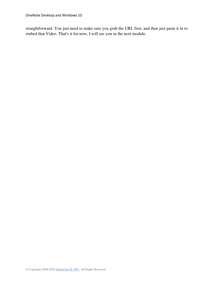straightforward. You just need to make sure you grab the URL first, and then just paste it in to embed that Video. That's it for now, I will see you in the next module.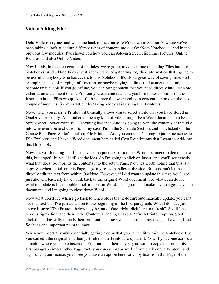## **Video: Adding Files**

**Deb:** Hello everyone, and welcome back to the course. We're down in Section 3, where we've been taking a look at adding different types of content into our OneNote Notebooks. And in the previous few modules, I've shown you how you can Add-in Screen clippings, Pictures, Online Pictures, and also Online Video.

Now in this, in the next couple of modules, we're going to concentrate on adding Files into our Notebooks. And adding Files is just another way of gathering together information that's going to be useful to anybody who has access to this Notebook. It's also a great way of saving time. So for example, instead of retyping information, or maybe relying on links to documents that might become unavailable if you go offline, you can bring content that you need directly into OneNote, either as an attachment or as a Printout you can annotate, and you'll find these options on the Insert tab in the Files group. And it's these three that we're going to concentrate on over the next couple of modules. So let's start out by taking a look at inserting File Printouts.

Now, when you insert a Printout, it basically allows you to select a File that you have stored in OneDrive or locally. And that could be any kind of File, it might be a Word document, an Excel Spreadsheet, PowerPoint, PDF, anything like that. And it's going to print the contents of that File into wherever you're clicked. So in my case, I'm in the Schedule Section, and I'm clicked on the Course Plan Page. So let's click on File Printout. And you can see it's going to jump me across to File Explorer, and I have a Word document here called Cost Descriptions that I want to Add-into this Notebook.

Now, it's worth noting that I just have some junk text inside this Word document to demonstrate this, but hopefully, you'll still get the idea. So I'm going to click on Insert, and you'll see exactly what that does. So it prints the contents into the actual Page. Now it's worth noting that this is a copy. So when I click on this Page, I get my resize handles at the side. But it doesn't let me directly edit the text from within OneNote. However, if I did want to update this text, you'll see just above, I basically have a link back to the original Word document. So, what I can do if I want to update is I can double-click to open in Word, I can go in, and make my changes, save the document, and I'm going to close down Word.

Now what you'll see when I go back to OneNote is that it doesn't automatically update, you can't see that text that I've just added on to the beginning of the first paragraph. What I do have just above it says; "The Printout below may be out of date, right-click here to refresh". So all I need to do is right-click, and then in the Contextual Menu, I have a Refresh Printout option. So if I click this, it basically reloads their print out, and now you can see that my changes have updated. So that's one important point to know.

When you insert it, you're essentially getting a copy that you can't edit within the Notebook. But you can edit the original and then just refresh the Printout to update it. Now if you come across a situation where you have inserted a Printout, and then maybe you want to copy and paste this first paragraph into another Page, well you can do that as well. If you click on the Printout, and right-click your mouse, you'll see you have an option here for Copy text from this Page of the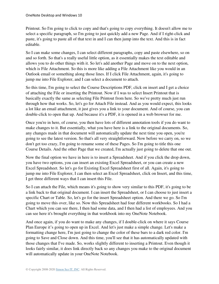Printout. So I'm going to click to copy and that's going to copy everything. It doesn't allow me to select a specific paragraph, so I'm going to just quickly add a new Page. And if I right-click and paste, it's going to paste all of that text in and I can then jump into the text. And this is in fact editable.

So I can make some changes, I can select different paragraphs, copy and paste elsewhere, so on and so forth. So that's a really useful little option, as it essentially makes the text editable and allows you to do other things with it. So let's add another Page and move on to the next option, which is File Attachment. So this is more like adding a File Attachment like you would in an Outlook email or something along those lines. If I click File Attachment, again, it's going to jump me into File Explorer, and I can select a document to attach.

So this time, I'm going to select the Course Descriptions PDF, click on insert and I get a choice of attaching the File or inserting the Printout. Now if I was to select Insert Printout that is basically exactly the same as selecting File Printout from here. So we've pretty much just run through how that works. So, let's go for Attach File instead. And as you would expect, this looks a lot like an email attachment, it just gives you a link to your document. And of course, you can double-click to open that up. And because it's a PDF, it is opened in a web browser for me.

Once you're in here, of course, you then have lots of different annotation tools if you do want to make changes to it. But essentially, what you have here is a link to the original documents. So, any changes made in that document will automatically update the next time you open, you're going to see the latest version. So that's all very straightforward. Now before we carry on, so we don't get too crazy, I'm going to rename some of these Pages. So I'm going to title this one Course Details. And the other Page that we created, I'm actually just going to delete that one out.

Now the final option we have in here is to insert a Spreadsheet. And if you click the drop down, you have two options, you can insert an existing Excel Spreadsheet, or you can create a new Excel Spreadsheet. So let's go for Existing Excel Spreadsheet first of all. Again, it's going to jump me into File Explorer, I can then select an Excel Spreadsheet, click on Insert, and this time, I get three different ways that I can insert this File.

So I can attach the File, which means it's going to show very similar to this PDF, it's going to be a link back to that original document. I can insert the Spreadsheet, or I can choose to just insert a specific Chart or Table. So, let's go for the insert Spreadsheet option. And there we go. So I'm going to move this over, like so. Now this Spreadsheet had four different workbooks. So I had a Chart which you can see there, I then had some data, and I then had a list of employees. And you can see here it's brought everything in that workbook into my OneNote Notebook.

And once again, if you do want to make any changes, if I double-click on where it says Course Plan Europe it's going to open up in Excel. And let's just make a simple change. Let's make a formatting change here, I'm just going to change the color of these bars to a dark red color. I'm going to Save and Close down. And this time, you'll see that it has automatically updated with those changes that I've made. So, works slightly different to inserting a Printout. Even though it looks fairly similar, it does link directly back so any changes you make to the original document will automatically update in your OneNote Notebook.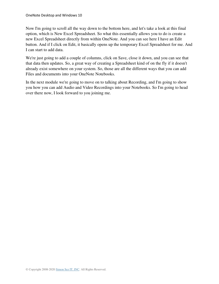Now I'm going to scroll all the way down to the bottom here, and let's take a look at this final option, which is New Excel Spreadsheet. So what this essentially allows you to do is create a new Excel Spreadsheet directly from within OneNote. And you can see here I have an Edit button. And if I click on Edit, it basically opens up the temporary Excel Spreadsheet for me. And I can start to add data.

We're just going to add a couple of columns, click on Save, close it down, and you can see that that data then updates. So, a great way of creating a Spreadsheet kind of on the fly if it doesn't already exist somewhere on your system. So, those are all the different ways that you can add Files and documents into your OneNote Notebooks.

In the next module we're going to move on to talking about Recording, and I'm going to show you how you can add Audio and Video Recordings into your Notebooks. So I'm going to head over there now, I look forward to you joining me.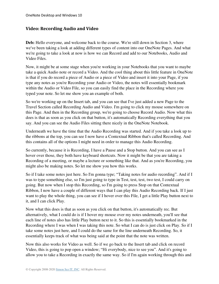### **Video: Recording Audio and Video**

Deb: Hello everyone, and welcome back to the course. We're still down in Section 3, where we've been taking a look at adding different types of content into our OneNote Pages. And what we're going to take a look at now is how we can Record and add to our Notebooks, Audio and Video Files.

Now, it might be at some stage when you're working in your Notebooks that you want to maybe take a quick Audio note or record a Video. And the cool thing about this little feature in OneNote is that if you do record a piece of Audio or a piece of Video and insert it into your Page, if you type any notes as you're Recording your Audio or Video, the notes will essentially bookmark within the Audio or Video File, so you can easily find the place in the Recording where you typed your note. So let me show you an example of both.

So we're working up on the Insert tab, and you can see that I've just added a new Page to the Travel Section called Recording Audio and Video. I'm going to click my mouse somewhere on this Page. And then in the Recording group, we're going to choose Record Audio. Now what this does is that as soon as you click on that button, it's automatically Recording everything that you say. And you can see the Audio Files sitting there nicely in the OneNote Notebook.

Underneath we have the time that the Audio Recording was started. And if you take a look up to the ribbons at the top, you can see I now have a Contextual Ribbon that's called Recording. And this contains all of the options I might need in order to manage this Audio Recording.

So currently, because it is Recording, I have a Pause and a Stop button. And you can see as I hover over those, they both have keyboard shortcuts. Now it might be that you are taking a Recording of a meeting, or maybe a lecture or something like that. And as you're Recording, you might also be making notes. So let me show you how this works.

So if I take some notes just here. So I'm gonna type; "Taking notes for audio recording". And if I was to type something else, so I'm just going to type in Test, test, test, two test, I could carry on going. But now when I stop this Recording, so I'm going to press Stop on that Contextual Ribbon, I now have a couple of different ways that I can play this Audio Recording back. If I just want to play the whole thing, you can see if I hover over this File, I get a little Play button next to it, and I can click Play.

Now what this does is that as soon as you click on that button, it's automatically rec. But alternatively, what I could do is if I hover my mouse over my notes underneath, you'll see that each line of notes also has little Play button next to it. So this is essentially bookmarked in the Recording where I was when I was taking this note. So what I can do is just click on Play. So if I take some notes just here, and I could do the same for the line underneath Recording. So, it essentially keeps track of what was being said at the point that the note was written.

Now this also works for Video as well. So if we go back to the Insert tab and click on record Video, this is going to pop open a window; "Hi everybody, nice to see you". And it's going to allow you to take a Recording in exactly the same way. So if I'm again working through this and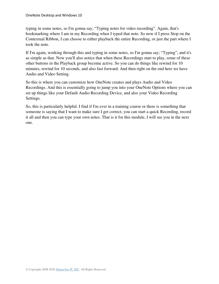typing in some notes, so I'm gonna say; "Typing notes for video recording". Again, that's bookmarking where I am in my Recording when I typed that note. So now if I press Stop on the Contextual Ribbon, I can choose to either playback the entire Recording, or just the part where I took the note.

If I'm again, working through this and typing in some notes, so I'm gonna say; "Typing", and it's as simple as that. Now you'll also notice that when these Recordings start to play, some of these other buttons in the Playback group become active. So you can do things like rewind for 10 minutes, rewind for 10 seconds, and also fast forward. And then right on the end here we have Audio and Video Setting.

So this is where you can customize how OneNote creates and plays Audio and Video Recordings. And this is essentially going to jump you into your OneNote Options where you can set up things like your Default Audio Recording Device, and also your Video Recording Settings.

So, this is particularly helpful. I find if I'm ever in a training course or there is something that someone is saying that I want to make sure I get correct, you can start a quick Recording, record it all and then you can type your own notes. That is it for this module, I will see you in the next one.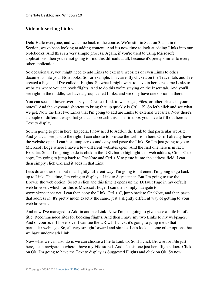## **Video: Inserting Links**

**Deb:** Hello everyone, and welcome back to the course. We're still in Section 3, and in this Section, we've been looking at adding content. And it's now time to look at adding Links into our Notebooks. And this is a very simple process. Again, if you're used to using Microsoft applications, then you're not going to find this difficult at all, because it's pretty similar to every other application.

So occasionally, you might need to add Links to external websites or even Links to other documents into your Notebooks. So for example, I'm currently clicked on the Travel tab, and I've created a Page and I've called it Flights. So what I might want to have in here are some Links to websites where you can book flights. And to do this we're staying on the Insert tab. And you'll see right in the middle, we have a group called Links, and we only have one option in there.

You can see as I hover over, it says; "Create a Link to webpages, Files, or other places in your notes". And the keyboard shortcut to bring that up quickly is  $Ctrl + K$ . So let's click and see what we get. Now the first two Links that I'm going to add are Links to external websites. Now there's a couple of different ways that you can approach this. The first box you have to fill out here is Text to display.

So I'm going to put in here, Expedia, I now need to Add-in the Link to that particular website. And you can see just to the right, I can choose to browse the web from here. Or if I already have the website open, I can just jump across and copy and paste the Link. So I'm just going to go to Microsoft Edge where I have a few different websites open. And the first one here is in fact, Expedia. So all I'm going to do is click in the URL bar to highlight that web address,  $Ctrl + C$  to copy, I'm going to jump back to OneNote and  $Ctrl + V$  to paste it into the address field. I can then simply click Ok, and it adds in that Link.

Let's do another one, but in a slightly different way. I'm going to hit enter, I'm going to go back up to Link. This time, I'm going to display a Link to Skyscanner. But I'm going to use the Browse the web option. So let's click and this time it opens up the Default Page in my default web browser, which for this is Microsoft Edge. I can then simply navigate to www.skyscanner.net. I can then copy the Link, Ctrl  $+ C$ , jump back to OneNote, and then paste that address in. It's pretty much exactly the same, just a slightly different way of getting to your web browser.

And now I've managed to Add-in another Link. Now I'm just going to give these a little bit of a title, Recommended sites for booking flights. And then I have my two Links to my webpages. And of course, if I hover over I can see the URL. If I click, it's going to jump me to that particular webpage. So, all very straightforward and simple. Let's look at some other options that we have underneath Link.

Now what we can also do is we can choose a File to Link to. So if I click Browse for File just here, I can navigate to where I have my File stored. And it's this one just here flights.docx. Click on Ok. I'm going to have the Text to display as Suggested Flights and click on Ok. So now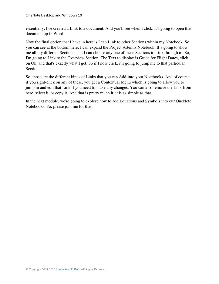essentially, I've created a Link to a document. And you'll see when I click, it's going to open that document up in Word.

Now the final option that I have in here is I can Link to other Sections within my Notebook. So you can see at the bottom here, I can expand the Project Artemis Notebook. It's going to show me all my different Sections, and I can choose any one of these Sections to Link through to. So, I'm going to Link to the Overview Section. The Text to display is Guide for Flight Dates, click on Ok, and that's exactly what I get. So if I now click, it's going to jump me to that particular Section.

So, those are the different kinds of Links that you can Add-into your Notebooks. And of course, if you right-click on any of these, you get a Contextual Menu which is going to allow you to jump in and edit that Link if you need to make any changes. You can also remove the Link from here, select it, or copy it. And that is pretty much it, it is as simple as that.

In the next module, we're going to explore how to add Equations and Symbols into our OneNote Notebooks. So, please join me for that.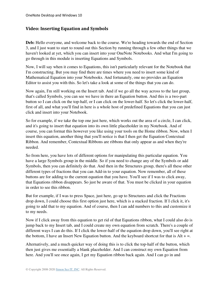## **Video: Inserting Equation and Symbols**

**Deb:** Hello everyone, and welcome back to the course. We're heading towards the end of Section 3, and I just want to start to round out this Section by running through a few other things that we haven't looked at yet, which you can insert into your OneNote Notebooks. And what I'm going to go through in this module is inserting Equations and Symbols.

Now, I will say when it comes to Equations, this isn't particularly relevant for the Notebook that I'm constructing. But you may find there are times where you need to insert some kind of Mathematical Equation into your Notebooks. And fortunately, one no provides an Equation Editor to assist you with this. So let's take a look at some of the things that you can do.

Now again, I'm still working on the Insert tab. And if we go all the way across to the last group, that's called Symbols, you can see we have in there an Equation button. And this is a two-part button so I can click on the top-half, or I can click on the lower-half. So let's click the lower-half, first of all, and what you'll find in here is a whole host of predefined Equations that you can just click and insert into your Notebook.

So for example, if we take the top one just here, which works out the area of a circle, I can click, and it's going to insert that equation into its own little placeholder in my Notebook. And of course, you can format this however you like using your tools on the Home ribbon. Now, when I insert this equation, another thing that you'll notice is that I then get the Equation Contextual Ribbon. And remember, Contextual Ribbons are ribbons that only appear as and when they're needed.

So from here, you have lots of different options for manipulating this particular equation. You have a large Symbols group in the middle. So if you need to change any of the Symbols or add Symbols, then you can definitely do that. And then in the Structures group, there's all these other different types of fractions that you can Add-in to your equation. Now remember, all of these buttons are for adding to the current equation that you have. You'll see if I was to click away, that Equations ribbon disappears. So just be aware of that. You must be clicked in your equation in order to see this ribbon.

But for example, if I was to press Space, just here, go up to Structures and click the Fractions drop down, I could choose this first option just here, which is a stacked fraction. If I click it, it's going to add that to my equation. And of course, then I can add numbers to this and customize it to my needs.

Now if I click away from this equation to get rid of that Equations ribbon, what I could also do is jump back to my Insert tab, and I could create my own equation from scratch. There's a couple of different ways I can do this. If I click the lower-half of the equation drop down, you'll see right at the bottom, I have an Insert New Equation button. And the keyboard shortcut for that is  $Alt + =$ .

Alternatively, and a much quicker way of doing this is to click the top-half of the button, which then just gives me essentially a blank placeholder. And I can construct my own Equation from here. And you'll see once again, I get my Equation ribbon back again. And I can go in and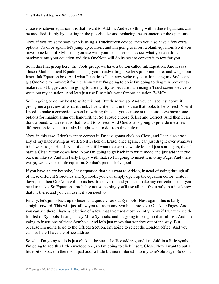choose whatever equation it is that I want to Add-in. And everything within these Equations can be modified simply by clicking in the placeholder and replacing the characters or the operators.

Now, if you are somebody who is using a Touchscreen device, then you also have a few extra options. So once again, let's jump up to Insert and I'm going to insert a blank equation. So if you have some kind of Stylus that you use with your Touchscreen device, what you can do is handwrite out your equation and then OneNote will do its best to convert it to text for you.

So in this first group here, the Tools group, we have a button called Ink Equation. And it says; "Insert Mathematical Equations using your handwriting". So let's jump into here, and we get our Insert Ink Equation box. And what I can do is I can now write my equation using my Stylus and get OneNote to convert it for me. Now what I'm going to do is I'm going to drag this box out to make it a bit bigger, and I'm going to use my Stylus because I am using a Touchscreen device to write out my equation. And let's just use Einstein's most famous equation  $E=MC^2$ .

So I'm going to do my best to write this out. But there we go. And you can see just above it's giving me a preview of what it thinks I've written and in this case that looks to be correct. Now if I need to make a correction when I'm writing this out, you can see at the bottom we have some options for manipulating our handwriting. So I could choose Select and Correct. And then I can draw around, whatever it is that I want to correct. And OneNote is going to provide me a few different options that it thinks I might want to do from this little menu.

Now, in this case, I don't want to correct it, I'm just gonna click on Close, and I can also erase, any of my handwriting as well. So if I click on Erase, once again, I can just drag it over whatever it is I want to get rid of. And of course, if I want to clear the whole lot and just start again, then I have a Clear button down here. Now I'm going to go back into write mode and just add that two back in, like so. And I'm fairly happy with that, so I'm going to insert it into my Page. And there we go, we have our little equation. So that's particularly good.

If you have a very bespoke, long equation that you want to Add-in, instead of going through all of these different Structures and Symbols, you can simply open up the equation editor, write it down, and then OneNote will do its best to convert it and you can make any corrections that you need to make. So Equations, probably not something you'll use all that frequently, but just know that it's there, and you can use it if you need to.

Finally, let's jump back up to Insert and quickly look at Symbols. Now again, this is fairly straightforward. This will just allow you to insert any Symbols into your OneNote Pages. And you can see there I have a selection of a few that I've used most recently. Now if I want to see the full list of Symbols, I can just say More Symbols, and it's going to bring up that full list. And I'm going to insert one of these Symbols. And let's just move that window out of the way. But because I'm going to go to the Offices Section, I'm going to select the London office. And you can see here I have the office address.

So what I'm going to do is just click at the start of office address, and just Add-in a little symbol, I'm going to add this little envelope one, so I'm going to click Insert, Close. Now I want to put a little bit of space in there so it just adds a little bit more interest into my OneNote Page. So don't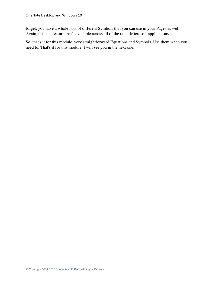forget, you have a whole host of different Symbols that you can use in your Pages as well. Again, this is a feature that's available across all of the other Microsoft applications.

So, that's it for this module, very straightforward Equations and Symbols. Use them when you need to. That's it for this module, I will see you in the next one.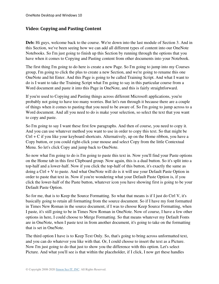## **Video: Copying and Pasting Content**

**Deb:** Hi guys, welcome back to the course. We're down into the last module of Section 3. And in this Section, we've been seeing how we can add all different types of content into our OneNote Notebooks. So I'm just going to finish up this Section by running through the options that you have when it comes to Copying and Pasting content from other documents into your Notebook.

The first thing I'm going to do here is create a new Page. So I'm going to jump into my Courses group, I'm going to click the plus to create a new Section, and we're going to rename this one OneNote and hit Enter. And this Page is going to be called Training Script. And what I want to do is I want to take the Training Script what I'm going to say in this particular course from a Word document and paste it into this Page in OneNote, and this is fairly straightforward.

If you're used to Copying and Pasting things across different Microsoft applications, you're probably not going to have too many worries. But let's run through it because there are a couple of things when it comes to pasting that you need to be aware of. So I'm going to jump across to a Word document. And all you need to do is make your selection, so select the text that you want to copy and paste.

So I'm going to say I want these first few paragraphs. And then of course, you need to copy it. And you can use whatever method you want to use in order to copy this text. So that might be  $Ctrl + C$  if you like your keyboard shortcuts. Alternatively, up on the Home ribbon, you have a Copy button, or you could right-click your mouse and select Copy from the little Contextual Menu. So let's click Copy and jump back to OneNote.

So now what I'm going to do is I'm going to paste this text in. Now you'll find your Paste options on the Home tab in this first Clipboard group. Now again, this is a dual button. So it's split into a top-half and a lower-half. Now if you click the top-half of this button, it's exactly the same as doing a Ctrl + V to paste. And what OneNote will do is it will use your Default Paste Option in order to paste that text in. Now if you're wondering what your Default Paste Option is, if you click the lower-half of the Paste button, whatever icon you have showing first is going to be your Default Paste Option.

So for me, that is to Keep the Source Formatting. So what that means is if I just do Ctrl V, it's basically going to retain all formatting from the source document. So if I have my font formatted in Times New Roman in the source document, if I was to choose Keep Source Formatting, when I paste, it's still going to be in Times New Roman in OneNote. Now of course, I have a few other options in here, I could choose to Merge Formatting. So that means whatever my Default Fonts are in OneNote, when I paste text in from another document, it's going to take on the formatting that is set in OneNote.

The third option I have is to Keep Text Only. So, that's going to bring across unformatted text, and you can do whatever you like with that. Or, I could choose to insert the text as a Picture. Now I'm just going to do that just to show you the difference with this option. Let's select Picture. And what you'll see is that within the placeholder, if I click, I now get these handles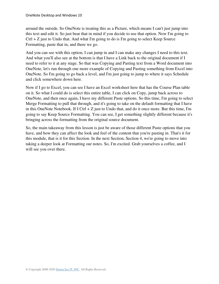around the outside. So OneNote is treating this as a Picture, which means I can't just jump into this text and edit it. So just bear that in mind if you decide to use that option. Now I'm going to  $Ctrl + Z$  just to Undo that. And what I'm going to do is I'm going to select Keep Source Formatting, paste that in, and there we go.

And you can see with this option, I can jump in and I can make any changes I need to this text. And what you'll also see at the bottom is that I have a Link back to the original document if I need to refer to it at any stage. So that was Copying and Pasting text from a Word document into OneNote, let's run through one more example of Copying and Pasting something from Excel into OneNote. So I'm going to go back a level, and I'm just going to jump to where it says Schedule and click somewhere down here.

Now if I go to Excel, you can see I have an Excel worksheet here that has the Course Plan table on it. So what I could do is select this entire table, I can click on Copy, jump back across to OneNote, and then once again, I have my different Paste options. So this time, I'm going to select Merge Formatting to pull that through, and it's going to take on the default formatting that I have in this OneNote Notebook. If I Ctrl  $+ Z$  just to Undo that, and do it once more. But this time, I'm going to say Keep Source Formatting. You can see, I get something slightly different because it's bringing across the formatting from the original source document.

So, the main takeaway from this lesson is just be aware of those different Paste options that you have, and how they can affect the look and feel of the content that you're pasting in. That's it for this module, that is it for this Section. In the next Section, Section 4, we're going to move into taking a deeper look at Formatting our notes. So, I'm excited. Grab yourselves a coffee, and I will see you over there.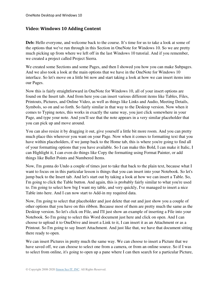## **Video: Windows 10 Adding Content**

**Deb:** Hello everyone, and welcome back to the course. It's time for us to take a look at some of the options that we've run through in this Section in OneNote for Windows 10. So we are pretty much picking up from where we left off in the last Windows 10 tutorial. And if you remember, we created a project called Project Sierra.

We created some Sections and some Pages, and then I showed you how you can make Subpages. And we also took a look at the main options that we have in the OneNote for Windows 10 interface. So let's move on a little bit now and start taking a look at how we can insert items into our Pages.

Now this is fairly straightforward in OneNote for Windows 10, all of your insert options are found on the Insert tab. And from here you can insert various different items like Tables, Files, Printouts, Pictures, and Online Video, as well as things like Links and Audio, Meeting Details, Symbols, so on and so forth. So fairly similar in that way to the Desktop version. Now when it comes to Typing notes, this works in exactly the same way, you just click somewhere in your Page, and type your note. And you'll see that the note appears in a very similar placeholder that you can pick up and move around.

You can also resize it by dragging it out, give yourself a little bit more room. And you can pretty much place this wherever you want on your Page. Now when it comes to formatting text that you have within placeholders, if we jump back to the Home tab, this is where you're going to find all of your formatting options that you have available. So I can make this Bold, I can make it Italic, I can Highlight it, I can even do things like Copy the formatting using Format Painter, or add things like Bullet Points and Numbered Items.

Now, I'm gonna do Undo a couple of times just to take that back to the plain text, because what I want to focus on in this particular lesson is things that you can insert into your Notebook. So let's jump back to the Insert tab. And let's start out by taking a look at how we can insert a Table. So, I'm going to click the Table button. And again, this is probably fairly similar to what you're used to. I'm going to select how big I want my table, and very quickly, I've managed to insert a nice Table into here. And I can now start to Add-in my required data.

Now, I'm going to select that placeholder and just delete that out and just show you a couple of other options that you have on this ribbon. Because most of them are pretty much the same as the Desktop version. So let's click on File, and I'll just show an example of inserting a File into your Notebook. So I'm going to select this Word document just here and click on open. And I can choose to upload it to OneDrive and insert a Link to it, I can insert it as an Attachment or as a Printout. So I'm going to say Insert Attachment. And just like that, we have that document sitting there ready to open.

We can insert Pictures in pretty much the same way. We can choose to insert a Picture that we have saved off, we can choose to select one from a camera, or from an online source. So if I was to select from online, it's going to open up a pane where I can then search for a particular Picture,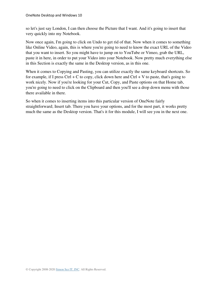so let's just say London, I can then choose the Picture that I want. And it's going to insert that very quickly into my Notebook.

Now once again, I'm going to click on Undo to get rid of that. Now when it comes to something like Online Video, again, this is where you're going to need to know the exact URL of the Video that you want to insert. So you might have to jump on to YouTube or Vimeo, grab the URL, paste it in here, in order to put your Video into your Notebook. Now pretty much everything else in this Section is exactly the same in the Desktop version, as in this one.

When it comes to Copying and Pasting, you can utilize exactly the same keyboard shortcuts. So for example, if I press Ctrl + C to copy, click down here and Ctrl + V to paste, that's going to work nicely. Now if you're looking for your Cut, Copy, and Paste options on that Home tab, you're going to need to click on the Clipboard and then you'll see a drop down menu with those there available in there.

So when it comes to inserting items into this particular version of OneNote fairly straightforward; Insert tab. There you have your options, and for the most part, it works pretty much the same as the Desktop version. That's it for this module, I will see you in the next one.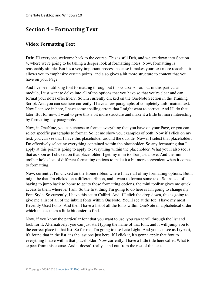# **Section 4 – Formatting Text**

#### **Video: Formatting Text**

**Deb:** Hi everyone, welcome back to the course. This is still Deb, and we are down into Section 4, where we're going to be taking a deeper look at formatting notes. Now, formatting is reasonably simple. But it's a very important process because it makes your text more readable, it allows you to emphasize certain points, and also gives a bit more structure to content that you have on your Page.

And I've been utilizing font formatting throughout this course so far, but in this particular module, I just want to delve into all of the options that you have so that you're clear and can format your notes effectively. So I'm currently clicked on the OneNote Section in the Training Script. And you can see here currently, I have a few paragraphs of completely unformatted text. Now I can see in here, I have some spelling errors that I might want to correct. And I'll do that later. But for now, I want to give this a bit more structure and make it a little bit more interesting by formatting my paragraphs.

Now, in OneNote, you can choose to format everything that you have on your Page, or you can select specific paragraphs to format. So let me show you examples of both. Now if I click on my text, you can see that I have this placeholder around the outside. Now if I select that placeholder, I'm effectively selecting everything contained within the placeholder. So any formatting that I apply at this point is going to apply to everything within the placeholder. What you'll also see is that as soon as I clicked on that placeholder, I get my mini toolbar just above. And the mini toolbar holds lots of different formatting options to make it a bit more convenient when it comes to formatting.

Now, currently, I'm clicked on the Home ribbon where I have all of my formatting options. But it might be that I'm clicked on a different ribbon, and I want to format some text. So instead of having to jump back to home to get to those formatting options, the mini toolbar gives me quick access to them wherever I am. So the first thing I'm going to do here is I'm going to change my Font Style. So currently, I have this set to Calibri. And if I click the drop down, this is going to give me a list of all of the inbuilt fonts within OneNote. You'll see at the top, I have my most Recently Used Fonts. And then I have a list of all the fonts within OneNote in alphabetical order, which makes them a little bit easier to find.

Now, if you know the particular font that you want to use, you can scroll through the list and look for it. Alternatively, you can just start typing the name of that font, and it will jump you to the correct place in that list. So for me, I'm going to use Lato Light. And you can see as I type it, it's found that in the list, it's the last one just here. If I click it, it's gonna apply that font to everything I have within that placeholder. Now currently, I have a little title here called What to expect from this course. And it doesn't really stand out from the rest of the text.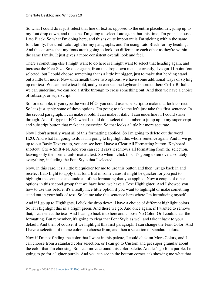So what I could do is just select that line of text as opposed to the entire placeholder, jump up to my font drop down, and this one, I'm going to select Lato again, but this time, I'm gonna choose Lato Black. So what I'm doing here, and this is quite important is I'm sticking within the same font family. I've used Lato Light for my paragraphs, and I'm using Lato Black for my heading. And this ensures that my fonts aren't going to look too different to each other as they're within the same family. It just gives a more consistent overall look and feel.

There's something else I might want to do here is I might want to select that heading again, and increase the Font Size. So once again, from the drop down menu, currently, I've got 11 point font selected, but I could choose something that's a little bit bigger, just to make that heading stand out a little bit more. Now underneath those two options, we have some additional ways of styling up our text. We can make text bold, and you can see the keyboard shortcut there Ctrl + B, Italic, we can underline, we can add a strike through to cross something out. And then we have a choice of subscript or superscript.

So for example, if you type the word  $H^2O$ , you could use superscript to make that look correct. So let's just apply some of these options. I'm going to take the let's just take this first sentence. In the second paragraph, I can make it bold. I can make it italic. I can underline it, I could strike through. And if I type in  $H^2O$ , what I could do is select the number to jump up to my superscript and subscript button that make it superscript. So that looks a little bit more accurate.

Now I don't actually want all of this formatting applied. So I'm going to delete out the word H2O. And what I'm going to do is I'm going to highlight this whole sentence again. And if we go up to our Basic Text group, you can see here I have a Clear All Formatting button. Keyboard shortcut, Ctrl + Shift + N. And you can see it says it removes all formatting from the selection, leaving only the normal unformatted text. So when I click this, it's going to remove absolutely everything, including the Font Style that I selected.

Now, in this case, it's a little bit quicker for me to use this button and then just go back in and reselect Lato Light to apply that font. But in some cases, it might be quicker for you just to highlight the sentence and undo all of the formatting that you applied. Now a couple of other options in this second group that we have here, we have a Text Highlighter. And I showed you how to use this before, it's a really nice little option if you want to highlight or make something stand out in your bulk of text. So let me take this sentence here where I'm introducing myself.

And if I go up to Highlights, I click the drop down, I have a choice of different highlight colors. So let's highlight this in a bright green. And there we go. And once again, if I wanted to remove that, I can select the text. And I can go back into here and choose No Color. Or I could clear the formatting. But remember, it's going to clear that Font Style as well and take it back to your default. And then of course, if we highlight this first paragraph, I can change the Font Color. And I have a selection of theme colors to choose from, and then a selection of standard colors.

Now if I'm not finding the color that I want in this palette, I could click on More Colors, and I can choose from a standard color selection, or I can go to Custom and get super granular about the color that I'm choosing. So I can move around this color palette. And let's go for a purple, I'm going to go for a lighter purple. And you can see in the bottom corner, it's showing me what that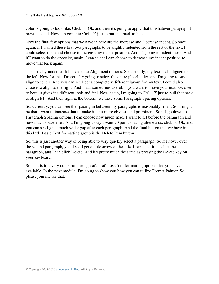color is going to look like. Click on Ok, and then it's going to apply that to whatever paragraph I have selected. Now I'm going to  $Ctrl + Z$  just to put that back to black.

Now the final few options that we have in here are the Increase and Decrease indent. So once again, if I wanted these first two paragraphs to be slightly indented from the rest of the text, I could select them and choose to increase my indent position. And it's going to indent those. And if I want to do the opposite, again, I can select I can choose to decrease my indent position to move that back again.

Then finally underneath I have some Alignment options. So currently, my text is all aligned to the left. Now for this, I'm actually going to select the entire placeholder, and I'm going to say align to center. And you can see I get a completely different layout for my text, I could also choose to align to the right. And that's sometimes useful. If you want to move your text box over to here, it gives it a different look and feel. Now again, I'm going to  $Ctrl + Z$  just to pull that back to align left. And then right at the bottom, we have some Paragraph Spacing options.

So, currently, you can see the spacing in between my paragraphs is reasonably small. So it might be that I want to increase that to make it a bit more obvious and prominent. So if I go down to Paragraph Spacing options, I can choose how much space I want to set before the paragraph and how much space after. And I'm going to say I want 20 point spacing afterwards, click on Ok, and you can see I get a much wider gap after each paragraph. And the final button that we have in this little Basic Text formatting group is the Delete Item button.

So, this is just another way of being able to very quickly select a paragraph. So if I hover over the second paragraph, you'll see I get a little arrow at the side. I can click it to select the paragraph, and I can click Delete. And it's pretty much the same as pressing the Delete key on your keyboard.

So, that is it, a very quick run through of all of those font formatting options that you have available. In the next module, I'm going to show you how you can utilize Format Painter. So, please join me for that.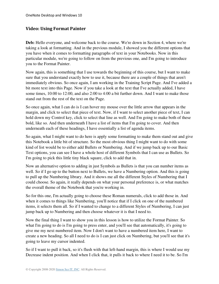## **Video: Using Format Painter**

**Deb:** Hello everyone, and welcome back to the course. We're down in Section 4, where we're taking a look at formatting. And in the previous module, I showed you the different options that you have when it comes to formatting paragraphs of text in your Notebooks. Now in this particular module, we're going to follow on from the previous one, and I'm going to introduce you to the Format Painter.

Now again, this is something that I use towards the beginning of this course, but I want to make sure that you understand exactly how to use it, because there are a couple of things that aren't immediately obvious. So once again, I am working in the Training Script Page. And I've added a bit more text into this Page. Now if you take a look at the text that I've actually added, I have some times, 10:00 to 12:00, and also 2:00 to 4:00 a bit further down. And I want to make those stand out from the rest of the text on the Page.

So once again, what I can do is I can hover my mouse over the little arrow that appears in the margin, and click to select that piece of text. Now, if I want to select another piece of text, I can hold down my Control key, click to select that line as well. And I'm going to make both of these bold, like so. And then underneath I have a list of items that I'm going to cover. And then underneath each of these headings, I have essentially a list of agenda items.

So again, what I might want to do here is apply some formatting to make them stand out and give this Notebook a little bit of structure. So the most obvious thing I might want to do with some kind of list would be to either add Bullets or Numbering. And if we jump back up to our Basic Text options, you can see I have a whole host of different Symbols that I can use as Bullets. So I'm going to pick this little tiny black square, click to add that in.

Now an alternative option to adding in just Symbols as Bullets is that you can number items as well. So if I go up to the button next to Bullets, we have a Numbering option. And this is going to pull up the Numbering library. And it shows me all the different Styles of Numbering that I could choose. So again, it really depends on what your personal preference is, or what matches the overall theme of the Notebook that you're working in.

So for this one, I'm actually going to choose these Roman numerals, click to add those in. And when it comes to things like Numbering, you'll notice that if I click on one of the numbered items, it selects them all. So if I wanted to change to a different Styles of Numbering, I can just jump back up to Numbering and then choose whatever it is that I need to.

Now the final thing I want to show you in this lesson is how to utilize the Format Painter. So what I'm going to do is I'm going to press enter, and you'll see that automatically, it's going to give me my next numbered item. Now I don't want to have a numbered item here, I want to create a new heading. So all I need to do is I can just click on Numbering, but you'll see that it's going to leave my cursor indented.

So if I want to pull it back, so it's flush with that left-hand margin, this is where I would use my Decrease indent position. And when I click that, it pulls it back to where I need it to be. So I'm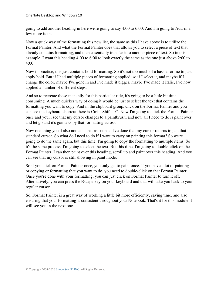going to add another heading in here we're going to say 4:00 to 6:00. And I'm going to Add-in a few more items.

Now a quick way of me formatting this new list, the same as this I have above is to utilize the Format Painter. And what the Format Painter does that allows you to select a piece of text that already contains formatting, and then essentially transfer it to another piece of text. So in this example, I want this heading 4:00 to 6:00 to look exactly the same as the one just above 2:00 to 4:00.

Now in practice, this just contains bold formatting. So it's not too much of a hassle for me to just apply bold. But if I had multiple pieces of formatting applied, so if I select it, and maybe if I change the color, maybe I've gone in and I've made it bigger, maybe I've made it Italic, I've now applied a number of different steps.

And so to recreate those manually for this particular title, it's going to be a little bit time consuming. A much quicker way of doing it would be just to select the text that contains the formatting you want to copy. And in the clipboard group, click on the Format Painter and you can see the keyboard shortcut there is  $Ctrl + Shift + C$ . Now I'm going to click the Format Painter once and you'll see that my cursor changes to a paintbrush, and now all I need to do is paint over and let go and it's gonna copy that formatting across.

Now one thing you'll also notice is that as soon as I've done that my cursor returns to just that standard cursor. So what do I need to do if I want to carry on painting this format? So we're going to do the same again, but this time, I'm going to copy the formatting to multiple items. So it's the same process, I'm going to select the text. But this time, I'm going to double-click on the Format Painter. I can then paint over this heading, scroll up and paint over this heading. And you can see that my cursor is still showing in paint mode.

So if you click on Format Painter once, you only get to paint once. If you have a lot of painting or copying or formatting that you want to do, you need to double-click on that Format Painter. Once you're done with your formatting, you can just click on Format Painter to turn it off. Alternatively, you can press the Escape key on your keyboard and that will take you back to your regular cursor.

So, Format Painter is a great way of working a little bit more efficiently, saving time, and also ensuring that your formatting is consistent throughout your Notebook. That's it for this module, I will see you in the next one.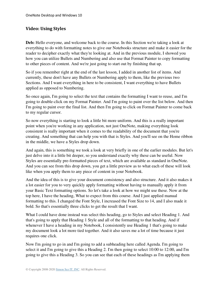## **Video: Using Styles**

**Deb:** Hello everyone, and welcome back to the course. In this Section we're taking a look at everything to do with formatting notes to give our Notebooks structure and make it easier for the reader to decipher exactly what they're looking at. And in the previous module, I showed you how you can utilize Bullets and Numbering and also use that Format Painter to copy formatting to other pieces of content. And we're just going to start out by finishing that up.

So if you remember right at the end of the last lesson, I added in another list of items. And currently, these don't have any Bullets or Numbering apply to them, like the previous two Sections. And I want everything in here to be consistent, I want everything to have Bullets applied as opposed to Numbering.

So once again, I'm going to select the text that contains the formatting I want to reuse, and I'm going to double-click on my Format Painter. And I'm going to paint over the list below. And then I'm going to paint over the final list. And then I'm going to click on Format Painter to come back to my regular cursor.

So now everything is starting to look a little bit more uniform. And this is a really important point when you're working in any application, not just OneNote, making everything look consistent is really important when it comes to the readability of the document that you're creating. And something that can help you with that is Styles. And you'll see on the Home ribbon in the middle, we have a Styles drop down.

And again, this is something we took a look at very briefly in one of the earlier modules. But let's just delve into it a little bit deeper, so you understand exactly why these can be useful. Now Styles are essentially pre-formatted pieces of text, which are available as standard in OneNote. And you can see from this drop down, you get a little preview as to what each of these will look like when you apply them to any piece of content in your Notebook.

And the idea of this is to give your document consistency and also structure. And it also makes it a lot easier for you to very quickly apply formatting without having to manually apply it from your Basic Text formatting options. So let's take a look at how we might use these. Now at the top here, I have the heading, What to expect from this course. And I just applied manual formatting to this. I changed the Font Style, I increased the Font Size to 14, and I also made it bold. So that's essentially three clicks to get the result that I want.

What I could have done instead was select this heading, go to Styles and select Heading 1. And that's going to apply that Heading 1 Style and all of the formatting to that heading. And if whenever I have a heading in my Notebook, I consistently use Heading 1 that's going to make my document look a lot more tied together. And it also saves me a lot of time because it just requires one click.

Now I'm going to go in and I'm going to add a subheading here called Agenda. I'm going to select it and I'm going to give this a Heading 2. I'm then going to select 10:00 to 12:00, and I'm going to give this a Heading 3. So you can see that each of these headings as I'm applying them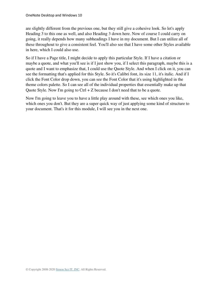are slightly different from the previous one, but they still give a cohesive look. So let's apply Heading 3 to this one as well, and also Heading 3 down here. Now of course I could carry on going, it really depends how many subheadings I have in my document. But I can utilize all of these throughout to give a consistent feel. You'll also see that I have some other Styles available in here, which I could also use.

So if I have a Page title, I might decide to apply this particular Style. If I have a citation or maybe a quote, and what you'll see is if I just show you, if I select this paragraph, maybe this is a quote and I want to emphasize that, I could use the Quote Style. And when I click on it, you can see the formatting that's applied for this Style. So it's Calibri font, its size 11, it's italic. And if I click the Font Color drop down, you can see the Font Color that it's using highlighted in the theme colors palette. So I can see all of the individual properties that essentially make up that Quote Style. Now I'm going to Ctrl + Z because I don't need that to be a quote.

Now I'm going to leave you to have a little play around with these, see which ones you like, which ones you don't. But they are a super quick way of just applying some kind of structure to your document. That's it for this module, I will see you in the next one.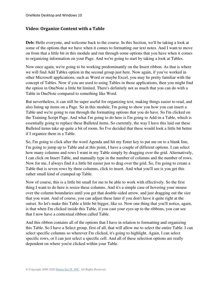#### **Video: Organize Content with a Table**

**Deb:** Hello everyone, and welcome back to the course. In this Section, we'll be taking a look at some of the options that we have when it comes to formatting our text notes. And I want to move on from that a little bit in this module and run through some options that you have when it comes to organizing information on your Page. And we're going to start by taking a look at Tables.

Now once again, we're going to be working predominantly on the Insert ribbon. As that is where we will find Add Tables option in the second group just here. Now again, if you've worked in other Microsoft applications, such as Word or maybe Excel, you may be pretty familiar with the concept of Tables. Now if you are used to using Tables in those applications, then you might find the option in OneNote a little bit limited. There's definitely not as much that you can do with a Table in OneNote compared to something like Word.

But nevertheless, it can still be super useful for organizing text, making things easier to read, and also lining up items on a Page. So in this module, I'm going to show you how you can insert a Table and we're going to run through the formatting options that you do have. So I'm clicked on the Training Script Page. And what I'm going to do here is I'm going to Add-in a Table, which is essentially going to replace these Bulleted items. So currently, the way I have this laid out these Bulleted items take up quite a bit of room. So I've decided that these would look a little bit better if I organize them in a Table.

So, I'm going to click after the word Agenda and hit my Enter key to put me on to a blank line, I'm going to jump up to Table and at this point, I have a couple of different options. I can select how many columns and rows I want in my Table simply by dragging over the grid. Alternatively, I can click on Insert Table, and manually type in the number of columns and the number of rows. Now for me, I always find it a little bit easier just to drag over the grid. So, I'm going to create a Table that is seven rows by three columns, click to insert. And what you'll see is you get this rather small kind of cramped up Table.

Now of course, this is a little bit small for me to be able to work with effectively. So the first thing I want to do here is resize these columns. And it's a simple case of hovering your mouse over the column boundaries until you get that double-sided arrow, and just dragging out the size that you want. And of course, you can adjust these later if you don't have it quite right at the outset. So let's make this Table a little bit bigger, like so. Now one thing that you'll notice, again, is that when I'm clicked inside this Table, if you cast your eyes up to the ribbons, you can see that I now have a contextual ribbon called Table.

And this ribbon contains all of the options that I have in relation to formatting and organizing this Table. So I have a Select group, first of all, that will allow me to select the entire Table. I can select specific columns so wherever I'm clicked, it's going to highlight. Again, I can select specific rows, or I can just select a specific cell. And all of these selection options are really dependent on where you're clicked within your Table.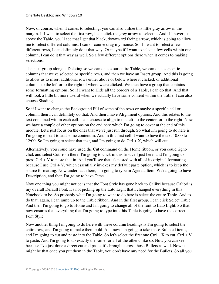Now, of course, when it comes to selecting, you can also utilize this little gray arrow in the margin. If I want to select the first row, I can click the grey arrow to select it. And if I hover just above the Table, you'll see that I get that black, downward facing arrow, which is going to allow me to select different columns. I can of course drag my mouse. So if I want to select a few different rows, I can definitely do it that way. Or maybe if I want to select a few cells within one column, I can do it that way as well. So a few different options there when it comes to making selections.

The next group along is Deleting so we can delete our entire Table, we can delete specific columns that we've selected or specific rows, and then we have an Insert group. And this is going to allow us to insert additional rows either above or below where it clicked, or additional columns to the left or to the right of where we're clicked. We then have a group that contains some formatting options. So if I want to Hide all the borders of a Table, I can do that. And that will look a little bit more useful when we actually have some content within the Table. I can also choose Shading.

So if I want to change the Background Fill of some of the rows or maybe a specific cell or column, then I can definitely do that. And then I have Alignment options. And this relates to the text contained within each cell. I can choose to align to the left, to the center, or to the right. Now we have a couple of other options on the end here which I'm going to cover at the end of this module. Let's just focus on the ones that we've just run through. So what I'm going to do here is I'm going to start to add some content in. And in this first cell, I want to have the text 10:00 to 12:00. So I'm going to select that text, and I'm going to do  $Ctrl + X$ , which will cut.

Alternatively, you could have used the Cut command on the Home ribbon, or you could rightclick and select Cut from there. I'm going to click in this first cell just here, and I'm going to press Ctrl + V to paste that in. And you'll see that it's pasted with all of its original formatting because I use Ctrl + V, which essentially invokes my default paste option, which is to keep the source formatting. Now underneath here, I'm going to type in Agenda Item. We're going to have Description, and then I'm going to have Time.

Now one thing you might notice is that the Font Style has gone back to Calibri because Calibri is my overall Default Font. It's not picking up the Lato Light that I changed everything in this Notebook to be. So probably what I'm going to want to do here is select the entire Table. And to do that, again, I can jump up to the Table ribbon. And in the first group, I can click Select Table. And then I'm going to go to Home and I'm going to change all of the font to Lato Light. So that now ensures that everything that I'm going to type into this Table is going to have the correct Font Style.

Now another thing I'm going to do here with these column headings is I'm going to select the entire row, and I'm going to make them bold. And now I'm going to take these Bulleted items, and I'm going to cut and paste into the Table. So let's select the first one Ctrl + X to cut, Ctrl + V to paste. And I'm going to do exactly the same for all of the others, like so. Now you can see because I've just done a direct cut and paste, it's brought across those Bullets as well. Now it might be that once you put them in the Table, you don't have any need for the Bullets. So all you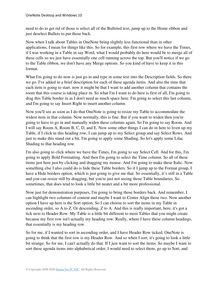need to do to get rid of those is select all of the Bulleted text, jump up to the Home ribbon and just deselect Bullets to put those back.

Now when I talk about Tables in OneNote being slightly less functional than in other applications, I mean for things like this. So for example, this first row where we have the Times, if I was working in a Table in say Word, what I would probably do here would be to merge all of these cells so we just have essentially one cell running across the top. But you'll notice if we go to the Table ribbon, we don't have any Merge options. So you kind of have to keep it in this format.

What I'm going to do now is just go in and type in some text into the Description fields. So there we go. I've added in a brief description for each of these agenda items. And also the time that each item is going to start. now it might be that I want to add another column that contains the room that this course is taking place in. So what I'm I want to do here is first of all, I'm going to drag this Table border in as I don't need as much space here. I'm going to select this last column, and I'm going to say Insert Right to insert another column.

Now you'll see as soon as I do that OneNote is going to resize my Table to accommodate the widest item in that column. Now normally, this is fine. But if you want to widen then you're going to have to go in and manually widen these columns again. So I'm going to say Room. And I will say Room A, Room B, C, D, and E. Now some other things I can do in here to liven up my Table, if I click in this heading row, I can jump up to my Select group and say Select Rows. And just to make this stand out a bit, I'm going to apply some Shading. So let's apply some Lilac Shading to that heading row.

I'm also going to click where we have the Times, I'm going to say Select Cell. And for this, I'm going to apply Bold Formatting. And then I'm going to select the Time column. So all of these items just here just by clicking and dragging my mouse. And I'm going to make these Italic. Now something else I also could do is hide these Table borders. So if I jump up to the Format group, I have a Hide borders option, which is just going to give me that. So essentially, it's still in a Table and you can resize still by dragging, but you're just not seeing those Table boundaries. So sometimes, that does tend to look a little bit neater and a bit more professional.

Now just for demonstration purposes, I'm going to bring those borders back. And remember, I can highlight two columns of content and maybe I want to Center Align those two. Now another option I have up here is the Sort option. So I can choose to sort the items in my Table in ascending order, so A to Z. Or descending, Z to A. And this is really important, here, it's got a tick next to Header Row. My Table is a little bit different to most Tables that you might create because my first row isn't actually my heading row. Really, where I have these column headings, that essentially is my heading row.

So for me, if I wanted to sort in ascending order, and I have Header Row ticked, OneNote is going to think that the first row is my Header Row. And so when I sort, it's going to look a little bit strange. So for me, I can't actually do that. If I just want to sort the items. So maybe I want to sort these agenda items into alphabetical order, I would need to select them, go up to Sort, and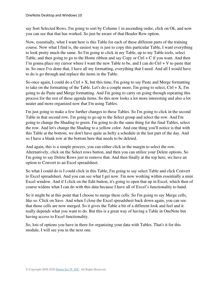say Sort Selected Rows. I'm going to sort by Column 1 in ascending order, click on Ok, and now you can see that that has worked. So just be aware of that Header Row option.

Now, essentially, what I want here is this Table for each of these different parts of the training course. Now what I find is, the easiest way is just to copy this particular Table, I want everything to look pretty much the same. So I'm going to click in my Table, up to my Table tools, select Table, and then going to go to the Home ribbon and say Copy or  $Ctrl + C$  if you want. And then I'm gonna place my cursor where I want the new Table to be, and I can do  $Ctrl + V$  to paste that in. So once I've done that, I have all my formatting, everything that I need. And all I would have to do is go through and replace the items in the Table.

So once again, I could do a Ctrl  $+ X$ , but this time, I'm going to say Paste and Merge formatting to take on the formatting of the Table. Let's do a couple more, I'm going to select,  $Ctrl + X$ , I'm going to do Paste and Merge formatting. And I'm going to carry on going through repeating this process for the rest of these agenda items. So this now looks a lot more interesting and also a lot neater and more organized now that I'm using Tables.

I'm just going to make a few further changes to these Tables. So I'm going to click in the second Table in that second row, I'm going to go up to the Select group and select the row. And I'm going to change the Shading to green. I'm going to do the same thing for the final Tables, select the row. And let's change the Shading to a yellow color. And one thing you'll notice is that with this Table at the bottom, we don't have quite as hefty a schedule in the last part of the day. And so I have a blank row at the bottom here that needs to be deleted.

And again, this is a simple process, you can either click in the margin to select the row. Alternatively, click on the Select rows button, and then you can utilize your Delete options. So I'm going to say Delete Rows just to remove that. And then finally at the top here, we have an option to Convert to an Excel spreadsheet.

So what I could do is I could click in this Table, I'm going to say select Table and click Convert to Excel spreadsheet. And you can see what I get now. I'm now working within essentially a mini Excel window. And if I click on the Edit button, it's going to open that up in Excel, which then of course widens what I can do with this data because I have all of Excel's functionality to hand.

So it might be at this point that I choose to merge these cells. So I'm going to say Merge cells, like so. Click on Save. And when I close the Excel spreadsheet back down again, you can see that those cells are now merged. So it gives the Table a bit of a different look and feel and it really depends what you want to do. But this is a great way of having a Table in OneNote but having access to Excel functionality.

So, lots of options you have in there for organizing your data with Tables. That's it for this module, I will see you in the next one.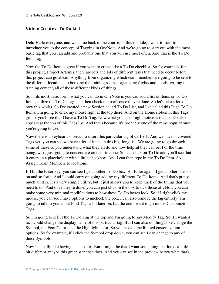## **Video: Create a To Do List**

**Deb:** Hello everyone, and welcome back to the course. In this module, I want to start to introduce you to the concept of Tagging in OneNote. And we're going to start out with the most basic tag that you can add and probably one that you will use most often. And that is the To Do Item Tag.

Now the To Do Item is great if you want to create like a To Do checklist. So for example, for this project, Project Artemis, there are lots and lots of different tasks that need to occur before this project can go ahead. Anything from organizing which team members are going to be sent to the different locations, to booking the training rooms, organizing flights and hotels, writing the training content, all of those different kinds of things.

So in its most basic form, what you can do in OneNote is you can add a list of items or To Do Items, utilize the To Do Tag, and then check them off once they're done. So let's take a look at how this works. So I've created a new Section called To Do List, and I've called this Page To Do Items. I'm going to click my mouse right at the top there. And on the Home ribbon in this Tags group, you'll see that I have a To Do Tag. Now what you also might notice is that To Do also appears at the top of this Tags list. And that's because it's probably one of the most popular ones you're going to use.

Now there is a keyboard shortcut to insert this particular tag of  $Ctrl + 1$ . And we haven't covered Tags yet, you can see we have a lot of items in this big, long list. We are going to go through some of these so you understand what they all do and how helpful they can be. For the time being, we're just going to concentrate on this first one. So let's click on To Do and you'll see that it enters in a placeholder with a little checkbox. And I can then type in my To Do Item. So Assign Team Members to locations.

If I hit the Enter key, you can see I get another To Do box. Hit Enter again, I get another one, so on and so forth. And I could carry on going adding my different To Do Items. And that's pretty much all it is. It's a very simple utility, but it just allows you to keep track of the things that you need to do. And once they're done, you can just click in the box to tick those off. Now you can make some very minimal modifications to how these To Do boxes look. So if I right-click my mouse, you can see I have options to uncheck the box, I can also remove the tag entirely. I'm going to talk to you about Find Tags a bit later on, but the one I want to go into is Customize Tags.

So I'm going to select the To Do Tag at the top and I'm going to say Modify Tag. So if I wanted to, I could change the display name of this particular tag. But I can also do things like change the Symbol, the Font Color, and the Highlight color. So you have some limited customization options. So for example, if I click the Symbol drop down, you can see I can change to any of these Symbols.

Now I actually like having a checkbox. But it might be that I want something that looks a little bit different, maybe this green star checkbox. And you can see in the preview below what that's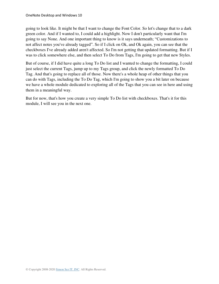going to look like. It might be that I want to change the Font Color. So let's change that to a dark green color. And if I wanted to, I could add a highlight. Now I don't particularly want that I'm going to say None. And one important thing to know is it says underneath; "Customizations to not affect notes you've already tagged". So if I click on Ok, and Ok again, you can see that the checkboxes I've already added aren't affected. So I'm not getting that updated formatting. But if I was to click somewhere else, and then select To Do from Tags, I'm going to get that new Styles.

But of course, if I did have quite a long To Do list and I wanted to change the formatting, I could just select the current Tags, jump up to my Tags group, and click the newly formatted To Do Tag. And that's going to replace all of those. Now there's a whole heap of other things that you can do with Tags, including the To Do Tag, which I'm going to show you a bit later on because we have a whole module dedicated to exploring all of the Tags that you can see in here and using them in a meaningful way.

But for now, that's how you create a very simple To Do list with checkboxes. That's it for this module, I will see you in the next one.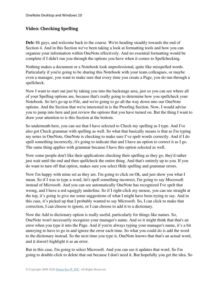## **Video: Checking Spelling**

Deb: Hi guys, and welcome back to the course. We're heading steadily towards the end of Section 4. And in this Section we've been taking a look at formatting tools and how you can organize your information within OneNote effectively. And no essential formatting would be complete if I didn't run you through the options you have when it comes to Spellchecking.

Nothing makes a document or a Notebook look unprofessional, quite like misspelled words. Particularly if you're going to be sharing this Notebook with your team colleagues, or maybe even a manager, you want to make sure that every time you create a Page, you do run through a spellcheck.

Now I want to start out just by taking you into the backstage area, just so you can see where all of your Spelling options are, because that's really going to determine how you spellcheck your Notebook. So let's go up to File, and we're going to go all the way down into our OneNote options. And the Section that we're interested in is the Proofing Section. Now, I would advise you to jump into here and just review the options that you have turned on. But the thing I want to draw your attention to is this Section at the bottom.

So underneath here, you can see that I have selected to Check my spelling as I type. And I've also got Check grammar with spelling as well. So what that basically means is that as I'm typing my notes in OneNote, OneNote is checking to make sure I've spelt words correctly. And if I do spell something incorrectly, it's going to indicate that and I have an option to correct it as I go. The same thing applies with grammar because I have this option selected as well.

Now some people don't like their applications checking their spelling as they go, they'd rather just wait until the end and then spellcheck the entire thing. And that's entirely up to you. If you do want to turn off that option, makes sure you select Hide spelling and grammar errors.

Now I'm happy with mine set as they are. I'm going to click on Ok, and just show you what I mean. So if I was to type a word, let's spell something incorrect, I'm going to say Mocrosoft instead of Microsoft. And you can see automatically OneNote has recognized I've spelt that wrong, and I have a red squiggly underline. So if I right-click my mouse, you can see straight at the top, it's going to give me some suggestions of what I might have been trying to say. And in this case, it's picked up that I probably wanted to say Microsoft. So, I can click to make that correction, I can choose to ignore, or I can choose to add it to a dictionary.

Now the Add to dictionary option is really useful, particularly for things like names. So, OneNote won't necessarily recognize your manager's name. And so it might think that that's an error when you type it into the Page. And if you're always typing your manager's name, it's a bit annoying to have to go in and ignore the error each time. So what you could do is add the word to the dictionary instead. So the next time you type it, OneNote knows that that's an actual word, and it doesn't highlight it as an error.

But in this case, I'm going to select Microsoft. And you can see it updates that word. So I'm going to double-click to delete that out because I don't need it. But hopefully you get the idea. So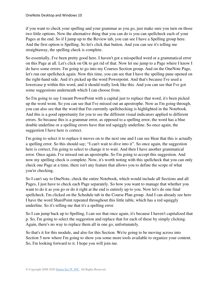if you want to check your spelling and your grammar as you go, just make sure you turn on those two little options. Now the alternative thing that you can do is you can spellcheck each of your Pages at the end. So if I jump up to the Review tab, you can see I have a Spelling group here. And the first option is Spelling. So let's click that button. And you can see it's telling me straightaway, the spelling check is complete.

So essentially, I've been pretty good here. I haven't got a misspelled word or a grammatical error on this Page at all. Let's click on Ok to get rid of that. Now let me jump to a Page where I know I do have some errors. I'm going to go into my Courses Section group. And on the OneNote Page, let's run our spellcheck again. Now this time, you can see that I have the spelling pane opened on the right-hand side. And it's picked up the word Powerpoint. And that's because I've used a lowercase p within this word, and it should really look like this. And you can see that I've got some suggestions underneath which I can choose from.

So I'm going to say I meant PowerPoint with a capital just to replace that word, it's been picked up the word wont. So you can see that I've missed out an apostrophe. Now as I'm going through, you can also see that the word that I'm currently spellchecking is highlighted in the Notebook. And this is a good opportunity for you to see the different visual indicators applied to different errors. So because this is a grammar error, as opposed to a spelling error, the word has a blue double underline or a spelling errors have that red squiggly underline. So once again, the suggestion I have here is correct.

I'm going to select it to replace it moves on to the next one and I can see Hear that this is actually a spelling error. So this should say; "I can't wait to dive into it". So once again, the suggestion here is correct, I'm going to select to change it to wait. And then I have another grammatical error. Once again, I've missed out an apostrophe. So I'm going to accept this suggestion. And now my spelling check is complete. Now, it's worth noting with this spellcheck that you can only check one Page at a time, there isn't any feature that allows you to define the scope of what you're checking.

So I can't say to OneNote, check the entire Notebook, which would include all Sections and all Pages, I just have to check each Page separately. So how you want to manage that whether you want to do it as you go or do it right at the end is entirely up to you. Now let's do one final spellcheck. I'm clicked on the Schedule tab in the Course Plan group. And I can already see here I have the word SharePoint repeated throughout this little table, which has a red squiggly underline. So it's telling me that it's a spelling error.

So I can jump back up to Spelling, I can see that once again, it's because I haven't capitalized that p. So, I'm going to select the suggestion and replace that for each of these by simply clicking. Again, there's no way to replace them all in one go, unfortunately.

So that's it for this module, and also for this Section. We're going to be moving across into Section 5 now where I'm going to show you some more tools available to organize your content. So, I'm looking forward to it. I hope you will join me.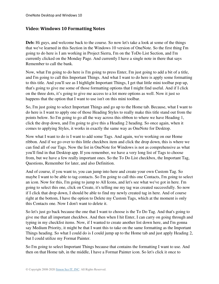### **Video: Windows 10 Formatting Notes**

Deb: Hi guys, and welcome back to the course. So now let's take a look at some of the things that we've learned in this Section in the Windows 10 version of OneNote. So the first thing I'm going to do here is I am working in Project Sierra, I'm on the ToDo List Section, and I'm currently clicked on the Monday Page. And currently I have a single note in there that says Remember to call the bank.

Now, what I'm going to do here is I'm going to press Enter, I'm just going to add a bit of a title, and I'm going to call this Important Things. And what I want to do here is apply some formatting to this title. And you'll see as I highlight Important Things, I get that little mini toolbar pop up, that's going to give me some of those formatting options that I might find useful. And if I click on the three dots, it's going to give me access to a lot more options as well. Now it just so happens that the option that I want to use isn't on this mini toolbar.

So, I'm just going to select Important Things and go up to the Home tab. Because, what I want to do here is I want to apply one of those Heading Styles to really make this title stand out from the points below. So I'm going to go all the way across this ribbon to where we have Heading 1, click the drop down, and I'm going to give this a Heading 2 heading. So once again, when it comes to applying Styles, it works in exactly the same way as OneNote for Desktop.

Now what I want to do is I want to add some Tags. And again, we're working on our Home ribbon. And if we go over to this little checkbox item and click the drop down, this is where we can find all of our Tags. Now the list in OneNote for Windows is not as comprehensive as what you'll find in that Desktop app. If you remember, we have a very long list of Tags to choose from, but we have a few really important ones. So the To Do List checkbox, the Important Tag, Questions, Remember for later, and also Definition.

And of course, if you want to, you can jump into here and create your own Custom Tag. So maybe I want to be able to tag contacts. So I'm going to call this one Contacts, I'm going to select an icon. Now for this, I'm going to jump to All Icons, and let's see what we've got in here. I'm going to select this one, click on Create, it's telling me my tag was created successfully. So now if I click that drop down, I should be able to find my newly created tag in here. And of course right at the bottom, I have the option to Delete my Custom Tags, which at the moment is only this Contacts one. Now I don't want to delete it.

So let's just go back because the one that I want to choose is the To Do Tag. And that's going to give me that all important checkbox. And then when I hit Enter, I can carry on going through and typing in my checklist items. Now, if I wanted to create another list down here, and I'm gonna say Medium Priority, it might be that I want this to take on the same formatting as the Important Things heading. So what I could do is I could jump up to the Home tab and just apply Heading 2, but I could utilize my Format Painter.

So I'm going to select Important Things because that contains the formatting I want to use. And then on that Home tab, in the middle, I have a Format Painter icon. So let's click it once to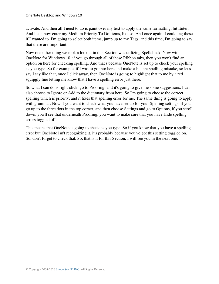activate. And then all I need to do is paint over my text to apply the same formatting, hit Enter. And I can now enter my Medium Priority To Do Items, like so. And once again, I could tag these if I wanted to. I'm going to select both items, jump up to my Tags, and this time, I'm going to say that these are Important.

Now one other thing we took a look at in this Section was utilizing Spellcheck. Now with OneNote for Windows 10, if you go through all of these Ribbon tabs, then you won't find an option on here for checking spelling. And that's because OneNote is set up to check your spelling as you type. So for example, if I was to go into here and make a blatant spelling mistake, so let's say I say like that, once I click away, then OneNote is going to highlight that to me by a red squiggly line letting me know that I have a spelling error just there.

So what I can do is right-click, go to Proofing, and it's going to give me some suggestions. I can also choose to Ignore or Add to the dictionary from here. So I'm going to choose the correct spelling which is priority, and it fixes that spelling error for me. The same thing is going to apply with grammar. Now if you want to check what you have set up for your Spelling settings, if you go up to the three dots in the top corner, and then choose Settings and go to Options, if you scroll down, you'll see that underneath Proofing, you want to make sure that you have Hide spelling errors toggled off.

This means that OneNote is going to check as you type. So if you know that you have a spelling error but OneNote isn't recognizing it, it's probably because you've got this setting toggled on. So, don't forget to check that. So, that is it for this Section, I will see you in the next one.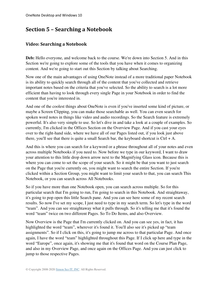# **Section 5 – Searching a Notebook**

### **Video: Searching a Notebook**

**Deb:** Hello everyone, and welcome back to the course. We're down into Section 5. And in this Section we're going to explore some of the tools that you have when it comes to organizing content. And we're going to start out this Section by talking about Searching.

Now one of the main advantages of using OneNote instead of a more traditional paper Notebook is its ability to quickly search through all of the content that you've collected and retrieve important notes based on the criteria that you've selected. So the ability to search is a lot more efficient than having to look through every single Page in your Notebook in order to find the content that you're interested in.

And one of the coolest things about OneNote is even if you've inserted some kind of picture, or maybe a Screen Clipping, you can make those searchable as well. You can even search for spoken word notes in things like video and audio recordings. So the Search feature is extremely powerful. It's also very simple to use. So let's dive in and take a look at a couple of examples. So currently, I'm clicked in the Offices Section on the Overview Page. And if you cast your eyes over to the right-hand side, where we have all of our Pages listed out, if you look just above there, you'll see that there is quite a small Search bar, the keyboard shortcut is  $Ctrl + A$ .

And this is where you can search for a keyword or a phrase throughout all of your notes and even across multiple Notebooks if you need to. Now before we type in our keyword, I want to draw your attention to this little drop down arrow next to the Magnifying Glass icon. Because this is where you can come to set the scope of your search. So it might be that you want to just search on the Page that you're currently on, you might want to search the entire Section. If you're clicked within a Section Group, you might want to limit your search to that, you can search This Notebook, or you can search across All Notebooks.

So if you have more than one Notebook open, you can search across multiple. So for this particular search that I'm going to run, I'm going to search in this Notebook. And straightaway, it's going to pop open this little Search pane. And you can see here some of my recent search results. So now I've set my scope, I just need to type in my search term. So let's type in the word "team". And you can see straightaway what it pulls through. So it's telling me that it's found the word "team" twice on two different Pages. So To Do Items, and also Overview.

Now Overview is the Page that I'm currently clicked on. And you can see yes, in fact, it has highlighted the word "team", wherever it's found it. You'll also see it's picked up "team assignments". So if I click on this, it's going to jump me across to that particular Page. And once again, I have the word "team" highlighted throughout this Page. If I click up here and type in the word "Europe", once again, it's showing me that it's found that word on the Course Plan Page, and also in my Overview Page, and once again on the Offices Page. And you can just click to jump to those respective Pages.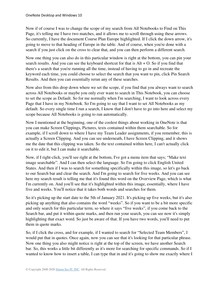Now if of course I was to change the scope of my search from All Notebooks to Find on This Page, it's telling me I have two matches, and it allows me to scroll through using these arrows. So currently, I have the document Course Plan Europe highlighted. If I click the down arrow, it's going to move to that heading of Europe in the table. And of course, when you're done with a search if you just click on the cross to clear that, and you can then perform a different search.

Now one thing you can also do in this particular window is right at the bottom, you can pin your search results. And you can see the keyboard shortcut for that is Alt + O. So if you find that there's a search that you're running all the time, instead of having to go in and recreate the keyword each time, you could choose to select the search that you want to pin, click Pin Search Results. And then you can essentially rerun any of these searches.

Now also from this drop down where we set the scope, if you find that you always want to search across All Notebooks or maybe you only ever want to search in This Notebook, you can choose to set the scope as Default. So for me normally when I'm searching, I want to look across every Page that I have in my Notebook. So I'm going to say that I want to set All Notebooks as my default. So every single time I run a search, I know that I don't have to go into here and select my scope because All Notebooks is going to run automatically.

Now I mentioned at the beginning, one of the coolest things about working in OneNote is that you can make Screen Clippings, Pictures, texts contained within them searchable. So for example, if I scroll down to where I have my Team Leader assignments, if you remember, this is actually a Screen Clipping. And you can see underneath, I have Screen Clipping, and it shows me the date that this clipping was taken. So the text contained within here, I can't actually click on it to edit it, but I can make it searchable.

Now, if I right-click, you'll see right at the bottom, I've got a menu item that says; "Make text image searchable". And I can then select the language. So I'm going to click English United States. And then if I was to search for something specifically within this image, so let's go back to our Search bar and clear the search. And I'm going to search for five weeks. And you can see here my search result is telling me that it's found this word on the Overview Page, which is what I'm currently on. And you'll see that it's highlighted within this image, essentially, where I have five and weeks. You'll notice that it takes both words and searches for them.

So it's picking up the start date to the 5th of January 2021. It's picking up five weeks, but it's also picking up anything that also contains the word "weeks". So if you want to be a bit more specific and only search for this particular term, so where it says "five weeks", if you come back to the Search bar, and put it within quote marks, and then run your search, you can see now it's simply highlighting that exact word. So just be aware of that. If you have two words, you'll need to put them in quote marks.

So, if I click the cross, and for example, if I wanted to search for "Selected Team Members", I would put that in quotes. Once again, now you can see that it's looking for that particular phrase. Now one thing you also might notice is right at the top of the screen, we have another Search bar. So, this works a little bit differently as it's more for searching for specific commands. So if I wanted to know how to insert a table, I can type that in and it's going to show me exactly where I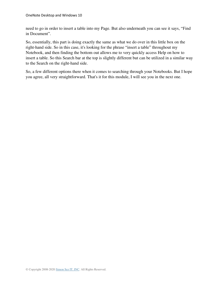need to go in order to insert a table into my Page. But also underneath you can see it says, "Find in Document".

So, essentially, this part is doing exactly the same as what we do over in this little box on the right-hand side. So in this case, it's looking for the phrase "insert a table" throughout my Notebook, and then finding the bottom out allows me to very quickly access Help on how to insert a table. So this Search bar at the top is slightly different but can be utilized in a similar way to the Search on the right-hand side.

So, a few different options there when it comes to searching through your Notebooks. But I hope you agree, all very straightforward. That's it for this module, I will see you in the next one.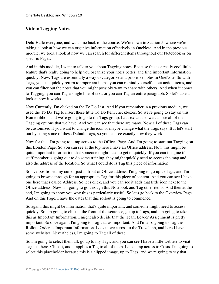## **Video: Tagging Notes**

**Deb:** Hello everyone, and welcome back to the course. We're down in Section 5, where we're taking a look at how we can organize information effectively in OneNote. And in the previous module, we took a look at how we can search for different items throughout our Notebook or on specific Pages.

And in this module, I want to talk to you about Tagging notes. Because this is a really cool little feature that's really going to help you organize your notes better, and find important information quickly. Now, Tags are essentially a way to categorize and prioritize notes in OneNote. So with Tags, you can quickly return to important items, you can remind yourself about action items, and you can filter out the notes that you might possibly want to share with others. And when it comes to Tagging, you can Tag a single line of text, or you can Tag an entire paragraph. So let's take a look at how it works.

Now Currently, I'm clicked on the To Do List. And if you remember in a previous module, we used the To Do Tag to insert these little To Do Item checkboxes. So we're going to stay on this Home ribbon, and we're going to go to the Tags group. Let's expand so we can see all of the Tagging options that we have. And you can see that there are many. Now all of these Tags can be customized if you want to change the icon or maybe change what the Tags says. But let's start out by using some of these Default Tags, so you can see exactly how they work.

Now for this, I'm going to jump across to the Offices Page. And I'm going to start out Tagging on this London Page. So you can see at the top here I have an Office address. Now this might be quite important information that someone might need to get to quickly. If you can imagine if a staff member is going out to do some training, they might quickly need to access the map and also the address of the location. So what I could do is Tag this piece of information.

So I've positioned my cursor just in front of Office address, I'm going to go up to Tags, and I'm going to browse through for an appropriate Tag for this piece of content. And you can see I have one here that's called Address. So let's click, and you can see it adds that little icon next to the Office address. Now I'm going to go through this Notebook and Tag other items. And then at the end, I'm going to show you why this is particularly useful. So let's go back to the Overview Page. And on this Page, I have the dates that this rollout is going to commence.

So again, this might be information that's quite important, and someone might need to access quickly. So I'm going to click at the front of the sentence, go up to Tags, and I'm going to take this as Important Information. I might also decide that the Team Leader Assignment is pretty important. So once again, I'm going to Tag that as important. And I'm also going to Tag the Rollout Order as Important Information. Let's move across to the Travel tab, and here I have some websites. Nevertheless, I'm going to Tag all of these.

So I'm going to select them all, go up to my Tags, and you can see I have a little website to visit Tag just here. Click it, and it applies a Tag to all of them. Let's jump across to Costs. I'm going to select this placeholder because this is a clipped image, up to Tags, and we're going to say that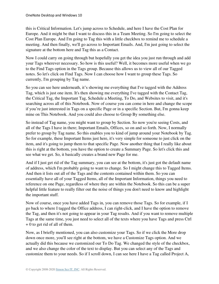this is Critical Information. Let's jump across to Schedule, and here I have the Cost Plan for Europe. And it might be that I want to discuss this in a Team Meeting. So I'm going to select the Cost Plan Europe. And I'm going to Tag this with a little checkbox to remind me to schedule a meeting. And then finally, we'll go across to Important Emails. And, I'm just going to select the signature at the bottom here and Tag this as a Contact.

Now I could carry on going through but hopefully you get the idea you just run through and add your Tags wherever necessary. So how is this useful? Well, it becomes more useful when we go to the Find Tags option in the Tags group. Because this allows us to view all of our Tagged notes. So let's click on Find Tags. Now I can choose how I want to group these Tags. So currently, I'm grouping by Tag name.

So you can see here underneath, it's showing me everything that I've tagged with the Address Tag, which is just one item. It's then showing me everything I've tagged with the Contact Tag, the Critical Tag, the Important Tag, Schedule a Meeting, To Do, and Websites to visit, and it's searching across all of this Notebook. Now of course you can come in here and change the scope if you're just interested in Tags on a specific Page or in a specific Section. But, I'm gonna keep mine on This Notebook. And you could also choose to Group By something else.

So instead of Tag name, you might want to group by Section. So now you're seeing Costs, and all of the Tags I have in there; Important Emails, Offices, so on and so forth. Now, I normally prefer to group by Tag name. So this enables you to kind of jump around your Notebook by Tag. So for example, these Important Items just here, it's very simple for someone to just click on the item, and it's going to jump them to that specific Page. Now another thing that I really like about this is right at the bottom, you have the option to create a Summary Page. So let's click this and see what we get. So, it basically creates a brand new Page for me.

And if I just get rid of the Tag summary, you can see at the bottom, it's just got the default name of address, which I'm probably going to want to change. So I might change this to Tagged Items. And then it lists out all of the Tags and the contents contained within them. So you can essentially have all of your Tagged Items, all of the Important Information, things you need to reference on one Page, regardless of where they are within the Notebook. So this can be a super helpful little feature to really filter out the noise of things you don't need to know and highlight the important stuff.

Now of course, once you have added Tags in, you can remove those Tags. So for example, if I go back to where I tagged the Office address, I can right-click, and I have the option to remove the Tag, and then it's not going to appear in your Tag results. And if you want to remove multiple Tags at the same time, you just need to select all of the texts where you have Tags and press Ctrl + 0 to get rid of all of them.

Now, as I briefly mentioned, you can also customize your Tags. So if we click the More drop down once more, you'll see right at the bottom, we have a Customize Tags option. And we actually did this because we customized our To Do Tag. We changed the style of the checkbox, and we also change the color of the text to display. But you can select any of the Tags and customize them to your needs. So if I scroll down, I can see here I have a Tag called Project A,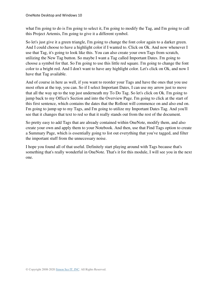what I'm going to do is I'm going to select it, I'm going to modify the Tag, and I'm going to call this Project Artemis, I'm going to give it a different symbol.

So let's just give it a green triangle, I'm going to change the font color again to a darker green. And I could choose to have a highlight color if I wanted to. Click on Ok. And now whenever I use that Tag, it's going to look like this. You can also create your own Tags from scratch, utilizing the New Tag button. So maybe I want a Tag called Important Dates. I'm going to choose a symbol for that. So I'm going to use this little red square. I'm going to change the font color to a bright red. And I don't want to have any highlight color. Let's click on Ok, and now I have that Tag available.

And of course in here as well, if you want to reorder your Tags and have the ones that you use most often at the top, you can. So if I select Important Dates, I can use my arrow just to move that all the way up to the top just underneath my To Do Tag. So let's click on Ok. I'm going to jump back to my Office's Section and into the Overview Page. I'm going to click at the start of this first sentence, which contains the dates that the Rollout will commence on and also end on. I'm going to jump up to my Tags, and I'm going to utilize my Important Dates Tag. And you'll see that it changes that text to red so that it really stands out from the rest of the document.

So pretty easy to add Tags that are already contained within OneNote, modify them, and also create your own and apply them to your Notebook. And then, use that Find Tags option to create a Summary Page, which is essentially going to list out everything that you've tagged, and filter the important stuff from the unnecessary noise.

I hope you found all of that useful. Definitely start playing around with Tags because that's something that's really wonderful in OneNote. That's it for this module, I will see you in the next one.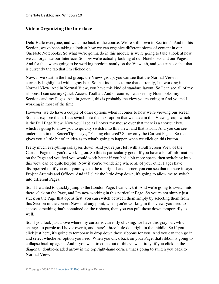### **Video: Organizing the Interface**

**Deb:** Hello everyone, and welcome back to the course. We're still down in Section 5. And in this Section, we've been taking a look at how we can organize different pieces of content in our OneNote Notebooks. So what we're gonna do in this module is we're going to take a look at how we can organize our Interface. So how we're actually looking at our Notebooks and our Pages. And for this, we're going to be working predominantly on the View tab, and you can see that that is currently the tab that I'm clicked on.

Now, if we start in the first group, the Views group, you can see that the Normal View is currently highlighted with a gray box. So that indicates to me that currently, I'm working in Normal View. And in Normal View, you have this kind of standard layout. So I can see all of my ribbons, I can see my Quick Access Toolbar. And of course, I can see my Notebooks, my Sections and my Pages. And in general, this is probably the view you're going to find yourself working in most of the time.

However, we do have a couple of other options when it comes to how we're viewing our screen. So, let's explore them. Let's switch into the next option that we have in this Views group, which is the Full Page View. Now you'll see as I hover my mouse over that there is a shortcut key, which is going to allow you to quickly switch into this view, and that is F11. And you can see underneath in the ScreenTip it says, "Feeling cluttered? Show only the Current Page". So that gives you a little bit of an idea as to what's going to happen when we click on this button.

Pretty much everything collapses down. And you're just left with a Full Screen View of the Current Page that you're working on. So this is particularly good. If you have a lot of information on the Page and you feel you would work better if you had a bit more space, then switching into this view can be quite helpful. Now if you're wondering where all of your other Pages have disappeared to, if you cast your eyes to the top right-hand corner, you can see that up here it says Project Artemis and Offices. And if I click the little drop down, it's going to allow me to switch into different Pages.

So, if I wanted to quickly jump to the London Page, I can click it. And we're going to switch into there, click on the Page, and I'm now working in this particular Page. So you're not simply just stuck on the Page that opens first, you can switch between them simply by selecting them from this Section in the corner. Now if at any point, when you're working in this view, you need to access something that's contained on the ribbons, then you can pull those down temporarily as well.

So, if you look just above where my cursor is currently clicking, we have this gray bar, which changes to purple as I hover over it, and there's three little dots right in the middle. So if you click just here, it's going to temporarily drop down those ribbons for you. And you can then go in and select whichever option you need. When you click back on your Page, that ribbon is going to collapse back up again. And if you want to come out of this view entirely, if you click on the diagonal, double-headed arrow in the top right-hand corner, that's going to switch you back to Normal View.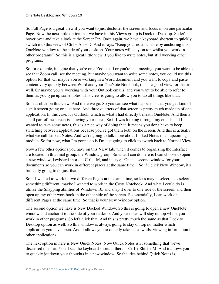So Full Page is a great view if you want to just declutter the screen and focus in on one particular Page. Now the next little option that we have in this Views group is Dock to Desktop. So let's hover over and take a look at the ScreenTip. Once again, we have a keyboard shortcut to quickly switch into this view of  $Ctrl + Alt + D$ . And it says, "Keep your notes visible by anchoring this OneNote window to the side of your desktop. Your notes will stay on top whilst you work in other programs". So this is a great little view if you like to write notes, but still working other programs.

So for example, imagine that you're on a Zoom call or you're in a meeting, you want to be able to see that Zoom call, see the meeting, but maybe you want to write some notes, you could use this option for that. Or maybe you're working in a Word document and you want to copy and paste content very quickly between Word and your OneNote Notebook, this is a good view for that as well. Or maybe you're working with your Outlook emails, and you want to be able to refer to them as you type up some notes. This view is going to allow you to do all things like that.

So let's click on this view. And there we go. So you can see what happens is that you get kind of a split screen going on just here. And three quarters of that screen is pretty much made up of one application. In this case, it's Outlook, which is what I had directly beneath OneNote. And then a small part of the screen is showing your notes. So if I was looking through my emails and I wanted to take some notes, this is a nice way of doing that. It means you don't have to keep switching between applications because you've got them both on the screen. And this is actually what we call Linked Notes. And we're going to talk more about Linked Notes in an upcoming module. So for now, what I'm gonna do is I'm just going to click to switch back to Normal View.

Now a few other options you have on this View tab, when it comes to organizing the Interface are located in this final group, the Window group. So what I can do here is I can choose to open a new window, keyboard shortcut Ctrl + M, and it says; "Open a second window for your documents so you can work in different places at the same time". So if I click New Window, it's basically going to do just that.

So if I wanted to work in two different Pages at the same time, so let's maybe select, let's select something different, maybe I wanted to work in the Costs Notebook. And what I could do is utilize the Snapping abilities of Windows 10, and snap it over to one side of the screen, and then open up my other workbook in the other side of the screen. So essentially, I can work on different Pages at the same time. So that is your New Window option.

The second option we have is New Docked Window. So this is going to open a new OneNote window and anchor it to the side of your desktop. And your notes will stay on top whilst you work in other programs. So let's click that. And this is pretty much the same as that Dock to Desktop option as well. So this window is always going to stay on top no matter which application you have open. And it allows you to quickly take notes whilst viewing information in other applications.

The next option in here is New Quick Notes. Now Quick Notes isn't something that we've discussed thus far. You'll see the keyboard shortcut there is Ctrl + Shift + M. And it allows you to quickly jot down your thoughts in a new window. So the idea behind Quick Notes is,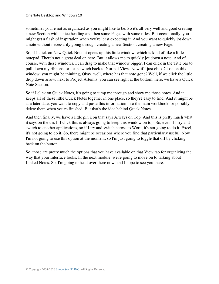sometimes you're not as organized as you might like to be. So it's all very well and good creating a new Section with a nice heading and then some Pages with some titles. But occasionally, you might get a flash of inspiration when you're least expecting it. And you want to quickly jot down a note without necessarily going through creating a new Section, creating a new Page.

So, if I click on New Quick Note, it opens up this little window, which is kind of like a little notepad. There's not a great deal on here. But it allows me to quickly jot down a note. And of course, with these windows, I can drag to make that window bigger, I can click in the Title bar to pull down my ribbons, or I can switch back to Normal View. Now if I just click Close on this window, you might be thinking, Okay, well, where has that note gone? Well, if we click the little drop down arrow, next to Project Artemis, you can see right at the bottom, here, we have a Quick Note Section.

So if I click on Quick Notes, it's going to jump me through and show me those notes. And it keeps all of these little Quick Notes together in one place, so they're easy to find. And it might be at a later date, you want to copy and paste this information into the main workbook, or possibly delete them when you're finished. But that's the idea behind Quick Notes.

And then finally, we have a little pin icon that says Always on Top. And this is pretty much what it says on the tin. If I click this is always going to keep this window on top. So, even if I try and switch to another applications, so if I try and switch across to Word, it's not going to do it. Excel, it's not going to do it. So, there might be occasions where you find that particularly useful. Now I'm not going to use this option at the moment, so I'm just going to toggle that off by clicking back on the button.

So, those are pretty much the options that you have available on that View tab for organizing the way that your Interface looks. In the next module, we're going to move on to talking about Linked Notes. So, I'm going to head over there now, and I hope to see you there.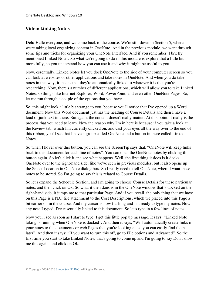## **Video: Linking Notes**

**Deb:** Hello everyone, and welcome back to the course. We're still down in Section 5, where we're taking local organizing content in OneNote. And in the previous module, we went through some tips and tricks for organizing your OneNote Interface. And if you remember, I briefly mentioned Linked Notes. So what we're going to do in this module is explore that a little bit more fully, so you understand how you can use it and why it might be useful to you.

Now, essentially, Linked Notes let you dock OneNote to the side of your computer screen so you can look at websites or other applications and take notes in OneNote. And when you do take notes in this way, it means that they're automatically linked to whatever it is that you're researching. Now, there's a number of different applications, which will allow you to take Linked Notes, so things like Internet Explorer, Word, PowerPoint, and even other OneNote Pages. So, let me run through a couple of the options that you have.

So, this might look a little bit strange to you, because you'll notice that I've opened up a Word document. Now this Word document just has the heading of Course Details and then I have a load of junk text in there. But again, the content doesn't really matter. At this point, it really is the process that you need to learn. Now the reason why I'm in here is because if you take a look at the Review tab, which I'm currently clicked on, and cast your eyes all the way over to the end of this ribbon, you'll see that I have a group called OneNote and a button in there called Linked Notes.

So when I hover over this button, you can see the ScreenTip says that, "OneNote will keep links back to this document for each line of notes". You can open the OneNote notes by clicking this button again. So let's click it and see what happens. Well, the first thing it does is it docks OneNote over to the right-hand side, like we've seen in previous modules, but it also opens up the Select Location in OneNote dialog box. So I really need to tell OneNote, where I want these notes to be stored. So I'm going to say this is related to Course Details.

So let's expand the Schedule Section, and I'm going to choose Course Details for these particular notes, and then click on Ok. So what it then does is in the OneNote window that's docked on the right-hand side, it jumps me to that particular Page. And if you recall, the only thing that we have on this Page is a PDF file attachment to the Cost Descriptions, which we placed into this Page a bit earlier on in the course. And my cursor is now flashing and I'm ready to type my notes. Now any note I typed, I've essentially linked to this document. So let's type in a few lines of notes.

Now you'll see as soon as I start to type, I get this little pop up message. It says; "Linked Note taking is running when OneNote is docked". And then it says; "Will automatically create links in your notes to the documents or web Pages that you're looking at, so you can easily find them later". And then it says; "If you want to turn this off, go to File options and Advanced". So the first time you start to take Linked Notes, that's going to come up and I'm going to say Don't show me this again, and click on Ok.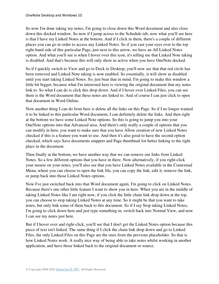So now I'm done taking my notes, I'm going to close down this Word document and also close down this docked window. So now if I jump across to the Schedule tab, now what you'll see here is that I have my Linked Notes at the bottom. And if I click in them, there's a couple of different places you can go in order to access any Linked Notes. So if you cast your eyes over to the top right-hand side of this particular Page, just next to this arrow, we have an All Linked Notes option. And what you'll see is when I hover over this icon, it's telling me that Linked Note taking is disabled. And that's because this will only show as active when you have OneNote docked.

So if I quickly switch to View and go to Dock to Desktop, you'll now see that that red circle has been removed and Linked Note taking is now enabled. So essentially, it will show as disabled until you start taking Linked Notes. So, just bear that in mind. I'm going to make this window a little bit bigger, because what I'm interested here is viewing the original document that my notes link to. So what I can do is click this drop down. And if I hover over Linked Files, you can see there is the Word document that these notes are linked to. And of course I can just click to open that document in Word Online.

Now another thing I can do from here is delete all the links on this Page. So if I no longer wanted it to be linked to this particular Word document, I can definitely delete the links. And then right at the bottom we have some Linked Note options. So this is going to jump you into your OneNote options into that Advanced area. And there's only really a couple of options that you can modify in here, you want to make sure that you have Allow creation of new Linked Notes checked if this is a feature you want to use. And then it's also good to have the second option checked, which says Save documents snippets and Page thumbnail for better linking to the right place in the document.

Then finally at the bottom, we have another way that we can remove our links from Linked Notes. So a few different options that you have in there. Now alternatively, if you right-click your mouse on your notes, you'll also see that you have Linked Notes available in the Contextual Menu, where you can choose to open the link file, you can copy the link, edit it, remove the link, or jump back into those Linked Notes options.

Now I've just switched back into that Word document again, I'm going to click on Linked Notes. Because there's one other little feature I want to show you in here. When you are in the middle of taking Linked Notes like I am right now, if you click the little chain link drop down at the top, you can choose to stop taking Linked Notes at any time. So it might be that you want to take notes, but only link some of them back to this document. So if I say Stop taking Linked Notes, I'm going to click down here and just type something in, switch back into Normal View, and now I can see my notes just here.

But if I hover over and right-click, you'll see that I don't get the Linked Notes option because this piece of text isn't linked. The same thing if I click the chain link drop down and go to Linked Files, the only Linked Files on this Page are the ones from the previous placeholder. So that is how Linked Notes work. A really nice way of being able to take notes whilst working in another application, and have those linked back to the original document or source.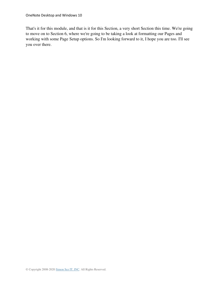That's it for this module, and that is it for this Section, a very short Section this time. We're going to move on to Section 6, where we're going to be taking a look at formatting our Pages and working with some Page Setup options. So I'm looking forward to it, I hope you are too. I'll see you over there.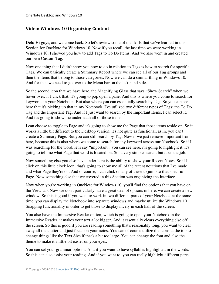## **Video: Windows 10 Organizing Content**

**Deb:** Hi guys, and welcome back. So let's review some of the skills that we've learned in this Section for OneNote for Windows 10. Now if you recall, the last time we were working in Windows 10, I showed you how to add Tags to To Do Items. And we also went in and created our own Custom Tag.

Now one thing that I didn't show you how to do in relation to Tags is how to search for specific Tags. We can basically create a Summary Report where we can see all of our Tag groups and then the items that belong to those categories. Now we can do a similar thing in Windows 10. And for this, we need to go over to the Menu bar on the left-hand side.

So the second icon that we have here, the Magnifying Glass that says "Show Search" when we hover over, if I click that, it's going to pop open a pane. And this is where you come to search for keywords in your Notebook. But also where you can essentially search by Tag. So you can see here that it's picking up that in my Notebook, I've utilized two different types of Tags; the To Do Tag and the Important Tag. And if I just want to search by the Important Items, I can select it. And it's going to show me underneath all of those items.

I can choose to toggle to Page and it's going to show me the Page that those items reside on. So it works a little bit different to the Desktop version, it's not quite as functional, as in, you can't create a Summary Page. But you can still search by Tag. Now if we just remove Important from here, because this is also where we come to search for any keyword across our Notebook. So if I was searching for the word, let's say "important", you can see here, it's going to highlight it, it's going to tell me what Page that word is located on. So, a very simple search, but does the job.

Now something else you also have under here is the ability to show your Recent Notes. So if I click on this little clock icon, that's going to show me all of the recent notations that I've made and what Page they're on. And of course, I can click on any of these to jump to that specific Page. Now something else that we covered in this Section was organizing the Interface.

Now when you're working in OneNote for Windows 10, you'll find the options that you have on the View tab. Now we don't particularly have a great deal of options in here, we can create a new window. So this is good if you want to work in two different parts of your Notebook at the same time, you can display the Notebook into separate windows and maybe utilize the Windows 10 Snapping functionality in order to get those to display nicely in each half of the screen.

You also have the Immersive Reader option, which is going to open your Notebook in the Immersive Reader, it makes your text a lot bigger. And it essentially clears everything else off the screen. So this is good if you are reading something that's reasonably long, you want to clear away all the clutter and just focus on your notes. You can of course utilize the icons at the top to change things like the Text Size if that's a bit too large. You can change the font and also the theme to make it a little bit easier on your eyes.

You can set your grammar options. And if you want to have syllables highlighted in the words. So this can also assist your reading. And if you want to, you can really highlight different parts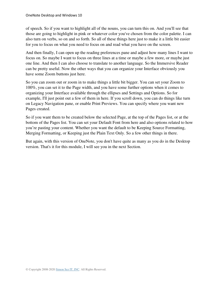of speech. So if you want to highlight all of the nouns, you can turn this on. And you'll see that those are going to highlight in pink or whatever color you've chosen from the color palette. I can also turn on verbs, so on and so forth. So all of these things here just to make it a little bit easier for you to focus on what you need to focus on and read what you have on the screen.

And then finally, I can open up the reading preferences pane and adjust how many lines I want to focus on. So maybe I want to focus on three lines at a time or maybe a few more, or maybe just one line. And then I can also choose to translate to another language. So the Immersive Reader can be pretty useful. Now the other ways that you can organize your Interface obviously you have some Zoom buttons just here.

So you can zoom out or zoom in to make things a little bit bigger. You can set your Zoom to 100%, you can set it to the Page width, and you have some further options when it comes to organizing your Interface available through the ellipses and Settings and Options. So for example, I'll just point out a few of them in here. If you scroll down, you can do things like turn on Legacy Navigation pane, or enable Print Previews. You can specify where you want new Pages created.

So if you want them to be created below the selected Page, at the top of the Pages list, or at the bottom of the Pages list. You can set your Default Font from here and also options related to how you're pasting your content. Whether you want the default to be Keeping Source Formatting, Merging Formatting, or Keeping just the Plain Text Only. So a few other things in there.

But again, with this version of OneNote, you don't have quite as many as you do in the Desktop version. That's it for this module, I will see you in the next Section.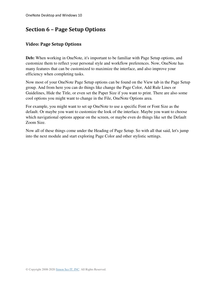## **Section 6 – Page Setup Options**

#### **Video: Page Setup Options**

**Deb:** When working in OneNote, it's important to be familiar with Page Setup options, and customize them to reflect your personal style and workflow preferences. Now, OneNote has many features that can be customized to maximize the interface, and also improve your efficiency when completing tasks.

Now most of your OneNote Page Setup options can be found on the View tab in the Page Setup group. And from here you can do things like change the Page Color, Add Rule Lines or Guidelines, Hide the Title, or even set the Paper Size if you want to print. There are also some cool options you might want to change in the File, OneNote Options area.

For example, you might want to set up OneNote to use a specific Font or Font Size as the default. Or maybe you want to customize the look of the interface. Maybe you want to choose which navigational options appear on the screen, or maybe even do things like set the Default Zoom Size.

Now all of these things come under the Heading of Page Setup. So with all that said, let's jump into the next module and start exploring Page Color and other stylistic settings.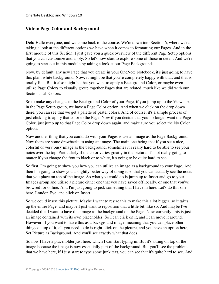## **Video: Page Color and Background**

**Deb:** Hello everyone, and welcome back to the course. We're down into Section 6, where we're taking a look at the different options we have when it comes to formatting our Pages. And in the first module of this Section, I just gave you a quick overview of the different Page Setup options that you can customize and apply. So let's now start to explore some of those in detail. And we're going to start out in this module by taking a look at our Page Backgrounds.

Now, by default, any new Page that you create in your OneNote Notebook, it's just going to have this plain white background. Now, it might be that you're completely happy with that, and that is totally fine. But it also might be that you want to apply a Background Color, or maybe even utilize Page Colors to visually group together Pages that are related, much like we did with our Section, Tab Colors.

So to make any changes to the Background Color of your Page, if you jump up to the View tab, in the Page Setup group, we have a Page Color option. And when we click on the drop down there, you can see that we get a palette of pastel colors. And of course, it's a simple process of just clicking to apply that color to the Page. Now if you decide that you no longer want the Page Color, just jump up to that Page Color drop down again, and make sure you select the No Color option.

Now another thing that you could do with your Pages is use an image as the Page Background. Now there are some drawbacks to using an image. The main one being that if you set a nice, colorful or very busy image as the background, sometimes it's really hard to be able to see your notes over the top. Particularly if the color varies greatly in the picture, it's not really going to matter if you change the font to black or to white, it's going to be quite hard to see.

So first, I'm going to show you how you can utilize an image as a background to your Page. And then I'm going to show you a slightly better way of doing it so that you can actually see the notes that you place on top of the image. So what you could do is jump up to Insert and go to your Images group and utilize a picture either one that you have saved off locally, or one that you've browsed for online. And I'm just going to pick something that I have in here. Let's do this one here, London Eye, and click on Insert.

So we could insert this picture. Maybe I want to resize this to make this a lot bigger, so it takes up the entire Page, and maybe I just want to reposition that a little bit, like so. And maybe I've decided that I want to have this image as the background on the Page. Now currently, this is just an image contained with its own placeholder. So I can click on it, and I can move it around. However, if you want to have this as a background image, meaning that you can place other things on top of it, all you need to do is right-click on the picture, and you have an option here, Set Picture as Background. And you'll see exactly what that does.

So now I have a placeholder just here, which I can start typing in. But it's sitting on top of the image because the image is now essentially part of the background. But you'll see the problem that we have here, if I just start to type some junk text, you can see that it's quite hard to see. And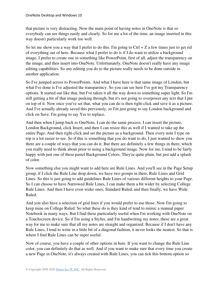that picture is very distracting. Now the main point of having notes in OneNote is that so everybody can see things easily and clearly. So for me a lot of the time, an image inserted in this way doesn't particularly work too well.

So let me show you a way that I prefer to do this. I'm going to  $Ctrl + Z$  a few times just to get rid of everything out of here. Because what I prefer to do is if I do want to utilize a background image, I prefer to create one in something like PowerPoint, first of all, adjust the transparency on the image, and then insert into OneNote. Unfortunately, OneNote doesn't really have any image editing capabilities. So any editing you do to the picture really needs to be done outside in another application.

So I've jumped across to PowerPoints. And what I have here is that same image of London, but what I've done is I've adjusted the transparency. So you can see here I've got my Transparency options. It started out like that, but I've taken it all the way down to something super light. So I'm still getting a bit of that image peeking through, but it's not going to overpower any text that I put on top of it. Now once you've set that, what you can do is then right-click and save it as a picture. And I've actually already saved this previously, so I'm just going to say London background and click on Save. I'm going to say Yes to replace.

And then when I jump back to OneNote, I can do the same process. I can insert the picture, London Background, click Insert, and then I can resize this as well if I wanted to take up the entire Page. And then right-click and set the picture as a background. Then every note I type on top is a lot easier to see. So if this is something that you do want to do, I just wanted to show you there are a couple of ways that you can do it. But there are definitely a few things in there, which you really need to think about prior to using a background image. Now for me, I tend to be fairly happy with just one of these pastel Background Colors. They're quite plain, but just add a splash of color.

Now something else you might want to add here are Rule Lines. And you'll see in the Page Setup group, if I click the Rule Line drop down, we have two groups in there, Rule Lines and Grid Lines. So this is just going to add guidelines Rule Lines of various different heights to your Page. So I can choose to have Narrowed Rule Lines, I can make them a bit wider by selecting College Rule Lines. And then I have even wider ones, Standard Ruled, and then finally, we have Wide Ruled.

And you also have a selection of grid lines if you would prefer to use those. Now I'm going to keep mine on College Ruled. So what these do is they kind of tend to mimic a manual paper Notebook in many ways. But I find these particularly useful when I'm working with OneNote on a Touchscreen device. So if I'm using a Stylus, and I'm handwriting my notes, these are a great way for me to make sure that all my notes are straight and organized. Because if I don't have any Rule Lines, I tend to write in a little bit of a diagonal fashion, it never looks the neatest. So that is where I find Rule Lines can be super useful.

Now of course, you have a couple of other options in here. If you want to change the Rule Line color, you can definitely do that as well. And if you want to make sure that every time you create a new Page in OneNote, it's always created with Rule Lines, you can tick this bottom option so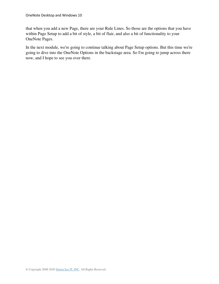that when you add a new Page, there are your Rule Lines. So those are the options that you have within Page Setup to add a bit of style, a bit of flair, and also a bit of functionality to your OneNote Pages.

In the next module, we're going to continue talking about Page Setup options. But this time we're going to dive into the OneNote Options in the backstage area. So I'm going to jump across there now, and I hope to see you over there.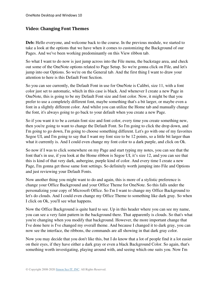### **Video: Changing Font Themes**

Deb: Hello everyone, and welcome back to the course. In the previous module, we started to take a look at the options that we have when it comes to customizing the Background of our Pages. And we've been working predominantly on this View ribbon tab.

So what I want to do now is just jump across into the File menu, the backstage area, and check out some of the OneNote options related to Page Setup. So we're gonna click on File, and let's jump into our Options. So we're on the General tab. And the first thing I want to draw your attention to here is this Default Font Section.

So you can see currently, the Default Font in use for OneNote is Calibri, size 11, with a font color just set to automatic, which in this case is black. And whenever I create a new Page in OneNote, this is going to be my Default Font size and font color. Now, it might be that you prefer to use a completely different font, maybe something that's a bit larger, or maybe even a font in a slightly different color. And whilst you can utilize the Home tab and manually change the font, it's always going to go back to your default when you create a new Page.

So if you want it to be a certain font size and font color, every time you create something new, then you're going to want to change the Default Font. So I'm going to click the drop down, and I'm going to go down, I'm going to choose something different. Let's go with one of my favorites Segoe UI, and I'm going to say that I want my font size to be 12 points, so a little bit larger than what it currently is. And I could even change my font color to a dark purple, and click on Ok.

So now if I was to click somewhere on my Page and start typing my notes, you can see that the font that's in use, if you look at the Home ribbon is Segoe UI, it's size 12, and you can see that this is kind of that very dark, aubergine, purple kind of color. And every time I create a new Page, I'm gonna get those same font settings. So definitely worth jumping into File and Options and just reviewing your Default Fonts.

Now another thing you might want to do and again, this is more of a stylistic preference is change your Office Background and your Office Theme for OneNote. So this falls under the personalizing your copy of Microsoft Office. So I'm I want to change my Office Background to let's do clouds. And I could even change my Office Theme to something like dark gray. So when I click on Ok, you'll see what happens.

Now the Office Background is quite hard to see. Up in this header where you can see my name, you can see a very faint pattern in the background there. That apparently is clouds. So that's what you're changing when you modify that background. However, the more important change that I've done here is I've changed my overall theme. And because I changed it to dark gray, you can now see the interface, the ribbons, the commands are all showing in that dark gray color.

Now you may decide that you don't like this, but I do know that a lot of people find it a lot easier on their eyes, if they have either a dark gray or even a black Background Color. So again, that's something worth investigating, playing around with, and seeing which one suits you. Now I'm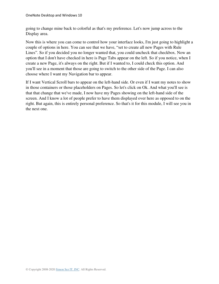going to change mine back to colorful as that's my preference. Let's now jump across to the Display area.

Now this is where you can come to control how your interface looks, I'm just going to highlight a couple of options in here. You can see that we have, "set to create all new Pages with Rule Lines". So if you decided you no longer wanted that, you could uncheck that checkbox. Now an option that I don't have checked in here is Page Tabs appear on the left. So if you notice, when I create a new Page, it's always on the right. But if I wanted to, I could check this option. And you'll see in a moment that those are going to switch to the other side of the Page. I can also choose where I want my Navigation bar to appear.

If I want Vertical Scroll bars to appear on the left-hand side. Or even if I want my notes to show in those containers or those placeholders on Pages. So let's click on Ok. And what you'll see is that that change that we've made, I now have my Pages showing on the left-hand side of the screen. And I know a lot of people prefer to have them displayed over here as opposed to on the right. But again, this is entirely personal preference. So that's it for this module, I will see you in the next one.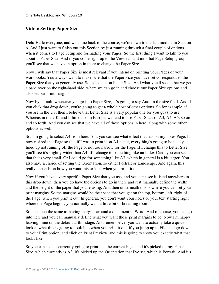## **Video: Setting Paper Size**

**Deb:** Hello everyone, and welcome back to the course, we're down to the last module in Section 6. And I just want to finish out this Section by just running through a final couple of options when it comes to Page Setup and formatting your Pages. So the first thing I want to talk to you about is Paper Size. And if you come right up to the View tab and into that Page Setup group, you'll see that we have an option in there to change the Paper Size.

Now I will say that Paper Size is most relevant if you intend on printing your Pages or your workbooks. You always want to make sure that the Paper Size you have set corresponds to the Paper Size that you generally use. So let's click on Paper Size. And what you'll see is that we get a pane over on the right-hand side, where we can go in and choose our Paper Size options and also set our print margins.

Now by default, whenever you go into Paper Size, it's going to say Auto in the size field. And if you click that drop down, you're going to get a whole host of other options. So for example, if you are in the US, then I believe that Letter Size is a very popular one for you guys to use. Whereas in the UK, and I think also in Europe, we tend to use Paper Sizes of A3, A4, A5, so on and so forth. And you can see that we have all of those options in here, along with some other options as well.

So, I'm going to select A4 from here. And you can see what effect that has on my notes Page. It's now resized that Page so that if I was to print it on A4 paper, everything's going to be nicely lined up not running off the Page or not too narrow for the Page. If I change this to Letter Size, you'll see it's slightly wider than A4. If I change to something like an Index Card, you can see that that's very small. Or I could go for something like A3, which in general is a bit larger. You also have a choice of setting the Orientation, so either Portrait or Landscape. And again, this really depends on how you want this to look when you print it out.

Now if you have a very specific Paper Size that you use, and you can't see it listed anywhere in this drop down, then you do have the options to go in there and just manually define the width and the height of the paper that you're using. And then underneath this is where you can set your print margins. So the margins would be the space that you get on the top, bottom, left, right of the Page, when you print it out. In general, you don't want your notes or your text starting right where the Page begins, you normally want a little bit of breathing room.

So it's much the same as having margins around a document in Word. And of course, you can go into here and you can manually define what you want those print margins to be. Now I'm happy leaving mine on the default at this stage. And remember, if you want to actually take a quick look at what this is going to look like when you print it out, if you jump up to File, and go down to your Print option, and click on Print Preview, and this is going to show you exactly what that looks like.

So you can see it's currently going to print just the current Page, and it's picked up my Paper Size, which currently is A3, it's picked up the Orientation that I've set, which is Portrait. And it's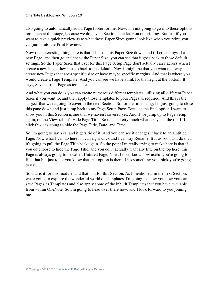also going to automatically add a Page footer for me. Now, I'm not going to go into these options too much at this stage, because we do have a Section a bit later on on printing. But just if you want to take a quick preview as to what those Paper Sizes gonna look like when you print, you can jump into the Print Preview.

Now one interesting thing here is that if I close this Paper Size down, and if I create myself a new Page, and then go and check the Paper Size, you can see that it goes back to those default settings. So the Paper Sizes that I set for this Page Setup Page don't actually carry across when I create a new Page, they just go back to the default. Now it might be that you want to always create new Pages that are a specific size or have maybe specific margins. And that is where you would create a Page Template. And you can see we have a link for that right at the bottom. It says, Save current Page as template.

And what you can do is you can create numerous different templates, utilizing all different Paper Sizes if you want to, and then apply those templates to your Pages as required. And this is the subject that we're going to cover in the next Section. So for the time being, I'm just going to close this pane down and just jump back to my Page Setup Page. Because the final option I want to show you in this Section is one that we haven't covered yet. And if we jump up to Page Setup again, on the View tab, it's Hide Page Title. So this is pretty much what it says on the tin. If I click this, it's going to hide the Page Title, Date, and Time.

So I'm going to say Yes, and it gets rid of it. And you can see it changes it back to an Untitled Page. Now what I can do here is I can right-click and I can say Rename. But as soon as I do that, it's going to pull the Page Title back again. So the point I'm really trying to make here is that if you do choose to hide the Page Title, and you don't actually want any title on the top here, this Page is always going to be called Untitled Page. Now, I don't know how useful you're going to find that but just to let you know that that option is there if it's something you think you're going to use.

So that is it for this module, and that is it for this Section. As I mentioned, in the next Section, we're going to explore the wonderful world of Templates. I'm going to show you how you can save Pages as Templates and also apply some of the inbuilt Templates that you have available from within OneNote. So I'm going to head over there now, and I look forward to you joining me.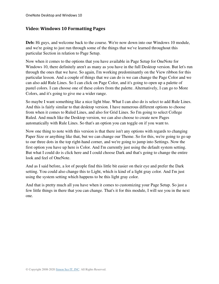#### **Video: Windows 10 Formatting Pages**

**Deb:** Hi guys, and welcome back to the course. We're now down into our Windows 10 module, and we're going to just run through some of the things that we've learned throughout this particular Section in relation to Page Setup.

Now when it comes to the options that you have available in Page Setup for OneNote for Windows 10, there definitely aren't as many as you have in the full Desktop version. But let's run through the ones that we have. So again, I'm working predominantly on the View ribbon for this particular lesson. And a couple of things that we can do is we can change the Page Color and we can also add Rule Lines. So I can click on Page Color, and it's going to open up a palette of pastel colors. I can choose one of these colors from the palette. Alternatively, I can go to More Colors, and it's going to give me a wider range.

So maybe I want something like a nice light blue. What I can also do is select to add Rule Lines. And this is fairly similar to that desktop version. I have numerous different options to choose from when it comes to Ruled Lines, and also for Grid Lines. So I'm going to select College Ruled. And much like the Desktop version, we can also choose to create new Pages automatically with Rule Lines. So that's an option you can toggle on if you want to.

Now one thing to note with this version is that there isn't any options with regards to changing Paper Size or anything like that, but we can change our Theme. So for this, we're going to go up to our three dots in the top right-hand corner, and we're going to jump into Settings. Now the first option you have up here is Color. And I'm currently just using the default system setting. But what I could do is click here and I could choose Dark and that's going to change the entire look and feel of OneNote.

And as I said before, a lot of people find this little bit easier on their eye and prefer the Dark setting. You could also change this to Light, which is kind of a light gray color. And I'm just using the system setting which happens to be this light gray color.

And that is pretty much all you have when it comes to customizing your Page Setup. So just a few little things in there that you can change. That's it for this module, I will see you in the next one.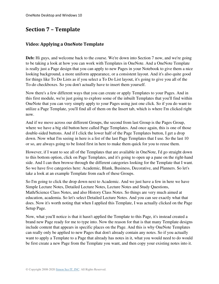# **Section 7 – Template**

#### **Video: Applying a OneNote Template**

**Deb:** Hi guys, and welcome back to the course. We're down into Section 7 now, and we're going to be taking a look at how you can work with Templates in OneNote. And a OneNote Template is really just a Page design that you can apply to new Pages in your Notebook to give them a nice looking background, a more uniform appearance, or a consistent layout. And it's also quite good for things like To Do Lists as if you select a To Do List layout, it's going to give you all of the To-do checkboxes. So you don't actually have to insert them yourself.

Now there's a few different ways that you can create or apply Templates to your Pages. And in this first module, we're just going to explore some of the inbuilt Templates that you'll find within OneNote that you can very simply apply to your Pages using just one click. So if you do want to utilize a Page Template, you'll find all of them on the Insert tab, which is where I'm clicked right now.

And if we move across our different Groups, the second from last Group is the Pages Group, where we have a big old button here called Page Templates. And once again, this is one of those double-sided buttons. And if I click the lower half of the Page Templates button, I get a drop down. Now what I'm seeing in here is a list of the last Page Templates that I use. So the last 10 or so, are always going to be listed first in here to make them quick for you to reuse them.

However, if I want to see all of the Templates that are available in OneNote, I'd go straight down to this bottom option, click on Page Templates, and it's going to open up a pane on the right-hand side. And I can then browse through the different categories looking for the Template that I want. So we have five categories here: Academic, Blank, Business, Decorative, and Planners. So let's take a look at an example Template from each of these Groups.

So I'm going to click the drop down next to Academic. And we just have a few in here we have Simple Lecture Notes, Detailed Lecture Notes, Lecture Notes and Study Questions, Math/Science Class Notes, and also History Class Notes. So things are very much aimed at education, academia. So let's select Detailed Lecture Notes. And you can see exactly what that does. Now it's worth noting that when I applied this Template, I was actually clicked on the Page Setup Page.

Now, what you'll notice is that it hasn't applied the Template to this Page, it's instead created a brand new Page ready for me to type into. Now the reason for that is that many Template designs include content that appears in specific places on the Page. And this is why OneNote Templates can really only be applied to new Pages that don't already contain any notes. So if you actually want to apply a Template to a Page that already has notes in it, what you would need to do would be first create a new Page from the Template you want, and then copy your existing notes into it.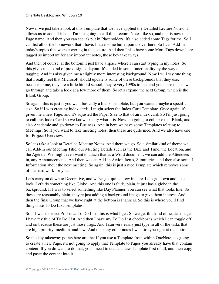Now if we just take a look at this Template that we have applied the Detailed Lecture Notes, it allows us to add a Title, so I'm just going to call this Lecture Notes like so, and that is now the Page name. And then you can see it's put in Placeholders. It's also added some Tags for me. So I can list all of the homework that I have. I have some bullet points over here. So I can Add-in today's topics that we're covering in the lecture. And then I also have some More Tags down here tagged as important for any important notes, those key takeaways.

And then of course, at the bottom, I just have a space where I can start typing in my notes. So this gives me a kind of pre designed layout. It's added in some functionality by the way of tagging. And it's also given me a slightly more interesting background. Now I will say one thing that I really feel that Microsoft should update is some of these backgrounds that they use, because to me, they are a little bit old school, they're very 1990s to me, and you'll see that as we go through and take a look at a few more of them. So let's expand the next Group, which is the Blank Group.

So again, this is just if you want basically a blank Template, but you wanted maybe a specific size. So if I was creating index cards, I might select the Index Card Template. Once again, it's given me a new Page, and it's adjusted the Paper Size to that of an index card. So I'm just going to call this Index Card so we know exactly what it is. Now I'm going to collapse that Blank, and also Academic and go down to Business. And in here we have some Templates relating to Meetings. So if you want to take meeting notes, then these are quite nice. And we also have one for Project Overview.

So let's take a look at Detailed Meeting Notes. And there we go. So a similar kind of theme we can Add-in our Meeting Title, our Meeting Details such as the Date and Time, the Location, and the Agenda. We might even want to attach that as a Word document, we can add the Attendees in, any Announcements. And then we can Add-in Action Items, Summaries, and then also some I Information about the next meeting. So again, this is just a nice Template which removes some of the hard work for you.

Let's carry on down to Decorative, and we've got quite a few in here. Let's go down and take a look. Let's do something like Globe. And this one is fairly plain, it just has a globe in the background. If I was to select something like Day Planner, you can see what that looks like. So these are reasonably plain, they're just adding a background image to give them interest. And then the final Group that we have right at the bottom is Planners. So this is where you'll find things like To Do List Templates.

So if I was to select Prioritize To Do List, this is what I get. So we get this kind of header image, I have my title of To Do List. And then I have my To Do List checkboxes which I can toggle off and on because these are just those Tags. And I can very easily just type in all of the tasks that are high priority, medium, and low. And then any other notes I want to type right at the bottom.

So the key takeaway points here are that if you use a Template from within OneNote, it's going to create a new Page, it's not going to apply that Template to Pages you already have that contain content. If you do want to do that, you'll need to create a new Template first of all, and then copy and paste the content into it.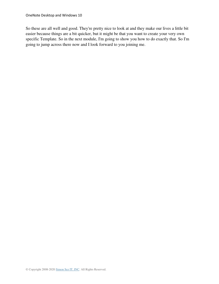So these are all well and good. They're pretty nice to look at and they make our lives a little bit easier because things are a bit quicker, but it might be that you want to create your very own specific Template. So in the next module, I'm going to show you how to do exactly that. So I'm going to jump across there now and I look forward to you joining me.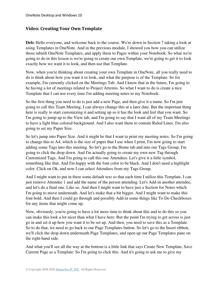# **Video: Creating Your Own Template**

**Deb:** Hello everyone, and welcome back to the course. We're down in Section 7 taking a look at using Templates in OneNote. And in the previous module, I showed you how you can utilize those inbuilt OneNote Templates, and apply them to Pages within your Notebook. So what we're going to do in this lesson is we're going to create our own Template, we're going to get it to look exactly how we want it to look, and then use that Template.

Now, when you're thinking about creating your own Template in OneNote, all you really need to do is think about how you want it to look, and what the purpose is of the Template. So for example, I'm currently clicked on the Meetings Tab. And I know that in the future, I'm going to be having a lot of meetings related to Project Artemis. So what I want to do is create a nice Template that I can use every time I'm adding meeting notes to my Notebook.

So the first thing you need to do is just add a new Page, and then give it a name. So I'm just going to call this Team Meeting, I can always change this at a later date. But the important thing here is really to start customizing it and setting up so it has the look and feel that you want. So I'm going to jump up to the View tab, and I'm going to say that I want all of my Team Meetings to have a light blue colored background. And I also want them to contain Ruled Lines. I'm also going to set my Paper Size.

So let's jump into Paper Size. And it might be that I want to print my meeting notes. So I'm going to change this to A4, which is the size of paper that I use when I print, I'm now going to start adding some Tags into this meeting. So let's go to the Home tab and into our Tags Group, I'm going to click the drop down. And I'm actually going to create my own new Tag through Customized Tags. And I'm going to call this one Attendees. Let's give it a little symbol, something like that. And I'm happy with the font color to be black. And I don't need a highlight color. Click on Ok, and now I can select Attendees from my Tags Group.

And I might want to put in there some default text so that each time I utilize this Template, I can just remove Attendee 1 and add the name of the person attending. Let's Add-in another attendee, and let's do a final one. Like so. And then I might want to have just a Section for Notes which I'm going to move underneath. And let's make that a bit bigger. And I might want to make this font bold. And then I could go through and possibly Add-in some things like To Do Checkboxes for any items that might come up.

Now, obviously, you're going to have a lot more time to think about this and to do this so you can make this look a lot nicer than what I have here. But the point I'm trying to get across is just go in and set it up how you want it to be set up. And then, you need to save this as a Template. So to do that, we need to go back to our Page Templates button. So let's go to the Insert ribbon, we'll click the drop down underneath Page Templates, and open up our Page Templates pane on the right-hand side.

And what you'll see all the way at the bottom is a little link that says Create New Template, Save Current Page as a Template. So I'm going to click this. And it's going to ask me to give my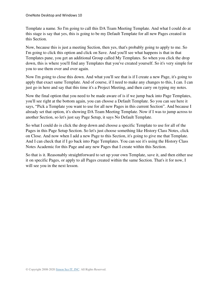Template a name. So I'm going to call this DA Team Meeting Template. And what I could do at this stage is say that yes, this is going to be my Default Template for all new Pages created in this Section.

Now, because this is just a meeting Section, then yes, that's probably going to apply to me. So I'm going to click this option and click on Save. And you'll see what happens is that in that Templates pane, you get an additional Group called My Templates. So when you click the drop down, this is where you'll find any Templates that you've created yourself. So it's very simple for you to use them over and over again.

Now I'm going to close this down. And what you'll see that is if I create a new Page, it's going to apply that exact same Template. And of course, if I need to make any changes to this, I can. I can just go in here and say that this time it's a Project Meeting, and then carry on typing my notes.

Now the final option that you need to be made aware of is if we jump back into Page Templates, you'll see right at the bottom again, you can choose a Default Template. So you can see here it says, "Pick a Template you want to use for all new Pages in this current Section". And because I already set that option, it's showing DA Team Meeting Template. Now if I was to jump across to another Section, so let's just say Page Setup, it says No Default Template.

So what I could do is click the drop down and choose a specific Template to use for all of the Pages in this Page Setup Section. So let's just choose something like History Class Notes, click on Close. And now when I add a new Page to this Section, it's going to give me that Template. And I can check that if I go back into Page Templates. You can see it's using the History Class Notes Academic for this Page and any new Pages that I create within this Section.

So that is it. Reasonably straightforward to set up your own Template, save it, and then either use it on specific Pages, or apply to all Pages created within the same Section. That's it for now, I will see you in the next lesson.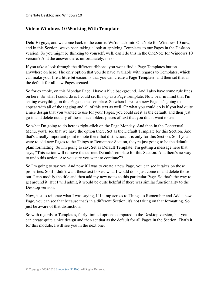# **Video: Windows 10 Working With Template**

**Deb:** Hi guys, and welcome back to the course. We're back into OneNote for Windows 10 now, and in this Section, we've been taking a look at applying Templates to our Pages in the Desktop version. So you might be thinking to yourself, well, can I do this in the OneNote for Windows 10 version? And the answer there, unfortunately, is no.

If you take a look through the different ribbons, you won't find a Page Templates button anywhere on here. The only option that you do have available with regards to Templates, which can make your life a little bit easier, is that you can create a Page Template, and then set that as the default for all new Pages created.

So for example, on this Monday Page, I have a blue background. And I also have some rule lines on here. So what I could do is I could set this up as a Page Template. Now bear in mind that I'm setting everything on this Page as the Template. So when I create a new Page, it's going to appear with all of the tagging and all of this text as well. Or what you could do is if you had quite a nice design that you wanted to use for your Pages, you could set it as the default, and then just go in and delete out any of these placeholders pieces of text that you didn't want to use.

So what I'm going to do here is right-click on the Page Monday. And then in the Contextual Menu, you'll see that we have the option there, Set as the Default Template for this Section. And that's a really important point to note there that distinction, it is only for this Section. So if you were to add new Pages to the Things to Remember Section, they're just going to be the default plain formatting. So I'm going to say, Set as Default Template. I'm getting a message here that says, "This action will remove the current Default Template for this Section. And there's no way to undo this action. Are you sure you want to continue"?

So I'm going to say yes. And now if I was to create a new Page, you can see it takes on those properties. So if I didn't want these text boxes, what I would do is just come in and delete those out. I can modify the title and then add my new notes to this particular Page. So that's the way to get around it. But I will admit, it would be quite helpful if there was similar functionality to the Desktop version.

Now, just to reiterate what I was saying, If I jump across to Things to Remember and Add a new Page, you can see that because that's in a different Section, it's not taking on that formatting. So just be aware of that distinction.

So with regards to Templates, fairly limited options compared to the Desktop version, but you can create quite a nice design and then set that as the default for all Pages in the Section. That's it for this module, I will see you in the next one.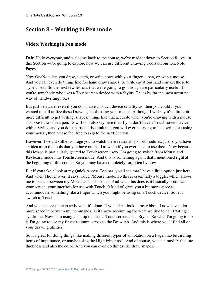# **Section 8 – Working in Pen mode**

### **Video: Working in Pen mode**

**Deb:** Hello everyone, and welcome back to the course, we've made it down to Section 8. And in this Section we're going to explore how we can use different Drawing Tools on our OneNote Pages.

Now OneNote lets you draw, sketch, or write notes with your finger, a pen, or even a mouse. And you can even do things like freehand draw shapes, or write equations, and convert those to Typed Text. So the next few lessons that we're going to go through are particularly useful if you're somebody who uses a Touchscreen device with a Stylus. That's by far the most accurate way of handwriting notes.

But just be aware, even if you don't have a Touch device or a Stylus, then you could if you wanted to still utilize these Drawing Tools using your mouse. Although I will say it's a little bit more difficult to get writing, shapes, things like that accurate when you're drawing with a mouse as opposed to with a pen. Now, I will also say here that if you don't have a Touchscreen device with a Stylus, and you don't particularly think that you will ever be trying to handwrite text using your mouse, then please feel free to skip to the next Section.

However, I would still encourage you to watch these reasonably short modules, just so you have an idea as to the tools that you have on that Draw tab if you ever need to use them. Now because this lesson is particularly geared to Touchscreen users, I'm going to switch from Mouse and Keyboard mode into Touchscreen mode. And this is something again, that I mentioned right at the beginning of this course. So you may have completely forgotten by now.

But if you take a look at my Quick Access Toolbar, you'll see that I have a little option just here. And when I hover over, it says, Touch/Mouse mode. So this is essentially a toggle, which allows me to switch between my Mouse and also Touch. And what this does is it basically optimizes your screen, your interface for use with Touch. It kind of gives you a bit more space to accommodate something like a finger which you might be using on a Touch device. So let's switch to Touch.

And you can see there exactly what it's done. If you take a look at my ribbon, I now have a lot more space in between my commands, as it's now accounting for what we like to call fat-finger syndrome. Now I am using a laptop that has a Touchscreen and a Stylus. So what I'm going to do is I'm going to use my finger to jump across to the Draw tab. And this is where you'll find all of your drawing utilities.

So it's great for doing things like making different types of annotation on a Page, maybe circling items of importance, or maybe using the Highlighter tool. And of course, you can modify the line thickness and also the color. And you can even do things like draw shapes.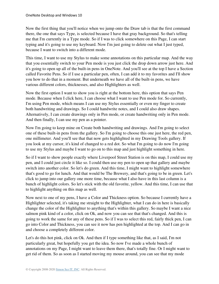Now the first thing that you'll notice when we jump onto the Draw tab is that the first command there, the one that says Type, is selected because I have that gray background. So that's telling me that I'm currently in a Type mode. So if I was to click somewhere on this Page, I can start typing and it's going to use my keyboard. Now I'm just going to delete out what I just typed, because I want to switch into a different mode.

This time, I want to use my Stylus to make some annotations on this particular map. And the way that you essentially switch to your Pen mode is you just click the drop down arrow just here. And it's going to open up all of the built-in pens in OneNote. And you'll see at the top I have a Section called Favorite Pens. So if I use a particular pen, often, I can add it to my favorites and I'll show you how to do that in a moment. But underneath we have all of the built-in pens, we have various different colors, thicknesses, and also Highlighters as well.

Now the first option I want to show you is right at the bottom here, this option that says Pen mode. Because when I click here, I can choose what I want to use Pen mode for. So currently, I'm using Pen mode, which means I can use my Stylus essentially or even my finger to create both handwriting and drawings. So I could handwrite notes, and I could also draw shapes. Alternatively, I can create drawings only in Pen mode, or create handwriting only in Pen mode. And then finally, I can use my pen as a pointer.

Now I'm going to keep mine on Create both handwriting and drawings. And I'm going to select one of these built-in pens from the gallery. So I'm going to choose this one just here, the red pen, one millimeter. And you'll see that that now gets highlighted in my Drawing Tools gallery. If you look at my cursor, it's kind of changed to a red dot. So what I'm going to do now I'm going to use my Stylus and maybe I want to go on to this map and just highlight something in here.

So if I want to show people exactly where Liverpool Street Station is on this map, I could use my pen, and I could just circle it like so. I could then use my pen to open up that gallery and maybe switch into another color. So let's do green. And this time, I might want to highlight somewhere that's good to go for lunch. And that would be The Brewery, and that's going to be in green. Let's click to jump into our gallery one more time, because what I also have in this last column is a bunch of highlight colors. So let's stick with the old favorite, yellow. And this time, I can use that to highlight anything on this map as well.

Now next to one of my pens, I have a Color and Thickness option. So because I currently have a Highlighter selected, it's taking me straight to the Highlighter, what I can do in here is basically change the color of the Highlighter to anything that's within this gallery. So maybe I want a nice salmon pink kind of a color, click on Ok, and now you can see that that's changed. And this is going to work the same for any of these pens. So if I was to select this red, fairly thick pen, I can go into Color and Thickness, you can see it now has pen highlighted at the top. And I can go in and choose a completely different color.

Let's do this hot pink, click on Ok. And then if I type something like that, as I said, I'm not particularly great, but hopefully you get the idea. So now I've made a whole bunch of annotations on my Page, I might want to leave them there, that's totally fine. Or I might want to get rid of them. So as soon as I started moving my mouse around, you can see that my mode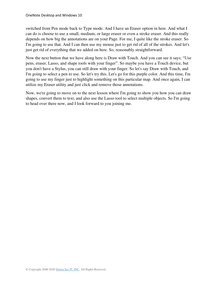switched from Pen mode back to Type mode. And I have an Eraser option in here. And what I can do is choose to use a small, medium, or large eraser or even a stroke eraser. And this really depends on how big the annotations are on your Page. For me, I quite like the stroke eraser. So I'm going to use that. And I can then use my mouse just to get rid of all of the strokes. And let's just get rid of everything that we added on here. So, reasonably straightforward.

Now the next button that we have along here is Draw with Touch. And you can see it says; "Use pens, eraser, Lasso, and shape tools with your finger". So maybe you have a Touch device, but you don't have a Stylus, you can still draw with your finger. So let's say Draw with Touch, and I'm going to select a pen to use. So let's try this. Let's go for this purple color. And this time, I'm going to use my finger just to highlight something on this particular map. And once again, I can utilize my Eraser utility and just click and remove those annotations.

Now, we're going to move on to the next lesson where I'm going to show you how you can draw shapes, convert them to text, and also use the Lasso tool to select multiple objects. So I'm going to head over there now, and I look forward to you joining me.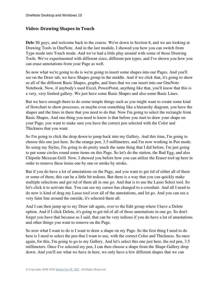# **Video: Drawing Shapes in Touch**

**Deb:** Hi guys, and welcome back to the course. We're down in Section 8, and we are looking at Drawing Tools in OneNote. And in the last module, I showed you how you can switch from Type mode into Touch mode. And we've had a little play around with some of those Drawing Tools. We've experimented with different sizes, different pen types, and I've shown you how you can erase annotations from your Page as well.

So now what we're going to do is we're going to insert some shapes into our Pages. And you'll see on the Draw tab, we have Shapes group in the middle. And if we click that, it's going to show us all of the different Basic Shapes, graphs, and lines that we can insert into our OneNote Notebook. Now, if anybody's used Excel, PowerPoint, anything like that, you'll know that this is a very, very limited gallery. We just have some Basic Shapes and also some Basic Lines.

But we have enough there to do some simple things such as you might want to create some kind of flowchart to show processes, or maybe even something like a hierarchy diagram, you have the shapes and the lines in there that you need to do that. Now I'm going to select the rectangle from Basic Shapes. And one thing you need to know is that before you start to draw your shape on your Page, you want to make sure you have the correct pen selected with the Color and Thickness that you want.

So I'm going to click the drop down to jump back into my Gallery. And this time, I'm going to choose this one just here. So the orange pen, 3.5 millimeters, and I'm now working in Pen mode. So using my Stylus, I'm going to do pretty much the same thing that I did before, I'm just going to put some circles round some items on this Page. So let's do the station, the Bad Egg, and also Chipotle Mexican Grill. Now, I showed you before how you can utilize the Eraser tool up here in order to remove these items one by one or stroke by stroke.

But if you do have a lot of annotations on the Page, and you want to get rid of either all of them or some of them, this can be a little bit tedious. But there is a way that you can quickly make multiple selections and get rid of them all in one go. And that is to use the Lasso Select tool. So let's click it to activate that. You can see my cursor has changed to a crosshair. And all I need to do now is kind of drag my Lasso tool over all of the annotations, and let go. And you can see a very faint line around the outside, it's selected them all.

And I can then jump up to my Draw tab again, over to the Edit group where I have a Delete option. And if I click Delete, it's going to get rid of all of those annotations in one go. So don't forget you have that because as I said, that can be very tedious if you do have a lot of annotations and other things you want to remove on the Page.

So now what I want to do is I want to draw a shape on my Page. So the first thing I need to do here is I need to select the pen that I want to use, with the correct Color and Thickness. So once again, for this, I'm going to go to my Gallery. And let's select this one just here, the red pen, 3.5 millimeters. Once I've selected my pen, I can then choose a shape from the Shape Gallery drop down. And you'll see what we have in here, we only have a few different shapes that we can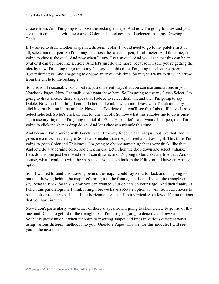choose from. And I'm going to choose the rectangle shape. And now I'm going to draw and you'll see that it comes out with the correct Color and Thickness that I selected from my Drawing Tools.

If I wanted to draw another shape in a different color, I would need to go to my palette first of all, select another pen. So I'm going to choose the lavender pen, 1 millimeter. And this time, I'm going to choose the oval. And now when I draw, I get an oval. And you'll see that this can be an oval or it can be more like a circle. And let's just do one more, because I'm sure you're getting the idea by now. I'm going to go up to my Gallery, and this time, I'm going to select the green pen, 0.35 millimeters. And I'm going to choose an arrow this time. So maybe I want to draw an arrow from the circle to the rectangle.

So, this is all reasonably basic, but it's just different ways that you can use annotations in your Notebook Pages. Now, I actually don't want these here. So I'm going to use my Lasso Select. I'm going to draw around those shapes that I added to select them all, and then I'm going to say Delete. Now the final thing I could do here is I could switch into Draw with Touch mode by clicking that button in the middle. Now once I've done that you'll see that I also still have Lasso Select selected. So let's click on that to turn that off. So now what this enables me to do is once again use my finger, so I'm going to click the Gallery. And let's say I want a blue pen, then I'm going to click the shapes drop down. And let's choose a triangle this time.

And because I'm drawing with Touch, when I use my finger, I can just pull out like that, and it gives me a nice, neat triangle. So it's a lot neater than me just freehand drawing it. This time, I'm going to go to Color and Thickness, I'm going to choose something that's very thick, like that. And let's do a aubergine color, and click on Ok. Let's click the drop down and select a shape. Let's do this one just here. And then I can draw it, and it's going to look exactly like that. And of course, what I could do with the shapes is if you take a look in the Edit group, I have an Arrange option.

So if I wanted to send this drawing behind the map, I could say Send to Back and it's going to put that drawing behind the map. Let's bring it to the front again, I could select the triangle and say, Send to Back. So this is how you can arrange your objects on your Page. And then finally, if I click this parallelogram, I think it might be, we have a Rotate option as well. So I can choose to rotate left or rotate right. I can flip it horizontal, or I can flip it vertical. So a few different options that you have in there.

Now I don't particularly want either of these shapes, so I'm going to click Delete to get rid of that one, and Delete to get rid of the triangle. And I'm also just going to deactivate Draw with Touch. So that is pretty much it when it comes to inserting shapes and lines in various different ways using various different methods into your OneNote Pages. That's it for this module, I will see you in the next one.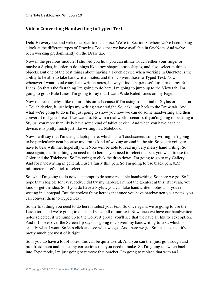# **Video: Converting Handwriting to Typed Text**

**Deb:** Hi everyone, and welcome back to the course. We're in Section 8, where we've been taking a look at the different types of Drawing Tools that we have available in OneNote. And we've been working predominantly on the Draw tab.

Now in the previous module, I showed you how you can utilize Touch either your finger or maybe a Stylus, in order to do things like draw shapes, erase shapes, and also, select multiple objects. But one of the best things about having a Touch device when working in OneNote is the ability to be able to take handwritten notes, and then convert those to Typed Text. Now whenever I want to take any handwritten notes, I always find it super useful to turn on my Rule Lines. So that's the first thing I'm going to do here. I'm going to jump up to the View tab, I'm going to go to Rule Lines, I'm going to say that I want Wide Ruled Lines on my Page.

Now the reason why I like to turn this on is because if I'm using some kind of Stylus or a pen on a Touch device, it just helps my writing stay straight. So let's jump back to the Draw tab. And what we're going to do is I'm just going to show you how we can do some handwriting and then convert it to Typed Text if we want to. Now in a real world scenario, if you're going to be using a Stylus, you more than likely have some kind of tablet device. And when you have a tablet device, it is pretty much just like writing in a Notebook.

Now I will say that I'm using a laptop here, which has a Touchscreen, so my writing isn't going to be particularly neat because my arm is kind of waving around in the air. So you're going to have to bear with me, hopefully OneNote will be able to read my very messy handwriting. So once again, the first thing you need to do here is you need to select the pen, you want to use the Color and the Thickness. So I'm going to click the drop down, I'm going to go to my Gallery. And for handwriting in general, I use a fairly thin pen. So I'm going to use black pen, 0.35 millimeters. Let's click to select.

So, what I'm going to do now is attempt to do some readable handwriting. So there we go. So I hope that's legible for everybody. I did try my hardest, I'm not the greatest at this. But yeah, you kind of get the idea. So if you do have a Stylus, you can take handwritten notes as if you're writing in a notepad. But the coolest thing here is that once you have handwritten your notes, you can convert them to Typed Text.

So the first thing you need to do here is select your text. So once again, we're going to use the Lasso tool, and we're going to click and select all of our text. Now once we have our handwritten notes selected, if we jump up to the Convert group, you'll see that we have an Ink to Text option. And if I hover over the ScreenTip says it's going to convert my handwriting to text, which is exactly what I want. So let's click and see what we get. And there we go. So I can see that it's pretty much got most of it right.

So if you do have a lot of notes, this can be quite useful. And you can then just go through and proofread them and make any corrections that you need to make. So I'm going to switch back into Type mode, I'm just going to remove that bracket, I'm going to replace that with an I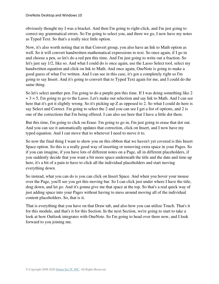obviously thought my I was a bracket. And then I'm going to right-click, and I'm just going to correct my grammatical errors. So I'm going to select you, and there we go, I now have my notes as Typed Text. So that's a really nice little option.

Now, it's also worth noting that in that Convert group, you also have an Ink to Math option as well. So it will convert handwritten mathematical expressions to text. So once again, if I go in and choose a pen, so let's do a red pen this time. And I'm just going to write out a fraction. So let's just say 1/2, like so. And what I could do is once again, use the Lasso Select tool, select my handwritten equation and click on Ink to Math. And once again, OneNote is going to make a good guess of what I've written. And I can see in this case, it's got a completely right so I'm going to say Insert. And it's going to convert that to Typed Text again for me, and I could do the same thing.

So let's select another pen. I'm going to do a purple pen this time. If I was doing something like 2  $+ 3 = 5$ , I'm going to go to the Lasso. Let's make our selection and say Ink to Math. And I can see here that it's got it slightly wrong. So it's picking up Z as opposed to 2. So what I could do here is say Select and Correct. I'm going to select the 2 and you can see I get a list of options, and 2 is one of the corrections that I'm being offered. I can also see here that I have a little dot there.

But this time, I'm going to click on Erase. I'm going to go in, I'm just going to erase that dot out. And you can see it automatically updates that correction, click on Insert, and I now have my typed equation. And I can move that to wherever I need to move it to.

So now the final thing I want to show you on this ribbon that we haven't yet covered is this Insert Space option. So this is a really good way of inserting or removing extra space in your Pages. So if you can imagine, if you have lots of different notes on a Page, all in different placeholders, if you suddenly decide that you want a bit more space underneath the title and the date and time up here, it's a bit of a pain to have to click all the individual placeholders and start moving everything down.

So instead, what you can do is you can click on Insert Space. And when you hover your mouse over the Page, you'll see you get this moving bar. So I can click just under where I have the title, drag down, and let go. And it's gonna give me that space at the top. So that's a real quick way of just adding space into your Pages without having to mess around moving all of the individual content placeholders. So, that is it.

That is everything that you have on that Draw tab, and also how you can utilize Touch. That's it for this module, and that's it for this Section. In the next Section, we're going to start to take a look at how Outlook integrates with OneNote. So I'm going to head over there now, and I look forward to you joining me.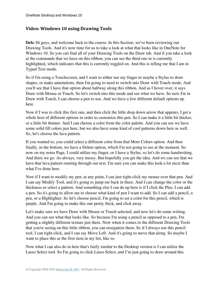# **Video: Windows 10 using Drawing Tools**

**Deb:** Hi guys, and welcome back to the course. In this Section, we've been reviewing our Drawing Tools. And it's now time for us to take a look at what that looks like in OneNote for Windows 10. So you can find all of your Drawing Tools on the Draw tab. And if you take a look at the commands that we have on this ribbon, you can see the third one in is currently highlighted, which indicates that this is currently toggled on. And this is telling me that I am in Typed Text mode.

So if I'm using a Touchscreen, and I want to either use my finger or maybe a Stylus to draw shapes, or make annotations, then I'm going to need to switch into Draw with Touch mode. And you'll see that I have that option about halfway along this ribbon. And as I hover over, it says Draw with Mouse or Touch. So let's switch into this mode and see what we have. So now I'm in Draw with Touch, I can choose a pen to use. And we have a few different default options up here.

Now if I was to click this first one, and then click the little drop down arrow that appears, I get a whole host of different options in order to customize this pen. So I can make it a little bit thicker, or a little bit thinner. And I can choose a color from the color palette. And you can see we have some solid fill colors just here, but we also have some kind of cool patterns down here as well. So, let's choose the lava pattern.

If you wanted to, you could select a different color from that More Colors option. And then finally, in the bottom, we have a Delete option, which I'm not going to use at the moment. So now on my notes Page, I could utilize my finger, or I have a Stylus, so let's do some handwriting. And there we go. As always, very messy. But hopefully you get the idea. And we can see that we have that lava pattern running through our text. I'm sure you can make this look a lot nicer than what I've done here.

Now if I want to modify my pen, at any point, I can just right-click my mouse over that pen. And I can say Modify Tool, and it's going to jump me back in there. And I can change the color or the thickness or select a pattern. And something else I can do up here is if I click the Plus, I can add a pen. So it's going to allow me to choose what kind of pen I want to add. So I can add a pencil, a pen, or a Highlighter. So let's choose pencil, I'm going to set a color for this pencil, which is purple. And I'm going to make this one pretty thick, and click away.

Let's make sure we have Draw with Mouse or Touch selected, and now let's do some writing. And you can see what that looks like. So because I'm using a pencil as opposed to a pen, I'm getting a slightly different texture just there. Now when it comes to the different Drawing Tools that you're seeing on this little ribbon, you can reorganize them. So if I always use this pencil tool, I can right-click, and I can say Move Left. And it's going to move that along. So maybe I want to place this as the first item in my list, like so.

Now what I can also do in here that's fairly similar to the Desktop version is I can utilize the Lasso Select tool. So I'm going to click Lasso Select, and I'm just going to draw around this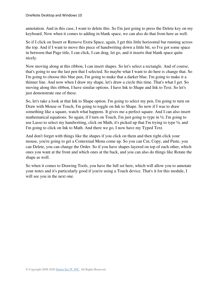annotation. And in this case, I want to delete this. So I'm just going to press the Delete key on my keyboard. Now when it comes to adding in blank space, we can also do that from here as well.

So if I click on Insert or Remove Extra Space, again, I get this little horizontal bar running across the top. And if I want to move this piece of handwriting down a little bit, so I've got some space in between that Page title, I can click, I can drag, let go, and it inserts that blank space quite nicely.

Now moving along at this ribbon, I can insert shapes. So let's select a rectangle. And of course, that's going to use the last pen that I selected. So maybe what I want to do here is change that. So I'm going to choose this blue pen, I'm going to make that a darker blue. I'm going to make it a thinner line. And now when I draw my shape, let's draw a circle this time. That's what I get. So moving along this ribbon, I have similar options. I have Ink to Shape and Ink to Text. So let's just demonstrate one of these.

So, let's take a look at that Ink to Shape option. I'm going to select my pen, I'm going to turn on Draw with Mouse or Touch, I'm going to toggle on Ink to Shape. So now if I was to draw something like a square, watch what happens. It gives me a perfect square. And I can also insert mathematical equations. So again, if I turn on Touch, I'm just going to type in ½. I'm going to use Lasso to select my handwriting, click on Math, it's picked up that I'm trying to type ½, and I'm going to click on Ink to Math. And there we go, I now have my Typed Text.

And don't forget with things like the shapes if you click on them and then right-click your mouse, you're going to get a Contextual Menu come up. So you can Cut, Copy, and Paste, you can Delete, you can change the Order. So if you have shapes layered on top of each other, which ones you want at the front and which ones at the back, and you can also do things like Rotate the shape as well.

So when it comes to Drawing Tools, you have the full set here, which will allow you to annotate your notes and it's particularly good if you're using a Touch device. That's it for this module, I will see you in the next one.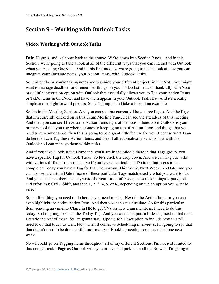# **Section 9 – Working with Outlook Tasks**

### **Video: Working with Outlook Tasks**

**Deb:** Hi guys, and welcome back to the course. We're down into Section 9 now. And in this Section, we're going to take a look at all of the different ways that you can interact with Outlook when you're using OneNote. And in this first module, we're going to take a look at how you can integrate your OneNote notes, your Action Items, with Outlook Tasks.

So it might be as you're taking notes and planning your different projects in OneNote, you might want to manage deadlines and remember things on your ToDo list. And so thankfully, OneNote has a little integration option with Outlook that essentially allows you to Tag your Action Items or ToDo items in OneNote, and have them appear in your Outlook Tasks list. And it's a really simple and straightforward process. So let's jump in and take a look at an example.

So I'm in the Meeting Section. And you can see that currently I have three Pages. And the Page that I'm currently clicked on is this Team Meeting Page. I can see the attendees of this meeting. And then you can see I have some Action Items right at the bottom here. So if Outlook is your primary tool that you use when it comes to keeping on top of Action Items and things that you need to remember to do, then this is going to be a great little feature for you. Because what I can do here is I can Tag these Action Items, and they'll all automatically synchronize with my Outlook so I can manage them within tasks.

And if you take a look at the Home tab, you'll see in the middle there in that Tags group, you have a specific Tag for Outlook Tasks. So let's click the drop down. And we can Tag our tasks with various different timeframes. So if you have a particular ToDo item that needs to be completed Today you have a Tag for that. Tomorrow, This Week, Next Week, No Date, and you can also set a Custom Date if none of these particular Tags match exactly what you want to do. And you'll see that there is a keyboard shortcut for all of these just to make things super quick and effortless; Ctrl + Shift, and then 1, 2, 3, 4, 5, or K, depending on which option you want to select.

So the first thing you need to do here is you need to click Next to the Action Item, or you can even highlight the entire Action Item. And then you can set a due date. So for this particular item, sending an email to Claire in HR to get CVs for new team members, I need to do this today. So I'm going to select the Today Tag. And you can see it puts a little flag next to that item. Let's do the rest of these. So I'm gonna say, "Update Job Description to include new salary". I need to do that today as well. Now when it comes to Scheduling interviews, I'm going to say that that doesn't need to be done until tomorrow. And Booking meeting rooms can be done next week.

Now I could go on Tagging items throughout all of my different Sections, I'm not just limited to this one particular Page as Outlook will synchronize and pick them all up. So what I'm going to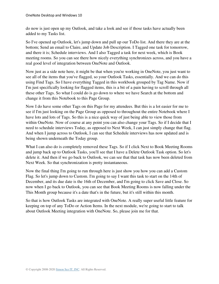do now is just open up my Outlook, and take a look and see if those tasks have actually been added to my Tasks list.

So I've opened up Outlook, let's jump down and pull up our ToDo list. And there they are at the bottom; Send an email to Claire, and Update Job Description. I Tagged one task for tomorrow, and there it is; Schedule interviews. And I also Tagged a task for next week, which is Book meeting rooms. So you can see there how nicely everything synchronizes across, and you have a real good level of integration between OneNote and Outlook.

Now just as a side note here, it might be that when you're working in OneNote, you just want to see all of the items that you've flagged, so your Outlook Tasks, essentially. And we can do this using Find Tags. So I have everything Tagged in this workbook grouped by Tag Name. Now if I'm just specifically looking for flagged items, this is a bit of a pain having to scroll through all these other Tags. So what I could do is go down to where we have Search at the bottom and change it from this Notebook to this Page Group.

Now I do have some other Tags on this Page for my attendees. But this is a lot easier for me to see if I'm just looking on the Page Group as opposed to throughout the entire Notebook where I have lots and lots of Tags. So this is a nice quick way of just being able to view those from within OneNote. Now of course at any point you can also change your Tags. So if I decide that I need to schedule interviews Today, as opposed to Next Week, I can just simply change that flag. And when I jump across to Outlook, I can see that Schedule interviews has now updated and is being shown underneath the Today group.

What I can also do is completely removed these Tags. So if I click Next to Book Meeting Rooms and jump back up to Outlook Tasks, you'll see that I have a Delete Outlook Task option. So let's delete it. And then if we go back to Outlook, we can see that that task has now been deleted from Next Week. So that synchronization is pretty instantaneous.

Now the final thing I'm going to run through here is just show you how you can add a Custom Flag. So let's jump down to Custom. I'm going to say I want this task to start on the 14th of December, and its due date is the 16th of December, and I'm going to click Save and Close. So now when I go back to Outlook, you can see that Book Meeting Rooms is now falling under the This Month group because it's a date that's in the future, but it's still within this month.

So that is how Outlook Tasks are integrated with OneNote. A really super useful little feature for keeping on top of any ToDo or Action Items. In the next module, we're going to start to talk about Outlook Meeting integration with OneNote. So, please join me for that.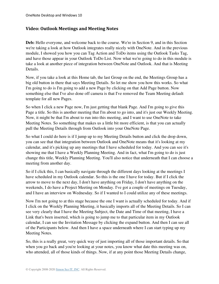# **Video: Outlook Meetings and Meeting Notes**

**Deb:** Hello everyone, and welcome back to the course. We're in Section 9, and in this Section we're taking a look at how Outlook integrates really nicely with OneNote. And in the previous module, I showed you how you can Tag Action and ToDo items using the Outlook Tasks Tag, and have those appear in your Outlook ToDo List. Now what we're going to do in this module is take a look at another piece of integration between OneNote and Outlook. And that is Meeting Details.

Now, if you take a look at this Home tab, the last Group on the end, the Meetings Group has a big old button in there that says Meeting Details. So let me show you how this works. So what I'm going to do is I'm going to add a new Page by clicking on that Add Page button. Now something else that I've also done off camera is that I've removed the Team Meeting default template for all new Pages.

So when I click a new Page now, I'm just getting that blank Page. And I'm going to give this Page a title. So this is another meeting that I'm about to go into, and it's just our Weekly Meeting. Now, it might be that I'm about to run into this meeting, and I want to use OneNote to take Meeting Notes. So something that makes us a little bit more efficient, is that you can actually pull the Meeting Details through from Outlook into your OneNote Page.

So what I could do here is if I jump up to my Meeting Details button and click the drop down, you can see that that integration between Outlook and OneNote means that it's looking at my calendar, and it's picking up any meetings that I have scheduled for today. And you can see it's showing me that I have a Weekly Planning Meeting. And in fact, what I'm going to do is just change this title, Weekly Planning Meeting. You'll also notice that underneath that I can choose a meeting from another day.

So if I click this, I can basically navigate through the different days looking at the meetings I have scheduled in my Outlook calendar. So this is the one I have for today. But if I click the arrow to move to the next day, I don't have anything on Friday, I don't have anything on the weekends, I do have a Project Meeting on Monday. I've got a couple of meetings on Tuesday, and I have an interview on Wednesday. So if I wanted to I could utilize any of these meetings.

Now I'm not going to at this stage because the one I want is actually scheduled for today. And if I click on the Weekly Planning Meeting, it basically imports all of the Meeting Details. So I can see very clearly that I have the Meeting Subject, the Date and Time of that meeting, I have a Link that's been inserted, which is going to jump me to that particular item in my Outlook calendar, I can see the Invitation Message by clicking the expand button. And then I can see all of the Participants below. And then I have a space underneath where I can start typing up my Meeting Notes.

So, this is a really great, very quick way of just importing all of those important details. So that when you go back and you're looking at your notes, you know what date this meeting was on, who attended, all of those kinds of things. Now, if at any point those Meeting Details change,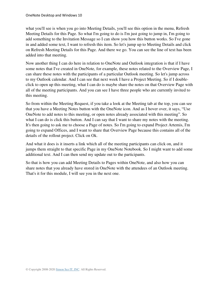what you'll see is when you go into Meeting Details, you'll see this option in the menu, Refresh Meeting Details for this Page. So what I'm going to do is I'm just going to jump in, I'm going to add something to the Invitation Message so I can show you how this button works. So I've gone in and added some text, I want to refresh this item. So let's jump up to Meeting Details and click on Refresh Meeting Details for this Page. And there we go. You can see the line of text has been added into that meeting.

Now another thing I can do here in relation to OneNote and Outlook integration is that if I have some notes that I've created in OneNote, for example, these notes related to the Overview Page, I can share these notes with the participants of a particular Outlook meeting. So let's jump across to my Outlook calendar. And I can see that next week I have a Project Meeting. So if I doubleclick to open up this meeting, what I can do is maybe share the notes on that Overview Page with all of the meeting participants. And you can see I have three people who are currently invited to this meeting.

So from within the Meeting Request, if you take a look at the Meeting tab at the top, you can see that you have a Meeting Notes button with the OneNote icon. And as I hover over, it says, "Use OneNote to add notes to this meeting, or open notes already associated with this meeting". So what I can do is click this button. And I can say that I want to share my notes with the meeting. It's then going to ask me to choose a Page of notes. So I'm going to expand Project Artemis, I'm going to expand Offices, and I want to share that Overview Page because this contains all of the details of the rollout project. Click on Ok.

And what it does is it inserts a link which all of the meeting participants can click on, and it jumps them straight to that specific Page in my OneNote Notebook. So I might want to add some additional text. And I can then send my update out to the participants.

So that is how you can add Meeting Details to Pages within OneNote, and also how you can share notes that you already have stored in OneNote with the attendees of an Outlook meeting. That's it for this module, I will see you in the next one.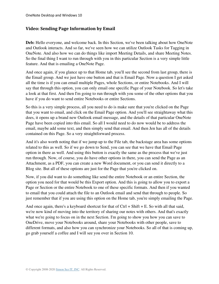#### **Video: Sending Page Information by Email**

Deb: Hello everyone, and welcome back. In this Section, we've been talking about how OneNote and Outlook interacts. And so far, we've seen how we can utilize Outlook Tasks for Tagging in OneNote. And also how we can do things like import Meeting Details, and share Meeting Notes. So the final thing I want to run through with you in this particular Section is a very simple little feature. And that is emailing a OneNote Page.

And once again, if you glance up to that Home tab, you'll see the second from last group, there is the Email group. And we just have one button and that is Email Page. Now a question I get asked all the time is if you can email multiple Pages, whole Sections, or entire Notebooks. And I will say that through this option, you can only email one specific Page of your Notebook. So let's take a look at that first. And then I'm going to run through with you some of the other options that you have if you do want to send entire Notebooks or entire Sections.

So this is a very simple process, all you need to do is make sure that you're clicked on the Page that you want to email, and click on the Email Page option. And you'll see straightaway what this does, it opens up a brand new Outlook email message, and the details of that particular OneNote Page have been copied into this email. So all I would need to do now would be to address the email, maybe add some text, and then simply send that email. And then Jen has all of the details contained on this Page. So a very straightforward process.

And it's also worth noting that if we jump up to the File tab, the backstage area has some options related to this as well. So if we go down to Send, you can see that we have that Email Page option in there as well. And using this button is exactly the same as the process that we've just run through. Now, of course, you do have other options in there, you can send the Page as an Attachment, as a PDF, you can create a new Word document, or you can send it directly to a Blog site. But all of these options are just for the Page that you're clicked on.

Now, if you did want to do something like send the entire Notebook or an entire Section, the option you need for that would be this Export option. And this is going to allow you to export a Page or Section or the entire Notebook to one of these specific formats. And then if you wanted to email that you could attach the file to an Outlook email and send that through to people. So just remember that if you are using this option on the Home tab, you're simply emailing the Page.

And once again, there's a keyboard shortcut for that of Ctrl + Shift + E. So with all that said, we're now kind of moving into the territory of sharing our notes with others. And that's exactly what we're going to focus on in the next Section. I'm going to show you how you can save to OneDrive, move your Notebooks around, share your Notebooks with other people, save to different formats, and also how you can synchronize your Notebooks. So all of that is coming up, go grab yourself a coffee and I will see you over in Section 10.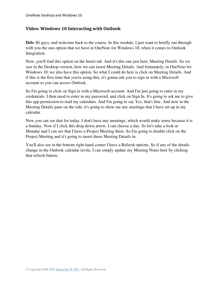# **Video: Windows 10 Interacting with Outlook**

**Deb:** Hi guys, and welcome back to the course. In this module, I just want to briefly run through with you the one option that we have in OneNote for Windows 10, when it comes to Outlook Integration.

Now, you'll find this option on the Insert tab. And it's this one just here, Meeting Details. So we saw in the Desktop version, how we can insert Meeting Details. And fortunately, in OneNote for Windows 10, we also have this option. So what I could do here is click on Meeting Details. And if this is the first time that you're using this, it's gonna ask you to sign in with a Microsoft account so you can access Outlook.

So I'm going to click on Sign in with a Microsoft account. And I'm just going to enter in my credentials. I then need to enter in my password, and click on Sign In. It's going to ask me to give this app permission to read my calendars. And I'm going to say Yes, that's fine. And now in the Meeting Details pane on the side, it's going to show me any meetings that I have set up in my calendar.

Now you can see that for today, I don't have any meetings, which would make sense because it is a Sunday. Now if I click this drop down arrow, I can choose a day. So let's take a look at Monday and I can see that I have a Project Meeting there. So I'm going to double click on the Project Meeting and it's going to insert those Meeting Details in.

You'll also see in the bottom right-hand corner I have a Refresh options. So if any of the details change in the Outlook calendar invite, I can simply update my Meeting Notes here by clicking that refresh button.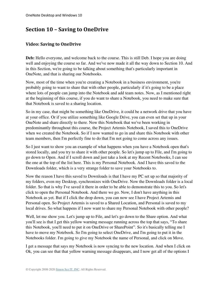# **Section 10 – Saving to OneDrive**

# **Video: Saving to OneDrive**

**Deb:** Hello everyone, and welcome back to the course. This is still Deb. I hope you are doing well and enjoying the course so far. And we've now made it all the way down to Section 10. And in this Section, we're going to be talking about something that's particularly important in OneNote, and that is sharing our Notebooks.

Now, most of the time when you're creating a Notebook in a business environment, you're probably going to want to share that with other people, particularly if it's going to be a place where lots of people can jump into the Notebook and add team notes. Now, as I mentioned right at the beginning of this course, if you do want to share a Notebook, you need to make sure that that Notebook is saved to a sharing location.

So in my case, that might be something like OneDrive, it could be a network drive that you have at your office. Or if you utilize something like Google Drive, you can even set that up in your OneNote and share directly to there. Now this Notebook that we've been working in predominantly throughout this course, the Project Artemis Notebook, I saved this to OneDrive when we created the Notebook. So if I now wanted to go in and share this Notebook with other team members, then I'm perfectly fine to do that I'm not going to come across any issues.

So I just want to show you an example of what happens when you have a Notebook open that's stored locally, and you try to share it with other people. So let's jump up to File, and I'm going to go down to Open. And if I scroll down and just take a look at my Recent Notebooks, I can see the one at the top of the list here. This is my Personal Notebook. And I have this saved to the Downloads folder, which is a very strange folder to save your Notebooks to.

Now the reason I have this saved to Downloads is that I have my PC set up so that majority of my folders, even my Desktop, synchronizes with OneDrive. Now the Downloads folder is a local folder. So that is why I've saved it there in order to be able to demonstrate this to you. So let's click to open the Personal Notebook. And there we go. Now, I don't have anything in this Notebook as yet. But if I click the drop down, you can now see I have Project Artemis and Personal open. So Project Artemis is saved to a Shared Location, and Personal is saved to my local drives. So what happens if I now want to share my Personal Notebook with other people?

Well, let me show you. Let's jump up to File, and let's go down to the Share option. And what you'll see is that I get this yellow warning message running across the top that says, "To share this Notebook, you'll need to put it on OneDrive or SharePoint". So it's basically telling me I have to move my Notebook. So I'm going to select OneDrive, and I'm going to put it in the Notebooks folder. I'm going to give my Notebook the name of Personal, and click on Move.

I get a message that says my Notebook is now syncing to the new location. And when I click on Ok, you can see that that yellow warning message disappears, and I now get all of the options I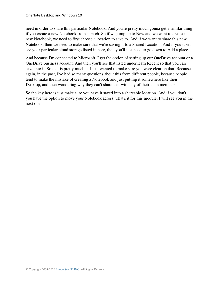need in order to share this particular Notebook. And you're pretty much gonna get a similar thing if you create a new Notebook from scratch. So if we jump up to New and we want to create a new Notebook, we need to first choose a location to save to. And if we want to share this new Notebook, then we need to make sure that we're saving it to a Shared Location. And if you don't see your particular cloud storage listed in here, then you'll just need to go down to Add a place.

And because I'm connected to Microsoft, I get the option of setting up our OneDrive account or a OneDrive business account. And then you'll see that listed underneath Recent so that you can save into it. So that is pretty much it. I just wanted to make sure you were clear on that. Because again, in the past, I've had so many questions about this from different people, because people tend to make the mistake of creating a Notebook and just putting it somewhere like their Desktop, and then wondering why they can't share that with any of their team members.

So the key here is just make sure you have it saved into a shareable location. And if you don't, you have the option to move your Notebook across. That's it for this module, I will see you in the next one.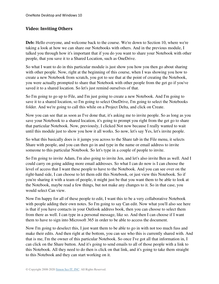# **Video: Inviting Others**

**Deb:** Hello everyone, and welcome back to the course. We're down to Section 10, where we're taking a look at how we can share our Notebooks with others. And in the previous module, I talked you through how it's important that if you do you want to share your Notebook with other people, that you save it to a Shared Location, such as OneDrive.

So what I want to do in this particular module is just show you how you then go about sharing with other people. Now, right at the beginning of this course, when I was showing you how to create a new Notebook from scratch, you got to see that at the point of creating the Notebook, you were actually prompted to share that Notebook with other people from the get go if you've saved it to a shared location. So let's just remind ourselves of that.

So I'm going to go up to File, and I'm just going to create a new Notebook. And I'm going to save it to a shared location, so I'm going to select OneDrive, I'm going to select the Notebooks folder. And we're going to call this while on a Project Delta, and click on Create.

Now you can see that as soon as I've done that, it's asking me to invite people. So as long as you save your Notebook to a shared location, it's going to prompt you right from the get go to share that particular Notebook. Now, previously, I clicked Not now because I really wanted to wait until this module just to show you how it all works. So now, let's say Yes, let's invite people.

So what this basically does is it jumps you across to the Share tab in the File menu, it selects Share with people, and you can then go in and type in the name or email address to invite someone to this particular Notebook. So let's type in a couple of people to invite.

So I'm going to invite Adam, I'm also going to invite Jen, and let's also invite Ben as well. And I could carry on going adding more email addresses. So what I can do now is I can choose the level of access that I want these people to have to the Notebook. And you can see over on the right-hand side, I can choose to let them edit this Notebook, or just view this Notebook. So if you're sharing it with a team of people, it might just be that you want them to be able to look at the Notebook, maybe read a few things, but not make any changes to it. So in that case, you would select Can view.

Now I'm happy for all of these people to edit, I want this to be a very collaborative Notebook with people adding their own notes. So I'm going to say Can edit. Now what you'll also see here is that if you have contacts in your Outlook address book, then you can choose to select them from there as well. I can type in a personal message, like so. And then I can choose if I want them to have to sign into Microsoft 365 in order to be able to access the document.

Now I'm going to deselect this, I just want them to be able to go in with not too much fuss and make their edits. And then right at the bottom, you can see who this is currently shared with. And that is me, I'm the owner of this particular Notebook. So once I've got all that information in, I can click on the Share button. And it's going to send emails to all of those people with a link to this Notebook. All they need to do then is click on that link, and it's going to take them straight to this Notebook and they can start working on it.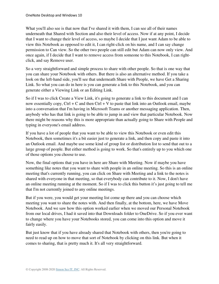What you'll also see is that now that I've shared it with them, I can see all of their names underneath that Shared with Section and also their level of access. Now if at any point, I decide that I want to change their level of access, so maybe I decide that I just want Adam to be able to view this Notebook as opposed to edit it, I can right-click on his name, and I can say change permission to Can view. So the other two people can still edit but Adam can now only view. And once again, if I decide that I want to remove access from someone to this Notebook, I can rightclick, and say Remove user.

So a very straightforward and simple process to share with other people. So that is one way that you can share your Notebook with others. But there is also an alternative method. If you take a look on the left-hand side, you'll see that underneath Share with People, we have Get a Sharing Link. So what you can do in here is you can generate a link to this Notebook, and you can generate either a Viewing Link or an Editing Link.

So if I was to click Create a View Link, it's going to generate a link to this document and I can now essentially copy,  $Ctrl + C$  and then  $Ctrl + V$  to paste that link into an Outlook email, maybe into a conversation that I'm having in Microsoft Teams or another messaging application. Then, anybody who has that link is going to be able to jump in and view that particular Notebook. Now there might be reasons why this is more appropriate than actually going to Share with People and typing in everyone's email address.

If you have a lot of people that you want to be able to view this Notebook or even edit this Notebook, then sometimes it's a bit easier just to generate a link, and then copy and paste it into an Outlook email. And maybe use some kind of group list or distribution list to send that out to a large group of people. But either method is going to work. So that's entirely up to you which one of those options you choose to use.

Now, the final options that you have in here are Share with Meeting. Now if maybe you have something like notes that you want to share with people in an online meeting. So this is an online meeting that's currently running, you can click on Share with Meeting and a link to the notes is shared with everyone in that meeting, so that everybody can contribute to it. Now, I don't have an online meeting running at the moment. So if I was to click this button it's just going to tell me that I'm not currently joined to any online meetings.

But if you were, you would get your meeting list come up there and you can choose which meeting you want to share the notes with. And then finally, at the bottom, here, we have Move Notebook. And we saw how this option worked earlier when we moved our Personal Notebook from our local drives, I had it saved into that Downloads folder to OneDrive. So if you ever want to change where you have your Notebooks stored, you can come into this option and move it fairly easily.

But just know that if you have already shared that Notebook with others, then you're going to need to read up on how to move that sort of Notebook by clicking on this link. But when it comes to sharing, that is pretty much it. It's all very straightforward.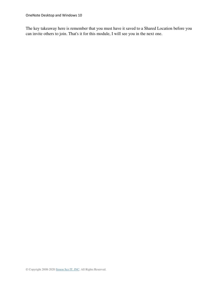The key takeaway here is remember that you must have it saved to a Shared Location before you can invite others to join. That's it for this module, I will see you in the next one.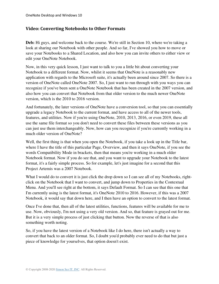# **Video: Converting Notebooks to Other Formats**

**Deb:** Hi guys, and welcome back to the course. We're still in Section 10, where we're taking a look at sharing our Notebook with other people. And so far, I've showed you how to move or save your Notebooks to a Shared Location, and also how you can invite others to either view or edit your OneNote Notebook.

Now, in this very quick lesson, I just want to talk to you a little bit about converting your Notebook to a different format. Now, whilst it seems that OneNote is a reasonably new application with regards to the Microsoft suite, it's actually been around since 2007. So there is a version of OneNote called OneNote 2007. So, I just want to run through with you ways you can recognize if you've been sent a OneNote Notebook that has been created in the 2007 version, and also how you can convert that Notebook from that older version to the much newer OneNote version, which is the 2010 to 2016 version.

And fortunately, the later versions of OneNote have a conversion tool, so that you can essentially upgrade a legacy Notebook to the current format, and have access to all of the newer tools, features, and utilities. Now if you're using OneNote, 2010, 2013, 2016, or even 2019, these all use the same file format so you don't need to convert these files between these versions as you can just use them interchangeably. Now, how can you recognize if you're currently working in a much older version of OneNote?

Well, the first thing is that when you open the Notebook, if you take a look up in the Title bar, where I have the title of this particular Page, Overview, and then it says OneNote, if you see the words Compatibility Mode in brackets, then that means you're working in a much older Notebook format. Now if you do see that, and you want to upgrade your Notebook to the latest format, it's a fairly simple process. So for example, let's just imagine for a second that this Project Artemis was a 2007 Notebook.

What I would do to convert it is just click the drop down so I can see all of my Notebooks, rightclick on the Notebook that I want to convert, and jump down to Properties in the Contextual Menu. And you'll see right at the bottom, it says Default Format. So I can see that this one that I'm currently using is the latest format, it's OneNote 2010 to 2016. However, if this was a 2007 Notebook, it would say that down here, and I then have an option to convert to the latest format.

Once I've done that, then all of the latest utilities, functions, features will be available for me to use. Now, obviously, I'm not using a very old version. And so, that feature is grayed out for me. But it is a very simple process of just clicking that button. Now the reverse of that is also something worth noting.

So, if you have the latest version of a Notebook like I do here, there isn't actually a way to convert that back to an older format. So, I doubt you'd probably ever need to do that but just a piece of knowledge for yourselves, that option doesn't exist.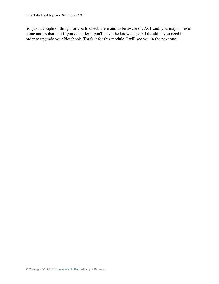So, just a couple of things for you to check there and to be aware of. As I said, you may not ever come across that, but if you do, at least you'll have the knowledge and the skills you need in order to upgrade your Notebook. That's it for this module, I will see you in the next one.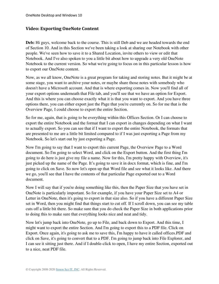# **Video: Exporting OneNote Content**

**Deb:** Hi guys, welcome back to the course. This is still Deb and we are headed towards the end of Section 10. And in this Section we've been taking a look at sharing our Notebook with other people. We've seen how to save it to a Shared Location, invite others to view or edit that Notebook. And I've also spoken to you a little bit about how to upgrade a very old OneNote Notebook to the current version. So what we're going to focus on in this particular lesson is how to export our OneNote content.

Now, as we all know, OneNote is a great program for taking and storing notes. But it might be at some stage, you want to archive your notes, or maybe share those notes with somebody who doesn't have a Microsoft account. And that is where exporting comes in. Now you'll find all of your export options underneath that File tab, and you'll see that we have an option for Export. And this is where you can choose exactly what it is that you want to export. And you have three options there, you can either export just the Page that you're currently on. So for me that is the Overview Page, I could choose to export the entire Section.

So for me, again, that is going to be everything within this Offices Section. Or I can choose to export the entire Notebook and the format that I can export in changes depending on what I want to actually export. So you can see that if I want to export the entire Notebook, the formats that are presented to me are a little bit limited compared to if I was just exporting a Page from my Notebook. So let's start out by just exporting a Page.

Now I'm going to say that I want to export this current Page, the Overview Page to a Word document. So I'm going to select Word, and click on the Export button. And the first thing I'm going to do here is just give my file a name. Now for this, I'm pretty happy with Overview, it's just picked up the name of the Page. It's going to save it in docx format, which is fine, and I'm going to click on Save. So now let's open up that Word file and see what it looks like. And there we go, you'll see that I have the contents of that particular Page exported out to a Word document.

Now I will say that if you're doing something like this, then the Paper Size that you have set in OneNote is particularly important. So for example, if you have your Paper Size set to A4 or Letter in OneNote, then it's going to export in that size also. So if you have a different Paper Size set in Word, then you might find that things start to cut off. If I scroll down, you can see my table cuts off a little bit there. So make sure that you do check the Paper Size in both applications prior to doing this to make sure that everything looks nice and neat and tidy.

Now let's jump back into OneNote, go up to File, and back down to Export. And this time, I might want to export the entire Section. And I'm going to export this to a PDF file. Click on Export. Once again, it's going to ask me to save this, I'm happy to have it called offices.PDF and click on Save, it's going to convert that to a PDF. I'm going to jump back into File Explorer, and I can see it sitting just there. And if I double-click to open, I have my entire Section, exported out to a nice, neat PDF file.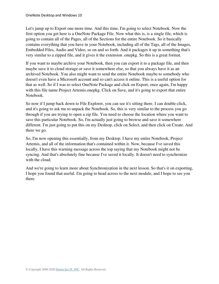Let's jump up to Export one more time. And this time, I'm going to select Notebook. Now the first option you get here is a OneNote Package File. Now what this is, is a single file, which is going to contain all of the Pages, all of the Sections for the entire Notebook. So it basically contains everything that you have in your Notebook, including all of the Tags, all of the Images, Embedded Files, Audio and Video, so on and so forth. And it packages it up in something that's very similar to a zipped file, and it gives it the extension .onepkg. So this is a great format.

If you want to maybe archive your Notebook, then you can export it to a package file, and then maybe save it to cloud storage or save it somewhere else, so that you always have it as an archived Notebook. You also might want to send the entire Notebook maybe to somebody who doesn't even have a Microsoft account and so can't access it online. This is a useful option for that as well. So if I was to select OneNote Package and click on Export, once again, I'm happy with this file name Project Artemis.onepkg. Click on Save, and it's going to export that entire Notebook.

So now if I jump back down to File Explorer, you can see it's sitting there. I can double-click, and it's going to ask me to unpack the Notebook. So, this is very similar to the process you go through if you are trying to open a zip file. You need to choose the location where you want to save this particular Notebook. So, I'm actually just going to browse and save it somewhere different. I'm just going to put this on my Desktop, click on Select, and then click on Create. And there we go.

So, I'm now opening this essentially, from my Desktop. I have my entire Notebook, Project Artemis, and all of the information that's contained within it. Now, because I've saved this locally, I have this warning message across the top saying that my Notebook might not be syncing. And that's absolutely fine because I've saved it locally. It doesn't need to synchronize with the cloud.

And we're going to learn more about Synchronization in the next lesson. So that's it on exporting, I hope you found that useful. I'm going to head across to the next module, and I hope to see you there.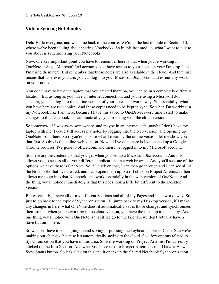# **Video: Syncing Notebooks**

**Deb:** Hello everyone, and welcome back to the course. We're in the last module of Section 10, where we've been talking about sharing Notebooks. So in this last module, what I want to talk to you about is synchronizing your Notebooks.

Now, one key important point you have to remember here is that when you're working in OneNote, using a Microsoft 365 accounts, you have access to your notes on your Desktop, like I'm using them here. But remember that those notes are also available in the cloud. And that just means that wherever you are, you can log into your Microsoft 365 portal, and essentially work on your notes.

You don't have to have the laptop that you created them on, you can be in a completely different location. But as long as you have an internet connection, and you're using a Microsoft 365 account, you can log into the online version of your notes and work away. So essentially, what you have here are two copies. And these copies need to be kept in sync. So when I'm working in my Notebook like I am here, because I have this saved to OneDrive, every time I start to make changes to this Notebook, it's automatically synchronizing with the cloud version.

So tomorrow, if I was away somewhere, and maybe in an internet cafe, maybe I don't have my laptop with me, I could still access my notes by logging into the web version, and opening up OneNote from there. So if you're not sure what I mean by the online version, let me show you that first. So this is the online web version. Now all I've done here is I've opened up a Google Chrome browser, I've gone to office.com, and then I've logged in to my Microsoft account.

So these are the credentials that you get when you set up a Microsoft 365 account. And this allows you to access all of your different applications in a web browser. And you'll see one of the options we have there is OneNote. So if I click on that, I can then go through and I can see all of the Notebooks that I've created, and I can open them up. So if I click on Project Artemis, it then allows me to go into that Notebook, and work essentially in the web version of OneNote. And the thing you'll notice immediately is that this does look a little bit different to the Desktop version.

But essentially, I have all of my different Sections and all of my Pages and I can work away. So just to go back to the topic of Synchronization. If I jump back to my Desktop version, if I make any changes in here, what OneNote does, it automatically saves those changes and synchronizes them so that when you're working in the cloud version, you have the most up to date copy. And one thing you'll notice with OneNote is that if we go to the File tab, we don't actually have a Save button in here.

So we don't have to keep going in and saving or pressing the keyboard shortcut  $Ctrl + S$  as we're making our changes, because it's automatically saving to the cloud. So a few options related to Synchronization that you have in this area. So we're working on Project Artemis, I'm currently clicked on the Info Section. And what you'll see next to Project Artemis is that I have a View Sync Status button. So let's click on this and it opens up the Shared Notebook Synchronization.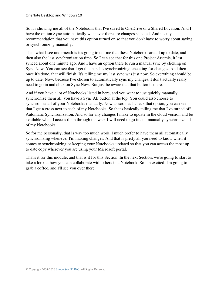So it's showing me all of the Notebooks that I've saved to OneDrive or a Shared Location. And I have the option Sync automatically whenever there are changes selected. And it's my recommendation that you have this option turned on so that you don't have to worry about saving or synchronizing manually.

Then what I see underneath is it's going to tell me that these Notebooks are all up to date, and then also the last synchronization time. So I can see that for this one Project Artemis, it last synced about one minute ago. And I have an option there to run a manual sync by clicking on Sync Now. You can see that I get this bar. It's synchronizing, checking for changes. And then once it's done, that will finish. It's telling me my last sync was just now. So everything should be up to date. Now, because I've chosen to automatically sync my changes, I don't actually really need to go in and click on Sync Now. But just be aware that that button is there.

And if you have a lot of Notebooks listed in here, and you want to just quickly manually synchronize them all, you have a Sync All button at the top. You could also choose to synchronize all of your Notebooks manually. Now as soon as I check that option, you can see that I get a cross next to each of my Notebooks. So that's basically telling me that I've turned off Automatic Synchronization. And so for any changes I make to update in the cloud version and be available when I access them through the web, I will need to go in and manually synchronize all of my Notebooks.

So for me personally, that is way too much work. I much prefer to have them all automatically synchronizing whenever I'm making changes. And that is pretty all you need to know when it comes to synchronizing or keeping your Notebooks updated so that you can access the most up to date copy wherever you are using your Microsoft portal.

That's it for this module, and that is it for this Section. In the next Section, we're going to start to take a look at how you can collaborate with others in a Notebook. So I'm excited. I'm going to grab a coffee, and I'll see you over there.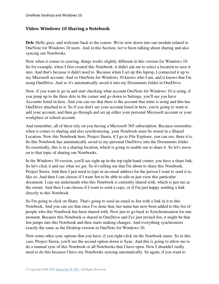## **Video: Windows 10 Sharing a Notebook**

Deb: Hello guys, and welcome back to the course. We're now down into our module related to OneNote for Windows 10 users. And in this Section, we've been talking about sharing and also syncing our Notebooks.

Now when it comes to syncing, things works slightly different in this version for Windows 10. So for example, when I first created this Notebook, it didn't ask me to select a location to save it into. And that's because it didn't need to. Because when I set up this laptop, I connected it up to my Microsoft account. And so OneNote for Windows 10 knows who I am, and it knows that I'm using OneDrive. And so it's automatically saved it into my Documents folder in OneDrive.

Now, if you want to go in and start checking what account OneNote for Windows 10 is using, if you jump up to the three dots in the corner and go down to Settings, you'll see you have Accounts listed in here. And you can see that there is the account that mine is using and this has OneDrive attached to it. So if you don't see your account listed in here, you're going to want to add your account, and then go through and set up either your personal Microsoft account or your workplace or school account.

And remember, all of these rely on you having a Microsoft 365 subscription. Because remember, when it comes to sharing and also synchronizing, your Notebook must be stored in a Shared Location. Now this Notebook here, Project Sierra, if I go to File Explorer, you can see, there it is. So this Notebook has automatically saved to my personal OneDrive into the Documents folder. So essentially, this is in a sharing location, which is going to enable me to share it. So let's move on to that topic of sharing our Notebooks.

In the Windows 10 version, you'll see right up in the top right-hand corner, you have a share link. So let's click it and see what we get. So it's telling me that I'm about to share this Notebook, Project Sierra. And then I just need to type in an email address for the person I want to send it to, like so. And then I can choose if I want Jen to be able to edit or just view this particular document. I can see underneath who this Notebook is currently shared with, which is just me as the owner. And then I can choose if I want to send a copy, or if I'm just happy sending a link directly to this Notebook.

So I'm going to click on Share. That's going to send an email to Jen with a link in it to this Notebook. And you can see that once I've done that, her name has now been added to this list of people who this Notebook has been shared with. Now just to go back to Synchronization for one moment. Because this Notebook is shared in OneDrive and I've just invited Jen, it might be that Jen jumps into this Notebook and then starts making changes. And everything synchronizes exactly the same as the Desktop version in OneNote for Windows 10.

Now some other sync options that you have, if you right-click on the Notebook name. So in this case, Project Sierra, you'll see the second option down is Sync. And this is going to allow me to do a manual sync of this Notebook or all Notebooks that I have open. Now I shouldn't really need to do this because I have my Notebooks syncing automatically. So again, if you want to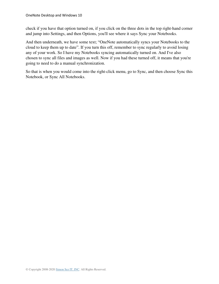check if you have that option turned on, if you click on the three dots in the top right-hand corner and jump into Settings, and then Options, you'll see where it says Sync your Notebooks.

And then underneath, we have some text; "OneNote automatically syncs your Notebooks to the cloud to keep them up to date". If you turn this off, remember to sync regularly to avoid losing any of your work. So I have my Notebooks syncing automatically turned on. And I've also chosen to sync all files and images as well. Now if you had these turned off, it means that you're going to need to do a manual synchronization.

So that is when you would come into the right-click menu, go to Sync, and then choose Sync this Notebook, or Sync All Notebooks.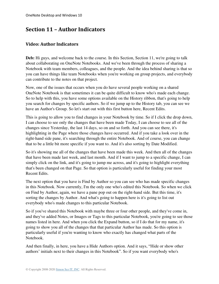# **Section 11 – Author Indicators**

# **Video: Author Indicators**

**Deb:** Hi guys, and welcome back to the course. In this Section, Section 11, we're going to talk about collaborating on OneNote Notebooks. And we've been through the process of sharing a Notebook with team members, colleagues, and the people. And the idea behind sharing is that so you can have things like team Notebooks when you're working on group projects, and everybody can contribute to the notes on that project.

Now, one of the issues that occurs when you do have several people working on a shared OneNote Notebook is that sometimes it can be quite difficult to know who's made each change. So to help with this, you have some options available on the History ribbon, that's going to help you search for changes by specific authors. So if we jump up to the History tab, you can see we have an Author's Group. So let's start out with this first button here, Recent Edits.

This is going to allow you to find changes in your Notebook by time. So if I click the drop down, I can choose to see only the changes that have been made Today, I can choose to see all of the changes since Yesterday, the last 14 days, so on and so forth. And you can see there, it's highlighting in the Page where those changes have occurred. And if you take a look over in the right-hand side pane, it's searching through the entire Notebook. And of course, you can change that to be a little bit more specific if you want to. And it's also sorting by Date Modified.

So it's showing me all of the changes that have been made this week. And then all of the changes that have been made last week, and last month. And if I want to jump to a specific change, I can simply click on the link, and it's going to jump me across, and it's going to highlight everything that's been changed on that Page. So that option is particularly useful for finding your most Recent Edits.

The next option that you have is Find by Author so you can see who has made specific changes in this Notebook. Now currently, I'm the only one who's edited this Notebook. So when we click on Find by Author, again, we have a pane pop out on the right-hand side. But this time, it's sorting the changes by Author. And what's going to happen here is it's going to list out everybody who's made changes to this particular Notebook.

So if you've shared this Notebook with maybe three or four other people, and they've come in, and they've added Notes, or Images or Tags to this particular Notebook, you're going to see those names listed in here. And when you click the Expand button, so if I do that for my name, it's going to show you all of the changes that that particular Author has made. So this option is particularly useful if you're wanting to know who exactly has changed what parts of the Notebook.

And then finally, in here, you have a Hide Authors option. And it says, "Hide or show other authors' initials next to their changes in this Notebook". So if you want everybody who's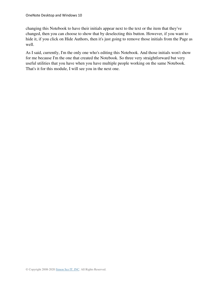changing this Notebook to have their initials appear next to the text or the item that they've changed, then you can choose to show that by deselecting this button. However, if you want to hide it, if you click on Hide Authors, then it's just going to remove those initials from the Page as well.

As I said, currently, I'm the only one who's editing this Notebook. And those initials won't show for me because I'm the one that created the Notebook. So three very straightforward but very useful utilities that you have when you have multiple people working on the same Notebook. That's it for this module, I will see you in the next one.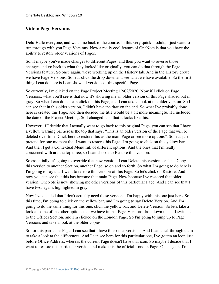#### **Video: Page Versions**

**Deb:** Hello everyone, and welcome back to the course. In this very quick module, I just want to run through with you Page Versions. Now a really cool feature of OneNote is that you have the ability to restore older versions of Pages.

So, if maybe you've made changes to different Pages, and then you want to reverse those changes and go back to what they looked like originally, you can do that through the Page Versions feature. So once again, we're working up on the History tab. And in the History group, we have Page Versions. So let's click the drop down and see what we have available. So the first thing I can do here is I can show all versions of this specific Page.

So currently, I'm clicked on the Page Project Meeting 12/02/2020. Now if I click on Page Versions, what you'll see is that now it's showing me an older version of this Page shaded out in gray. So what I can do is I can click on this Page, and I can take a look at the older version. So I can see that in this older version, I didn't have the date on the end. So what I've probably done here is created this Page, and then decided the title would be a bit more meaningful if I included the date of the Project Meeting. So I changed it so that it looks like this.

However, if I decide that I actually want to go back to this original Page, you can see that I have a yellow warning bar across the top that says, "This is an older version of the Page that will be deleted over time. Click here to restore this as the main Page or see more options". So let's just pretend for one moment that I want to restore this Page, I'm going to click on this yellow bar. And then I get a Contextual Menu full of different options. And the ones that I'm really concerned with are the top three, so I can choose to Restore this version.

So essentially, it's going to override that new version. I can Delete this version, or I can Copy this version to another Section, another Page, so on and so forth. So what I'm going to do here is I'm going to say that I want to restore this version of this Page. So let's click on Restore. And now you can see that this has become that main Page. Now because I've restored that older version, OneNote is now showing me other versions of this particular Page. And I can see that I have two, again, highlighted in gray.

Now I've decided that I don't actually need these versions, I'm happy with this one just here. So this time, I'm going to click on the yellow bar, and I'm going to say Delete Version. And I'm going to do the same thing for this one, click the yellow bar, and Delete Version. So let's take a look at some of the other options that we have in that Page Versions drop down menu. I switched to the Offices Section, and I'm clicked on the London Page. So I'm going to jump up to Page Versions and take a look at the older copies.

So for this particular Page, I can see that I have four other versions. And I can click through them to take a look at the differences. And I can see here for this particular one, I've gotten an icon just before Office Address, whereas the current Page doesn't have that icon. So maybe I decide that I want to restore this particular version and make this the official London Page. Once again, I'm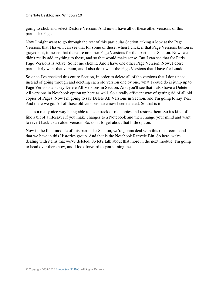going to click and select Restore Version. And now I have all of these other versions of this particular Page.

Now I might want to go through the rest of this particular Section, taking a look at the Page Versions that I have. I can see that for some of these, when I click, if that Page Versions button is grayed out, it means that there are no other Page Versions for that particular Section. Now, we didn't really add anything to these, and so that would make sense. But I can see that for Paris Page Versions is active. So let me click it. And I have one other Page Version. Now, I don't particularly want that version, and I also don't want the Page Versions that I have for London.

So once I've checked this entire Section, in order to delete all of the versions that I don't need, instead of going through and deleting each old version one by one, what I could do is jump up to Page Versions and say Delete All Versions in Section. And you'll see that I also have a Delete All versions in Notebook option up here as well. So a really efficient way of getting rid of all old copies of Pages. Now I'm going to say Delete All Versions in Section, and I'm going to say Yes. And there we go. All of those old versions have now been deleted. So that is it.

That's a really nice way being able to keep track of old copies and restore them. So it's kind of like a bit of a lifesaver if you make changes to a Notebook and then change your mind and want to revert back to an older version. So, don't forget about that little option.

Now in the final module of this particular Section, we're gonna deal with this other command that we have in this Histories group. And that is the Notebook Recycle Bin. So here, we're dealing with items that we've deleted. So let's talk about that more in the next module. I'm going to head over there now, and I look forward to you joining me.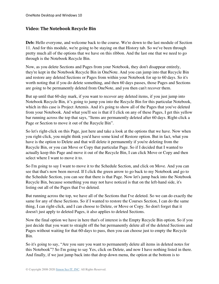#### **Video: The Notebook Recycle Bin**

**Deb:** Hello everyone, and welcome back to the course. We're down to the last module of Section 11. And for this module, we're going to be staying on that History tab. So we've been through pretty much all of the options that we have on this ribbon. And the last one that we need to go through is the Notebook Recycle Bin.

Now, as you delete Sections and Pages from your Notebook, they don't disappear entirely, they're kept in the Notebook Recycle Bin in OneNote. And you can jump into that Recycle Bin and restore any deleted Sections or Pages from within your Notebook for up to 60 days. So it's worth noting that if you do delete something, and then 60 days passes, those Pages and Sections are going to be permanently deleted from OneNote, and you then can't recover them.

But up until that 60-day mark, if you want to recover any deleted items, if you just jump into Notebook Recycle Bin, it's going to jump you into the Recycle Bin for this particular Notebook, which in this case is Project Artemis. And it's going to show all of the Pages that you've deleted from your Notebook. And what you'll see is that if I click on any of these Pages, I get this yellow bar running across the top that says, "Items are permanently deleted after 60 days. Right-click a Page or Section to move it out of the Recycle Bin".

So let's right-click on this Page, just here and take a look at the options that we have. Now when you right-click, you might think you'd have some kind of Restore option. But in fact, what you have is the option to Delete and that will delete it permanently if you're deleting from the Recycle Bin, or you can Move or Copy that particular Page. So if I decided that I wanted to actually keep this Page and move it out of the Recycle Bin, I can click Move or Copy and then select where I want to move it to.

So I'm going to say I want to move it to the Schedule Section, and click on Move. And you can see that that's now been moved. If I click the green arrow to go back to my Notebook and go to the Schedule Section, you can see that there is that Page. Now let's jump back into the Notebook Recycle Bin, because something you may not have noticed is that on the left-hand side, it's listing out all of the Pages that I've deleted.

But running across the top, we have all of the Sections that I've deleted. So we can do exactly the same for any of these Sections. So if I wanted to restore the Courses Section, I can do the same thing, I can right-click, and I can choose to Delete, or Move or Copy. So don't forget that it doesn't just apply to deleted Pages, it also applies to deleted Sections.

Now the final option we have in here that's of interest is the Empty Recycle Bin option. So if you just decide that you want to straight off the bat permanently delete all of the deleted Sections and Pages without waiting for that 60-days to pass, then you can choose just to empty the Recycle Bin.

So it's going to say, "Are you sure you want to permanently delete all items in deleted notes for this Notebook"? So I'm going to say Yes, click on Delete, and now I have nothing listed in there. And finally, if we just jump back into that drop down menu, the option at the bottom is to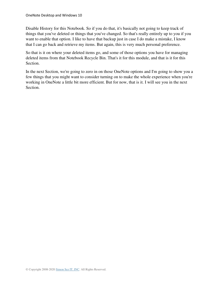Disable History for this Notebook. So if you do that, it's basically not going to keep track of things that you've deleted or things that you've changed. So that's really entirely up to you if you want to enable that option. I like to have that backup just in case I do make a mistake, I know that I can go back and retrieve my items. But again, this is very much personal preference.

So that is it on where your deleted items go, and some of those options you have for managing deleted items from that Notebook Recycle Bin. That's it for this module, and that is it for this Section.

In the next Section, we're going to zero in on those OneNote options and I'm going to show you a few things that you might want to consider turning on to make the whole experience when you're working in OneNote a little bit more efficient. But for now, that is it. I will see you in the next Section.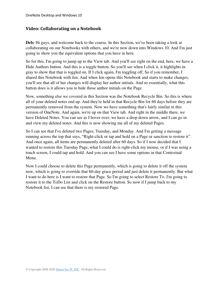#### **Video: Collaborating on a Notebook**

**Deb:** Hi guys, and welcome back to the course. In this Section, we've been taking a look at collaborating on our Notebooks with others, and we're now down into Windows 10. And I'm just going to show you the equivalent options that you have in here.

So for this, I'm going to jump up to the View tab. And you'll see right on the end, here, we have a Hide Authors button. And this is a toggle button. So you'll see when I click it, it highlights in gray to show that that is toggled on. If I click again, I'm toggling off. So if you remember, I shared this Notebook with Jen. And when Jen opens this Notebook and starts to make changes, you'll see that all of her changes will display her author initials. And so essentially, what this button does is it allows you to hide those author initials on the Page.

Now, something else we covered in this Section was the Notebook Recycle Bin. So this is where all of your deleted notes end up. And they're held in that Recycle Bin for 60 days before they are permanently removed from the system. Now we have something that's fairly similar in this version of OneNote. And again, we're up on that View tab. And right in the middle there, we have Deleted Notes. You can see as I hover over, we have a drop down arrow, and I can go in and view my deleted notes. And this is now showing me all of my deleted Pages.

So I can see that I've deleted two Pages; Tuesday, and Monday. And I'm getting a message running across the top that says, "Right-click or tap and hold on a Page or sanction to restore it". And once again, all items are permanently deleted after 60 days. So if I now decided that I wanted to restore this Tuesday Page, what I could do is right-click my mouse, or if I was using a touch screen, I could tap and hold. And you can see I have some options in that Contextual Menu.

Now I could choose to delete this Page permanently, which is going to delete it off the system now, which is going to override that 60-day grace period and just delete it permanently. But what I want to do here is I want to restore that Page. So I'm going to select Restore To. I'm going to restore it to the ToDo List and click on the Restore button. So now if I jump back to my Notebook list, I can see that there is my restored Page.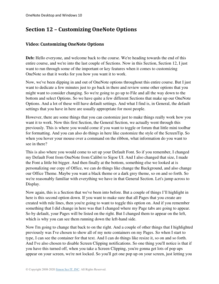# **Section 12 – Customizing OneNote Options**

#### **Video: Customizing OneNote Options**

**Deb:** Hello everyone, and welcome back to the course. We're heading towards the end of this entire course, and we're into the last couple of Sections. Now in this Section, Section 12, I just want to run through some of the important or key features when it comes to customizing OneNote so that it works for you how you want it to work.

Now, we've been dipping in and out of OneNote options throughout this entire course. But I just want to dedicate a few minutes just to go back in there and review some other options that you might want to consider changing. So we're going to go up to File and all the way down to the bottom and select Options. So we have quite a few different Sections that make up our OneNote Options. And a lot of these will have default settings. And what I find is, in General, the default settings that you have in here are usually appropriate for most people.

However, there are some things that you can customize just to make things really work how you want it to work. Now this first Section, the General Section, we actually went through this previously. This is where you would come if you want to toggle or forum that little mini toolbar for formatting. And you can also do things in here like customize the style of the ScreenTip. So when you hover your mouse over a command on the ribbon, what information do you want to see in there?

This is also where you would come to set up your Default Font. So if you remember, I changed my Default Font from OneNote from Calibri to Sigoe UI. And I also changed that size, I made the Font a little bit bigger. And then finally at the bottom, something else we looked at is personalizing our copy of Office, we can do things like change the Background, and also change our Office Theme. Maybe you want a black theme or a dark grey theme, so on and so forth. So we're reasonably familiar with everything we have in that General Section. Let's jump across to Display.

Now again, this is a Section that we've been into before. But a couple of things I'll highlight in here is this second option down. If you want to make sure that all Pages that you create are created with rule lines, then you're going to want to toggle this option on. And if you remember something that I did change in here was that I changed where my Page tabs are going to appear. So by default, your Pages will be listed on the right. But I changed them to appear on the left, which is why you can see them running down the left-hand side.

Now I'm going to change that back to on the right. And a couple of other things that I highlighted previously was I've chosen to show all of my note containers on my Pages. So when I start to type, I can see the container for that text. And I can do things like resize it, so on and so forth. And I've also chosen to disable Screen Clipping notifications. So one thing you'll notice is that if you have this turned off, when you take a Screen Clipping, you're gonna get lots of pop ups appear on your screen, we're not locked. So you'll get one pop up on your screen, just letting you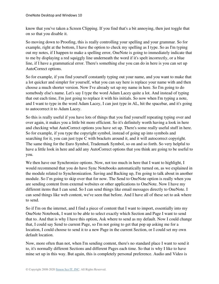know that you've taken a Screen Clipping. If you find that's a bit annoying, then just toggle that on so that you disable it.

So moving down to Proofing, this is really controlling your spelling and your grammar. So for example, right at the bottom, I have the option to check my spelling as I type. So as I'm typing out my notes, if I happen to make a spelling error, OneNote is going to immediately indicate that to me by displaying a red squiggly line underneath the word if it's spelt incorrectly, or a blue line, if I have a grammatical error. There's something else you can do in here is you can set up AutoCorrect options.

So for example, if you find yourself constantly typing out your name, and you want to make that a lot quicker and simpler for yourself, what you can say here is replace your name with and then choose a much shorter version. Now I've already set up my name in here. So I'm going to do somebody else's name. Let's say I type the word Adam Lacey quite a lot. And instead of typing that out each time, I'm just going to replace it with his initials. So now when I'm typing a note, and I want to type in the word Adam Lacey, I can just type in AL, hit the spacebar, and it's going to autocorrect it to Adam Lacey.

So this is really useful if you have lots of things that you find yourself repeating typing over and over again, it makes you a little bit more efficient. So it's definitely worth having a look in here and checking what AutoCorrect options you have set up. There's some really useful stuff in here. So for example, if you type the copyright symbol, instead of going up into symbols and searching for it, you can just type C with brackets around it, and it will autocorrect copyright. The same thing for the Euro Symbol, Trademark Symbol, so on and so forth. So very helpful to have a little look in here and add any AutoCorrect options that you think are going to be useful to you.

We then have our Synchronize options. Now, not too much in here that I want to highlight, I would recommend that you do have Sync Notebooks automatically turned on, as we explained in the module related to Synchronization. Saving and Backing up, I'm going to talk about in another module. So I'm going to skip over that for now. The Send to OneNote option is really when you are sending content from external websites or other applications to OneNote. Now I have my different items that I can send. So I can send things like email messages directly to OneNote. I can send things like web content, we've seen that before. And I have all of these set to ask where to send.

So if I'm on the internet, and I find a piece of content that I want to import, essentially into my OneNote Notebook, I want to be able to select exactly which Section and Page I want to send that to. And that is why I have this option, Ask where to send as my default. Now I could change that, I could say Send to current Page, so I'm not going to get that pop up asking me for a location, I could choose to send it to a new Page in the current Section, or I could set my own default location.

Now, more often than not, when I'm sending content, there's no standard place I want to send it to, it's normally different Sections and different Pages each time. So that is why I like to have mine set up in this way. But again, this is completely personal preference. Audio and Video is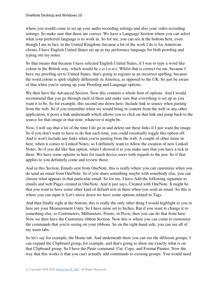where you would come to set up your audio recording settings and also your video recording settings. So make sure that those are correct. We have a Language Section where you can select what your preferred language is to work in. So for me, you can see at the bottom here, even though I am in fact, in the United Kingdom, because a lot of the work I do is for American clients, I have English United States set up as my preference language for both proofing and typing out my notes.

So that means that because I have selected English United States, if I was to type a word like colour in the British way, which would be c-o-l-o-u-r. Whilst that is correct for me, because I have my proofing set to United States, that's going to register as an incorrect spelling, because the word colour is spelt slightly differently in America, as opposed to the UK. So just be aware of that when you're setting up your Proofing and Language options.

We then have the Advanced Section. Now this contains a whole host of options. And I would recommend that you go through each of them and make sure that everything is set up as you want it to be. So for example, this second one down here, Include link to source when pasting from the web. So if you remember when we would bring in content from the web or any other application, it posts a link underneath which allows you to click on that link and jump back to the source for that image or that note, whatever it might be.

Now, I will say that a lot of the time I do go in and delete out these links if I just want the image. So if you don't want to have to do that each time, you could essentially toggle this option off. And it won't include any links when you're pasting from the web. A couple of other items in here, when it comes to Linked Notes, so I definitely want to Allow the creation of new Linked Notes. So if you did like that option, when I showed it to you make sure that you have a tick in there. We have some options in here for touch device users with regards to the pen. So if that applies to you definitely come and review those.

And in this Section, Emails sent from OneNote, this is really where you can customize when you do send an email from OneNote. So if you share something maybe with somebody else, you can choose what appears in that particular email. So for me, I have Add the following signature to emails and web Pages created in OneNote. And it just says, Created with OneNote. It might be that you want to have some other kind of default text in there when you send an email. So this is where you can input it. Let's move down we have some options related to Tags.

And then finally right at the bottom, this is really the only other thing I would highlight to you in here are your Measurement Units. So I have mine set to Inches. But if you want to change it to something else, so Centimeters, Millimeters, Points, or Picos, then you can do that from here. Now we then have the Customize ribbon Section. Now this is where you can come to customize the commands that you're seeing on your ribbons. So on the right-hand side, you can see all of my main tabs.

So let's say for example, the Home tab. And underneath there you can see the different groups, I can expand the Clipboard group, for example, and that's going to show me exactly what is on that Clipboard group. So I have the Paste command, Cut, Copy, and Format Painter. Now the way that this works is that you can't actually add commands to existing groups. You would need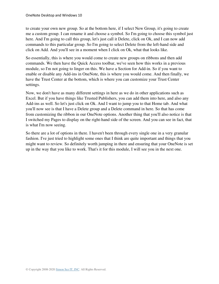to create your own new group. So at the bottom here, if I select New Group, it's going to create me a custom group. I can rename it and choose a symbol. So I'm going to choose this symbol just here. And I'm going to call this group, let's just call it Delete, click on Ok, and I can now add commands to this particular group. So I'm going to select Delete from the left-hand side and click on Add. And you'll see in a moment when I click on Ok, what that looks like.

So essentially, this is where you would come to create new groups on ribbons and then add commands. We then have the Quick Access toolbar, we've seen how this works in a previous module, so I'm not going to linger on this. We have a Section for Add-in. So if you want to enable or disable any Add-ins in OneNote, this is where you would come. And then finally, we have the Trust Center at the bottom, which is where you can customize your Trust Center settings.

Now, we don't have as many different settings in here as we do in other applications such as Excel. But if you have things like Trusted Publishers, you can add them into here, and also any Add-ins as well. So let's just click on Ok. And I want to jump you to that Home tab. And what you'll now see is that I have a Delete group and a Delete command in here. So that has come from customizing the ribbon in our OneNote options. Another thing that you'll also notice is that I switched my Pages to display on the right-hand side of the screen. And you can see in fact, that is what I'm now seeing.

So there are a lot of options in there. I haven't been through every single one in a very granular fashion. I've just tried to highlight some ones that I think are quite important and things that you might want to review. So definitely worth jumping in there and ensuring that your OneNote is set up in the way that you like to work. That's it for this module, I will see you in the next one.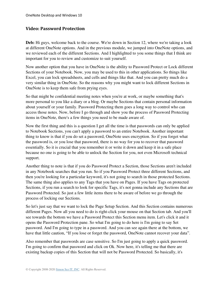#### **Video: Password Protection**

Deb: Hi guys, welcome back to the course. We're down in Section 12, where we're taking a look at different OneNote options. And in the previous module, we jumped into OneNote options, and we reviewed each of the different Sections. And I highlighted to you some things that I think are important for you to review and customize to suit yourself.

Now another option that you have in OneNote is the ability to Password Protect or Lock different Sections of your Notebook. Now, you may be used to this in other applications. So things like Excel, you can lock spreadsheets, and cells and things like that. And you can pretty much do a very similar thing in OneNote. So the reasons why you might want to lock different Sections in OneNote is to keep them safe from prying eyes.

So that might be confidential meeting notes when you're at work, or maybe something that's more personal to you like a diary or a blog. Or maybe Sections that contain personal information about yourself or your family. Password Protecting them goes a long way to control who can access those notes. Now, before I go through and show you the process of Password Protecting items in OneNote, there's a few things you need to be made aware of.

Now the first thing and this is a question I get all the time is that passwords can only be applied to Notebook Sections, you can't apply a password to an entire Notebook. Another important thing to know is that if you do set a password, OneNote uses encryption. So if you forget what the password is, or you lose that password, there is no way for you to recover that password essentially. So it is crucial that you remember it or write it down and keep it in a safe place because no one is going to be able to unlock the Section for you, not even Microsoft technical support.

Another thing to note is that if you do Password Protect a Section, those Sections aren't included in any Notebook searches that you run. So if you Password Protect three different Sections, and then you're looking for a particular keyword, it's not going to search in those protected Sections. The same thing also applies to any Tags that you have on Pages. If you have Tags on protected Sections, if you run a search to look for specific Tags, it's not gonna include any Sections that are Password Protected. So just a few little items there to be aware of before we go through the process of locking our Sections.

So let's just say that we want to lock the Page Setup Section. And this Section contains numerous different Pages. Now all you need to do is right-click your mouse on that Section tab. And you'll see towards the bottom we have a Password Protect this Section menu item. Let's click it and it opens the Password Protection pane. So what I'm going to do here is I'm going to say Set password. And I'm going to type in a password. And you can see again there at the bottom, we have that little caution, "If you lose or forget the password, OneNote cannot recover your data".

Also remember that passwords are case sensitive. So I'm just going to apply a quick password. I'm going to confirm that password and click on Ok. Now here, it's telling me that there are existing backup copies of this Section that will not be Password Protected. So basically, it's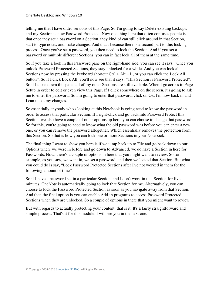telling me that I have older versions of this Page. So I'm going to say Delete existing backups, and my Section is now Password Protected. Now one thing here that often confuses people is that once they set a password on a Section, they kind of can still click around in that Section, start to type notes, and make changes. And that's because there is a second part to this locking process. Once you've set a password, you then need to lock the Section. And if you set a password or multiple different Sections, you can in fact lock all of them at the same time.

So if you take a look in this Password pane on the right-hand side, you can see it says, "Once you unlock Password Protected Sections, they stay unlocked for a while. And you can lock all Sections now by pressing the keyboard shortcut Ctrl + Alt + L, or you can click the Lock All button". So if I click Lock All, you'll now see that it says, "This Section is Password Protected". So if I close down this pane, all of my other Sections are still available. When I go across to Page Setup in order to edit or even view this Page. If I click somewhere on the screen, it's going to ask me to enter the password. So I'm going to enter that password, click on Ok. I'm now back in and I can make my changes.

So essentially anybody who's looking at this Notebook is going need to know the password in order to access that particular Section. If I right-click and go back into Password Protect this Section, we also have a couple of other options up here, you can choose to change that password. So for this, you're going to need to know what the old password was before you can enter a new one, or you can remove the password altogether. Which essentially removes the protection from this Section. So that is how you can lock one or more Sections in your Notebook.

The final thing I want to show you here is if we jump back up to File and go back down to our Options where we were in before and go down to Advanced, we do have a Section in here for Passwords. Now, there's a couple of options in here that you might want to review. So for example, as you saw, we went in, we set a password, and then we locked that Section. But what you could do is say, "Lock Password Protected Sections after I've not worked in them for the following amount of time".

So if I have a password set in a particular Section, and I don't work in that Section for five minutes, OneNote is automatically going to lock that Section for me. Alternatively, you can choose to lock the Password Protected Section as soon as you navigate away from that Section. And then the final option is you can enable Add-in programs to access Password Protected Sections when they are unlocked. So a couple of options in there that you might want to review.

But with regards to actually protecting your content, that is it. It's a fairly straightforward and simple process. That's it for this module, I will see you in the next one.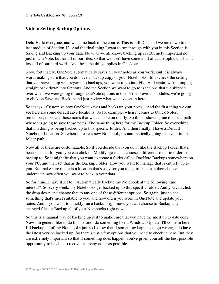#### **Video: Setting Backup Options**

**Deb:** Hello everyone, and welcome back to the course. This is still Deb, and we are down to the last module of Section 12. And the final thing I want to run through with you in this Section is Saving and Backing up your data. Now, as we all know, backing up is extremely important not just in OneNote, but for all of our files, so that we don't have some kind of catastrophic crash and lose all of our hard work. And the same thing applies in OneNote.

Now, fortunately, OneNote automatically saves all your notes as you work. But it is always worth making sure that you do have a backup copy of your Notebooks. So to check the settings that you have set up with regards to backups, you want to go into File. And again, we're jumping straight back down into Options. And the Section we want to go to is the one that we skipped over when we were going through OneNote options in one of the previous modules, we're going to click on Save and Backup and just review what we have set in here.

So it says, "Customize how OneNote saves and backs up your notes". And the first thing we can see here are some default save locations. So for example, when it comes to Quick Notes, remember, those are those notes that we can take on the fly. So this is showing me the local path where it's going to save those notes. The same thing here for my Backup Folder. So everything that I'm doing is being backed up to this specific folder. And then finally, I have a Default Notebook Location. So when I create a new Notebook, it's automatically going to save it in this folder path.

Now all of these are customizable. So if you decide that you don't like the Backup Folder that's been selected for you, you can click on Modify, go in and choose a different folder in order to backup to. So it might be that you want to create a folder called OneNote Backups somewhere on your PC, and then set that as the Backup Folder. How you want to manage that is entirely up to you. But make sure that it is a location that's easy for you to get to. You can then choose underneath how often you want to backup your data.

So for mine, I have it set to, "Automatically backup my Notebook at the following time interval". So every week, my Notebooks get backed up to this specific folder. And you can click the drop down and change that to any one of these different options. So again, just select something that's most suitable to you, and how often you work in OneNote and update your notes. And if you want to quickly run a backup right now, you can choose to Backup any changed files or Backup all of your Notebooks right now.

So this is a manual way of backing up just to make sure that you have the most up to date copy. Now I in general like to do this before I do something like a Windows Update. I'll come in here, I'll backup all of my Notebooks just so I know that if something happens to go wrong, I do have the latest version backed up. So there's just a few options that you need to check in here. But they are extremely important so that if something does happen, you've given yourself the best possible opportunity to be able to recover as many notes as possible.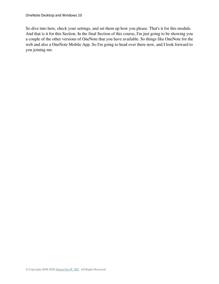So dive into here, check your settings, and set them up how you please. That's it for this module. And that is it for this Section. In the final Section of this course, I'm just going to be showing you a couple of the other versions of OneNote that you have available. So things like OneNote for the web and also a OneNote Mobile App. So I'm going to head over there now, and I look forward to you joining me.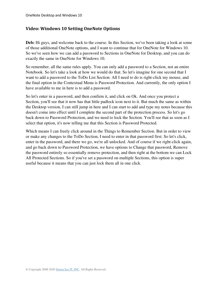#### **Video: Windows 10 Setting OneNote Options**

**Deb:** Hi guys, and welcome back to the course. In this Section, we've been taking a look at some of those additional OneNote options, and I want to continue that for OneNote for Windows 10. So we've seen how we can add a password to Sections in OneNote for Desktop, and you can do exactly the same in OneNote for Windows 10.

So remember, all the same rules apply. You can only add a password to a Section, not an entire Notebook. So let's take a look at how we would do that. So let's imagine for one second that I want to add a password to the ToDo List Section. All I need to do is right-click my mouse, and the final option in the Contextual Menu is Password Protection. And currently, the only option I have available to me in here is to add a password.

So let's enter in a password, and then confirm it, and click on Ok. And once you protect a Section, you'll see that it now has that little padlock icon next to it. But much the same as within the Desktop version, I can still jump in here and I can start to add and type my notes because this doesn't come into effect until I complete the second part of the protection process. So let's go back down to Password Protection, and we need to lock the Section. You'll see that as soon as I select that option, it's now telling me that this Section is Password Protected.

Which means I can freely click around in the Things to Remember Section. But in order to view or make any changes to the ToDo Section, I need to enter in that password first. So let's click, enter in the password, and there we go, we're all unlocked. And of course if we right-click again, and go back down to Password Protection, we have options to Change that password, Remove the password entirely so essentially remove protection, and then right at the bottom we can Lock All Protected Sections. So if you've set a password on multiple Sections, this option is super useful because it means that you can just lock them all in one click.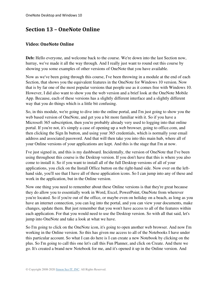## **Section 13 – OneNote Online**

#### **Video: OneNote Online**

Deb: Hello everyone, and welcome back to the course. We're down into the last Section now, hurray, we've made it all the way through. And I really just want to round out this course by showing you some examples of other versions of OneNote that you have available.

Now as we've been going through this course, I've been throwing in a module at the end of each Section, that shows you the equivalent features in the OneNote for Windows 10 version. Now that is by far one of the most popular versions that people use as it comes free with Windows 10. However, I did also want to show you the web version and a brief look at the OneNote Mobile App. Because, each of these versions has a slightly different interface and a slightly different way that you do things which is a little bit confusing.

So, in this module, we're going to dive into the online portal, and I'm just going to show you the web based version of OneNote, and get you a bit more familiar with it. So if you have a Microsoft 365 subscription, then you're probably already very used to logging into that online portal. If you're not, it's simply a case of opening up a web browser, going to office.com, and then clicking the Sign In button, and using your 365 credentials, which is normally your email address and associated password. And that will then take you into this main hub, where all of your Online versions of your applications are kept. And this is the stage that I'm at now.

I've just signed in, and this is my dashboard. Incidentally, the version of OneNote that I've been using throughout this course is the Desktop version. If you don't have that this is where you also come to install it. So if you want to install all of the full Desktop versions of all of your applications, you click on the Install Office button on the right-hand side. Now over on the lefthand side, you'll see that I have all of these application icons. So I can jump into any of these and work in the application, but in the Online version.

Now one thing you need to remember about these Online versions is that they're great because they do allow you to essentially work in Word, Excel, PowerPoint, OneNote from wherever you're located. So if you're out of the office, or maybe even on holiday on a beach, as long as you have an internet connection, you can log into the portal, and you can view your documents, make changes, update them. But just remember that you won't have access to all of the features within each application. For that you would need to use the Desktop version. So with all that said, let's jump into OneNote and take a look at what we have.

So I'm going to click on the OneNote icon, it's going to open another web browser. And now I'm working in the Online version. So this has given me access to all of the Notebooks I have under this particular account. So what I can do here is I can create a new Notebook by clicking on the plus. So I'm going to call this one let's call this Fun Planner, and click on Create. And there we go. It's created a brand new Notebook for me, and it's opened it up in the Online version. And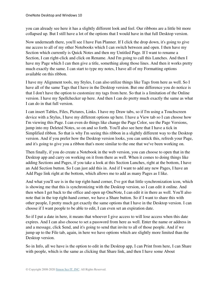you can already see here it has a slightly different look and feel. Our ribbons are a little bit more collapsed up. But I still have a lot of the options that I would have in that full Desktop version.

Now underneath there, you'll see I have Fun Planner. If I click the drop down, it's going to give me access to all of my other Notebooks which I can switch between and open. I then have my Section which currently is Quick Notes and then my Untitled Page. If I want to rename a Section, I can right-click and click on Rename. And I'm going to call this Lunches. And then I have my Page which I can then give a title, something along those lines. And then it works pretty much exactly the same. I can start to type my notes, I have all of my Formatting options available on this ribbon.

I have my Alignment tools, my Styles, I can also utilize things like Tags from here as well. So I have all of the same Tags that I have in the Desktop version. But one difference you do notice is that I don't have the option to customize my tags from here. So that is a limitation of the Online version. I have my Spellchecker up here. And then I can do pretty much exactly the same as what I can do in that full version.

I can insert Tables, Files, Pictures, Links. I have my Draw tabs, so if I'm using a Touchscreen device with a Stylus, I have my different options up here. I have a View tab so I can choose how I'm viewing this Page. I can even do things like change the Page Color, see the Page Versions, jump into my Deleted Notes, so on and so forth. You'll also see here that I have a tick in Simplified ribbon. So that is why I'm seeing this ribbon in a slightly different way to the Desktop version. And if you prefer how the Desktop version looks, you can untick this, refresh your Page, and it's going to give you a ribbon that's more similar to the one that we've been working on.

Then finally, if you do create a Notebook in the web version, you can choose to open that in the Desktop app and carry on working on it from there as well. When it comes to doing things like adding Sections and Pages, if you take a look at this Section Lunches, right at the bottom, I have an Add Section button. So I can just add this in. And if I want to add any new Pages, I have an Add Page link right at the bottom, which allows me to add as many Pages as I like.

And what you'll see is in the top right-hand corner, I've got that little synchronization icon, which is showing me that this is synchronizing with the Desktop version, so I can edit it online. And then when I get back to the office and open up OneNote, I can edit it in there as well. You'll also note that in the top right-hand corner, we have a Share button. So if I want to share this with other people, I pretty much get exactly the same options that I have in the Desktop version. I can choose if I want people to be able to edit, I can even set an expiration date.

So if I put a date in here, it means that whoever I give access to will lose access when this date expires. And I can also choose to set a password from here as well. Enter the name or address in and a message, click Send, and it's going to send that invite to all of those people. And if we jump up to the File tab, again, in here we have options which are slightly more limited than the Desktop version.

So in Info, all we have is the option to edit in the Desktop app, I can Print from here, I can Share with people, which is the same as clicking that Share link, and then I have some About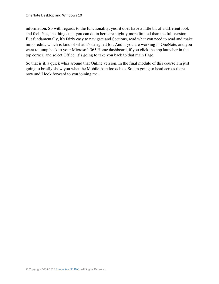information. So with regards to the functionality, yes, it does have a little bit of a different look and feel. Yes, the things that you can do in here are slightly more limited than the full version. But fundamentally, it's fairly easy to navigate and Sections, read what you need to read and make minor edits, which is kind of what it's designed for. And if you are working in OneNote, and you want to jump back to your Microsoft 365 Home dashboard, if you click the app launcher in the top corner, and select Office, it's going to take you back to that main Page.

So that is it, a quick whiz around that Online version. In the final module of this course I'm just going to briefly show you what the Mobile App looks like. So I'm going to head across there now and I look forward to you joining me.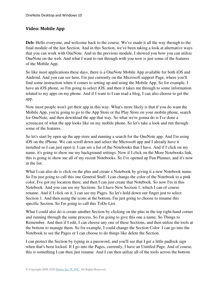### **Video: Mobile App**

**Deb:** Hello everyone, and welcome back to the course. We've made it all the way through to the final module of the last Section. And in this Section, we've been taking a look at alternative ways that you can work with OneNote. And in the previous module, I showed you how you can utilize OneNote on the web. And what I want to run through with you now is just some of the features of the Mobile App.

So like most applications these days, there is a OneNote Mobile App available for both iOS and Android. And you can see here, I'm just currently on the Microsoft support Page, where you'll find some instruction when it comes to setting up and using the Mobile App. So for example, I have an iOS phone, so I'm going to select iOS, and then it takes me through to some information related to my apps on my phone. And if I want to I can read a blog, I can also choose to get the app.

Now most people won't get their app in this way. What's more likely is that if you do want the Mobile App, you're going to go to the App Store or the Play Store on your mobile phone, search for OneNote, and then download the app that way. So what we're gonna do is I've done a screencast of what the app looks like on my mobile phone. So let's take a look and run through some of the features.

So let's start by open up the app store and running a search for the OneNote app. And I'm using iOS on the iPhone. We can scroll down and select the Microsoft app and I already have it installed so I can just open it. I can see a list of the Notebooks that I have. And if I click on my name, it's going to show me my background settings. Now if I click on the More Notebooks link, this is going to show me all of my recent Notebooks. So I've opened up Fun Planner, and it's now in the list.

What I can also do is click on the plus and create a Notebook by giving it a new Notebook name. So I'm just going to call this one General Stuff. I can change the color of the Notebook to a pink color, I've got my location there, and then I can just create that Notebook. So now I'm in this Notebook. And you can see my Sections. So I have New Section 1, which I can of course rename. And if I click on it, I can see my Pages. So let's hold down our finger just to select Section 1. And then using the icons at the bottom, I'm just going to choose to rename this specific Section. So I'm going to call this ToDo List.

What I could also do is create another Section by clicking on the plus in the top right-hand corner and running through the same process. So I'm going to give this one a name. So Things to Remember. And then if I edit, I can choose any one of these Sections, and then utilize the tools at the bottom to manage them. So for example, I could change the Section Color. I can go into the Notebook to see the Pages or I can choose to do things like delete the Section.

I can protect the Section by typing in a password, and you'll see that I get a little padlock sign when that's been locked. If I go into the Pages, currently, I have an Untitled Page. And of course, this is something I can then just rename. And I can then utilize all of the tools across the bottom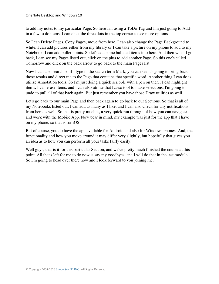to add my notes to my particular Page. So here I'm using a ToDo Tag and I'm just going to Addin a few to do items. I can click the three dots in the top corner to see more options.

So I can Delete Pages, Copy Pages, move from here. I can also change the Page Background to white, I can add pictures either from my library or I can take a picture on my phone to add to my Notebook, I can add bullet points. So let's add some bulleted items into here. And then when I go back, I can see my Pages listed out, click on the plus to add another Page. So this one's called Tomorrow and click on the back arrow to go back to the main Pages list.

Now I can also search so if I type in the search term Mark, you can see it's going to bring back those results and direct me to the Page that contains that specific word. Another thing I can do is utilize Annotation tools. So I'm just doing a quick scribble with a pen on there. I can highlight items, I can erase items, and I can also utilize that Lasso tool to make selections. I'm going to undo to pull all of that back again. But just remember you have those Draw utilities as well.

Let's go back to our main Page and then back again to go back to our Sections. So that is all of my Notebooks listed out. I can add as many as I like, and I can also check for any notifications from here as well. So that is pretty much it, a very quick run through of how you can navigate and work with the Mobile App. Now bear in mind, my example was just for the app that I have on my phone, so that is for iOS.

But of course, you do have the app available for Android and also for Windows phones. And, the functionality and how you move around it may differ very slightly, but hopefully that gives you an idea as to how you can perform all your tasks fairly easily.

Well guys, that is it for this particular Section, and we've pretty much finished the course at this point. All that's left for me to do now is say my goodbyes, and I will do that in the last module. So I'm going to head over there now and I look forward to you joining me.